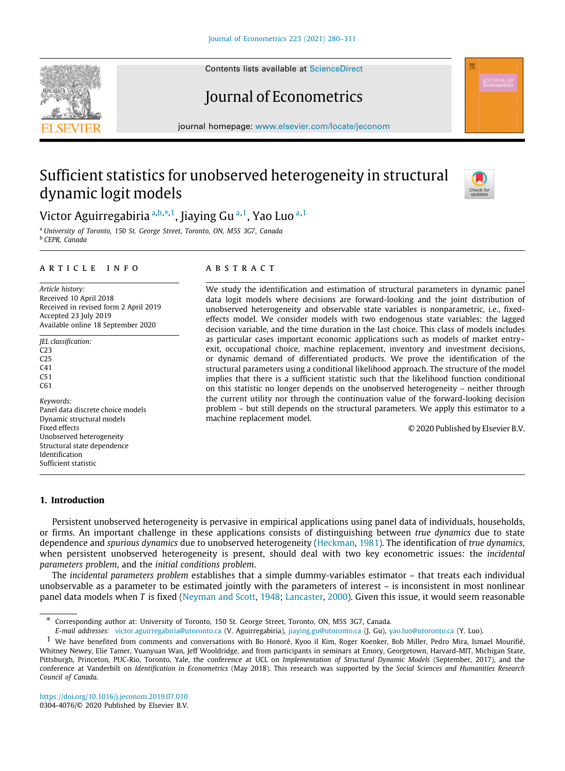Contents lists available at [ScienceDirect](http://www.elsevier.com/locate/jeconom)

# Journal of Econometrics

journal homepage: [www.elsevier.com/locate/jeconom](http://www.elsevier.com/locate/jeconom)

# Sufficient statistics for unobserved heterogeneity in structural dynamic logit models

Victor Aguirreg[a](#page-0-0)[b](#page-0-1)iria <sup>a,b,[∗](#page-0-2),[1](#page-0-3)</sup>, Jiaying Gu <sup>a,1</sup>, Yao Luo <sup>a,1</sup>

<span id="page-0-1"></span><span id="page-0-0"></span><sup>a</sup> *University of Toronto, 150 St. George Street, Toronto, ON, M5S 3G7, Canada* <sup>b</sup> *CEPR, Canada*

## a r t i c l e i n f o

*Article history:* Received 10 April 2018 Received in revised form 2 April 2019 Accepted 23 July 2019 Available online 18 September 2020

*JEL classification:*  $C<sub>23</sub>$  $C<sub>25</sub>$  $C<sub>41</sub>$ C51  $C61$ *Keywords:* Panel data discrete choice models Dynamic structural models Fixed effects Unobserved heterogeneity Structural state dependence Identification Sufficient statistic

## a b s t r a c t

We study the identification and estimation of structural parameters in dynamic panel data logit models where decisions are forward-looking and the joint distribution of unobserved heterogeneity and observable state variables is nonparametric, i.e., fixedeffects model. We consider models with two endogenous state variables: the lagged decision variable, and the time duration in the last choice. This class of models includes as particular cases important economic applications such as models of market entry– exit, occupational choice, machine replacement, inventory and investment decisions, or dynamic demand of differentiated products. We prove the identification of the structural parameters using a conditional likelihood approach. The structure of the model implies that there is a sufficient statistic such that the likelihood function conditional on this statistic no longer depends on the unobserved heterogeneity – neither through the current utility nor through the continuation value of the forward-looking decision problem – but still depends on the structural parameters. We apply this estimator to a machine replacement model.

© 2020 Published by Elsevier B.V.

## **1. Introduction**

Persistent unobserved heterogeneity is pervasive in empirical applications using panel data of individuals, households, or firms. An important challenge in these applications consists of distinguishing between *true dynamics* due to state dependence and *spurious dynamics* due to unobserved heterogeneity ([Heckman,](#page-31-0) [1981](#page-31-0)). The identification of *true dynamics*, when persistent unobserved heterogeneity is present, should deal with two key econometric issues: the *incidental parameters problem*, and the *initial conditions problem*.

The *incidental parameters problem* establishes that a simple dummy-variables estimator – that treats each individual unobservable as a parameter to be estimated jointly with the parameters of interest – is inconsistent in most nonlinear panel data models when *T* is fixed [\(Neyman and Scott](#page-31-1), [1948;](#page-31-1) [Lancaster,](#page-31-2) [2000](#page-31-2)). Given this issue, it would seem reasonable







<span id="page-0-2"></span><sup>∗</sup> Corresponding author at: University of Toronto, 150 St. George Street, Toronto, ON, M5S 3G7, Canada. *E-mail addresses:* [victor.aguirregabiria@utoronto.ca](mailto:victor.aguirregabiria@utoronto.ca) (V. Aguirregabiria), [jiaying.gu@utoronto.ca](mailto:jiaying.gu@utoronto.ca) (J. Gu), [yao.luo@utoronto.ca](mailto:yao.luo@utoronto.ca) (Y. Luo).

<span id="page-0-3"></span> $<sup>1</sup>$  We have benefited from comments and conversations with Bo Honoré, Kyoo il Kim, Roger Koenker, Bob Miller, Pedro Mira, Ismael Mourifié,</sup> Whitney Newey, Elie Tamer, Yuanyuan Wan, Jeff Wooldridge, and from participants in seminars at Emory, Georgetown, Harvard-MIT, Michigan State, Pittsburgh, Princeton, PUC-Rio, Toronto, Yale, the conference at UCL on *Implementation of Structural Dynamic Models* (September, 2017), and the conference at Vanderbilt on *Identification in Econometrics* (May 2018). This research was supported by the *Social Sciences and Humanities Research Council of Canada*.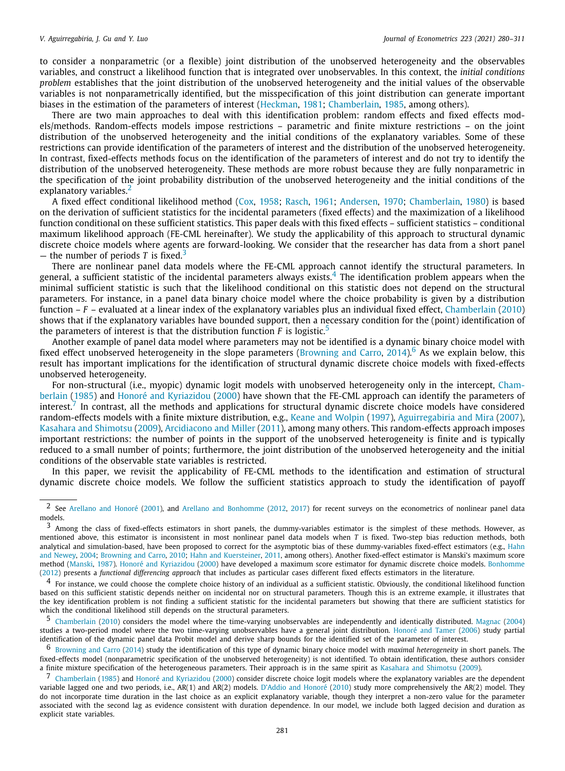to consider a nonparametric (or a flexible) joint distribution of the unobserved heterogeneity and the observables variables, and construct a likelihood function that is integrated over unobservables. In this context, the *initial conditions problem* establishes that the joint distribution of the unobserved heterogeneity and the initial values of the observable variables is not nonparametrically identified, but the misspecification of this joint distribution can generate important biases in the estimation of the parameters of interest ([Heckman](#page-31-0), [1981;](#page-31-0) [Chamberlain](#page-31-3), [1985](#page-31-3), among others).

There are two main approaches to deal with this identification problem: random effects and fixed effects models/methods. Random-effects models impose restrictions – parametric and finite mixture restrictions – on the joint distribution of the unobserved heterogeneity and the initial conditions of the explanatory variables. Some of these restrictions can provide identification of the parameters of interest and the distribution of the unobserved heterogeneity. In contrast, fixed-effects methods focus on the identification of the parameters of interest and do not try to identify the distribution of the unobserved heterogeneity. These methods are more robust because they are fully nonparametric in the specification of the joint probability distribution of the unobserved heterogeneity and the initial conditions of the explanatory variables.<sup>[2](#page-1-0)</sup>

<span id="page-1-0"></span>A fixed effect conditional likelihood method [\(Cox,](#page-31-4) [1958;](#page-31-4) [Rasch](#page-31-5), [1961;](#page-31-5) [Andersen](#page-30-0), [1970;](#page-30-0) [Chamberlain,](#page-31-6) [1980](#page-31-6)) is based on the derivation of sufficient statistics for the incidental parameters (fixed effects) and the maximization of a likelihood function conditional on these sufficient statistics. This paper deals with this fixed effects – sufficient statistics – conditional maximum likelihood approach (FE-CML hereinafter). We study the applicability of this approach to structural dynamic discrete choice models where agents are forward-looking. We consider that the researcher has data from a short panel — the number of periods *T* is fixed.<sup>[3](#page-1-1)</sup>

<span id="page-1-2"></span><span id="page-1-1"></span>There are nonlinear panel data models where the FE-CML approach cannot identify the structural parameters. In general, a sufficient statistic of the incidental parameters always exists.<sup>[4](#page-1-2)</sup> The identification problem appears when the minimal sufficient statistic is such that the likelihood conditional on this statistic does not depend on the structural parameters. For instance, in a panel data binary choice model where the choice probability is given by a distribution function – *F* – evaluated at a linear index of the explanatory variables plus an individual fixed effect, [Chamberlain](#page-31-7) ([2010\)](#page-31-7) shows that if the explanatory variables have bounded support, then a necessary condition for the (point) identification of the parameters of interest is that the distribution function  $F$  is logistic.<sup>[5](#page-1-3)</sup>

<span id="page-1-4"></span><span id="page-1-3"></span>Another example of panel data model where parameters may not be identified is a dynamic binary choice model with fixed effect unobserved heterogeneity in the slope parameters [\(Browning and Carro,](#page-31-8) [2014](#page-31-8)).<sup>[6](#page-1-4)</sup> As we explain below, this result has important implications for the identification of structural dynamic discrete choice models with fixed-effects unobserved heterogeneity.

<span id="page-1-5"></span>For non-structural (i.e., myopic) dynamic logit models with unobserved heterogeneity only in the intercept, [Cham](#page-31-3)[berlain](#page-31-3) [\(1985](#page-31-3)) and [Honoré and Kyriazidou](#page-31-9) [\(2000](#page-31-9)) have shown that the FE-CML approach can identify the parameters of interest.<sup>[7](#page-1-5)</sup> In contrast, all the methods and applications for structural dynamic discrete choice models have considered random-effects models with a finite mixture distribution, e.g., [Keane and Wolpin](#page-31-10) ([1997](#page-31-10)), [Aguirregabiria and Mira](#page-30-1) ([2007\)](#page-30-1), [Kasahara and Shimotsu](#page-31-11) ([2009\)](#page-31-11), [Arcidiacono and Miller](#page-30-2) [\(2011](#page-30-2)), among many others. This random-effects approach imposes important restrictions: the number of points in the support of the unobserved heterogeneity is finite and is typically reduced to a small number of points; furthermore, the joint distribution of the unobserved heterogeneity and the initial conditions of the observable state variables is restricted.

In this paper, we revisit the applicability of FE-CML methods to the identification and estimation of structural dynamic discrete choice models. We follow the sufficient statistics approach to study the identification of payoff

<sup>2</sup> See [Arellano and Honoré](#page-30-3) ([2001](#page-30-3)), and [Arellano and Bonhomme](#page-30-4) [\(2012,](#page-30-4) [2017\)](#page-30-5) for recent surveys on the econometrics of nonlinear panel data models.

<sup>3</sup> Among the class of fixed-effects estimators in short panels, the dummy-variables estimator is the simplest of these methods. However, as mentioned above, this estimator is inconsistent in most nonlinear panel data models when *T* is fixed. Two-step bias reduction methods, both analytical and simulation-based, have been proposed to correct for the asymptotic bias of these dummy-variables fixed-effect estimators (e.g., [Hahn](#page-31-12) [and Newey](#page-31-12), [2004](#page-31-12); [Browning and Carro](#page-30-6), [2010;](#page-30-6) [Hahn and Kuersteiner](#page-31-13), [2011,](#page-31-13) among others). Another fixed-effect estimator is Manski's maximum score method [\(Manski](#page-31-14), [1987\)](#page-31-14). [Honoré and Kyriazidou](#page-31-9) ([2000](#page-31-9)) have developed a maximum score estimator for dynamic discrete choice models. [Bonhomme](#page-30-7) ([2012](#page-30-7)) presents a *functional differencing approach* that includes as particular cases different fixed effects estimators in the literature.

 $<sup>4</sup>$  For instance, we could choose the complete choice history of an individual as a sufficient statistic. Obviously, the conditional likelihood function</sup> based on this sufficient statistic depends neither on incidental nor on structural parameters. Though this is an extreme example, it illustrates that the key identification problem is not finding a sufficient statistic for the incidental parameters but showing that there are sufficient statistics for which the conditional likelihood still depends on the structural parameters.<br> $\frac{5}{2}$  Chamberlain (2010) considers the model where the time-varying unob

<sup>5</sup> [Chamberlain](#page-31-7) ([2010](#page-31-7)) considers the model where the time-varying unobservables are independently and identically distributed. [Magnac](#page-31-15) [\(2004](#page-31-15)) studies a two-period model where the two time-varying unobservables have a general joint distribution. [Honoré and Tamer](#page-31-16) ([2006](#page-31-16)) study partial identification of the dynamic panel data Probit model and derive sharp bounds for the identified set of the parameter of interest.

<sup>6</sup> [Browning and Carro](#page-31-8) ([2014](#page-31-8)) study the identification of this type of dynamic binary choice model with *maximal heterogeneity* in short panels. The fixed-effects model (nonparametric specification of the unobserved heterogeneity) is not identified. To obtain identification, these authors consider a finite mixture specification of the heterogeneous parameters. Their approach is in the same spirit as [Kasahara and Shimotsu](#page-31-11) [\(2009\)](#page-31-11).

<sup>7</sup> [Chamberlain](#page-31-3) [\(1985\)](#page-31-3) and [Honoré and Kyriazidou](#page-31-9) ([2000](#page-31-9)) consider discrete choice logit models where the explanatory variables are the dependent variable lagged one and two periods, i.e., AR(1) and AR(2) models. [D'Addio and Honoré](#page-31-17) ([2010\)](#page-31-17) study more comprehensively the AR(2) model. They do not incorporate time duration in the last choice as an explicit explanatory variable, though they interpret a non-zero value for the parameter associated with the second lag as evidence consistent with duration dependence. In our model, we include both lagged decision and duration as explicit state variables.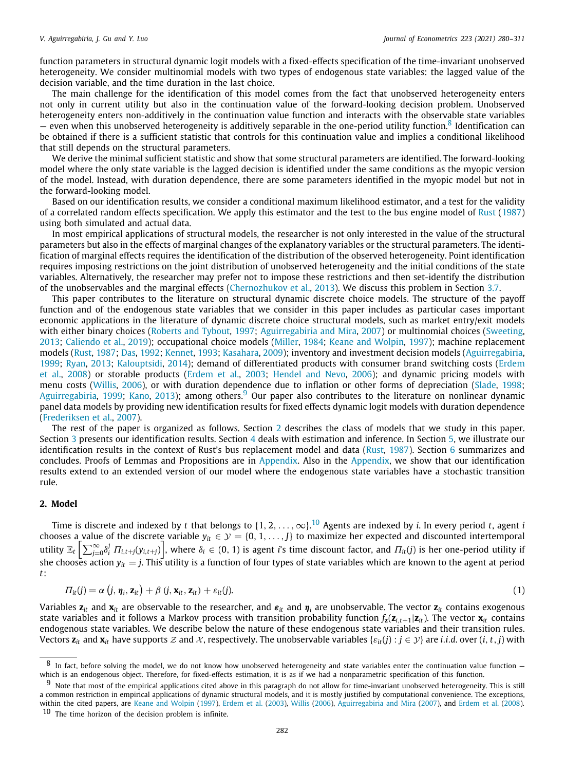function parameters in structural dynamic logit models with a fixed-effects specification of the time-invariant unobserved heterogeneity. We consider multinomial models with two types of endogenous state variables: the lagged value of the decision variable, and the time duration in the last choice.

The main challenge for the identification of this model comes from the fact that unobserved heterogeneity enters not only in current utility but also in the continuation value of the forward-looking decision problem. Unobserved heterogeneity enters non-additively in the continuation value function and interacts with the observable state variables  $-$  even when this unobserved heterogeneity is additively separable in the one-period utility function.<sup>[8](#page-2-0)</sup> Identification can be obtained if there is a sufficient statistic that controls for this continuation value and implies a conditional likelihood that still depends on the structural parameters.

<span id="page-2-0"></span>We derive the minimal sufficient statistic and show that some structural parameters are identified. The forward-looking model where the only state variable is the lagged decision is identified under the same conditions as the myopic version of the model. Instead, with duration dependence, there are some parameters identified in the myopic model but not in the forward-looking model.

Based on our identification results, we consider a conditional maximum likelihood estimator, and a test for the validity of a correlated random effects specification. We apply this estimator and the test to the bus engine model of [Rust](#page-31-18) ([1987\)](#page-31-18) using both simulated and actual data.

In most empirical applications of structural models, the researcher is not only interested in the value of the structural parameters but also in the effects of marginal changes of the explanatory variables or the structural parameters. The identification of marginal effects requires the identification of the distribution of the observed heterogeneity. Point identification requires imposing restrictions on the joint distribution of unobserved heterogeneity and the initial conditions of the state variables. Alternatively, the researcher may prefer not to impose these restrictions and then set-identify the distribution of the unobservables and the marginal effects ([Chernozhukov et al.,](#page-31-19) [2013\)](#page-31-19). We discuss this problem in Section [3.7](#page-15-0).

This paper contributes to the literature on structural dynamic discrete choice models. The structure of the payoff function and of the endogenous state variables that we consider in this paper includes as particular cases important economic applications in the literature of dynamic discrete choice structural models, such as market entry/exit models with either binary choices ([Roberts and Tybout,](#page-31-20) [1997](#page-31-20); [Aguirregabiria and Mira,](#page-30-1) [2007\)](#page-30-1) or multinomial choices ([Sweeting,](#page-31-21) [2013;](#page-31-21) [Caliendo et al.,](#page-31-22) [2019\)](#page-31-22); occupational choice models ([Miller,](#page-31-23) [1984;](#page-31-23) [Keane and Wolpin](#page-31-10), [1997](#page-31-10)); machine replacement models [\(Rust](#page-31-18), [1987;](#page-31-18) [Das,](#page-31-24) [1992](#page-31-24); [Kennet](#page-31-25), [1993;](#page-31-25) [Kasahara](#page-31-26), [2009\)](#page-31-26); inventory and investment decision models [\(Aguirregabiria,](#page-30-8) [1999;](#page-30-8) [Ryan,](#page-31-27) [2013;](#page-31-27) [Kalouptsidi](#page-31-28), [2014\)](#page-31-28); demand of differentiated products with consumer brand switching costs ([Erdem](#page-31-29) [et al.,](#page-31-29) [2008](#page-31-29)) or storable products ([Erdem et al.](#page-31-30), [2003;](#page-31-30) [Hendel and Nevo](#page-31-31), [2006\)](#page-31-31); and dynamic pricing models with menu costs ([Willis](#page-31-32), [2006\)](#page-31-32), or with duration dependence due to inflation or other forms of depreciation ([Slade](#page-31-33), [1998;](#page-31-33) [Aguirregabiria](#page-30-8), [1999;](#page-30-8) [Kano,](#page-31-34) [2013\)](#page-31-34); among others.<sup>[9](#page-2-1)</sup> Our paper also contributes to the literature on nonlinear dynamic panel data models by providing new identification results for fixed effects dynamic logit models with duration dependence [\(Frederiksen et al.,](#page-31-35) [2007\)](#page-31-35).

<span id="page-2-1"></span>The rest of the paper is organized as follows. Section [2](#page-2-2) describes the class of models that we study in this paper. Section [3](#page-5-0) presents our identification results. Section [4](#page-16-0) deals with estimation and inference. In Section [5](#page-18-0), we illustrate our identification results in the context of Rust's bus replacement model and data ([Rust,](#page-31-18) [1987](#page-31-18)). Section [6](#page-22-0) summarizes and concludes. Proofs of Lemmas and Propositions are in [Appendix.](#page-22-1) Also in the [Appendix](#page-22-1), we show that our identification results extend to an extended version of our model where the endogenous state variables have a stochastic transition rule.

## **2. Model**

<span id="page-2-2"></span>Time is discrete and indexed by *t* that belongs to {1, 2, . . . ,∞}. [10](#page-2-3) Agents are indexed by *i*. In every period *t*, agent *i* chooses a value of the discrete variable  $y_{it} \in \mathcal{Y} = \{0, 1, ..., J\}$  to maximize her expected and discounted intertemporal utility  $\mathbb{E}_t\left[\sum_{j=0}^{\infty}\delta_i^j\; \varPi_{i,t+j}(y_{i,t+j})\right]$ , where  $\delta_i\in(0,1)$  is agent i's time discount factor, and  $\varPi_{it}(j)$  is her one-period utility if she chooses action  $y_{it}=$   $j$ . This utility is a function of four types of state variables which are known to the agent at period *t*:

<span id="page-2-4"></span><span id="page-2-3"></span>
$$
\Pi_{it}(j) = \alpha \left( j, \eta_i, \mathbf{z}_{it} \right) + \beta \left( j, \mathbf{x}_{it}, \mathbf{z}_{it} \right) + \varepsilon_{it}(j). \tag{1}
$$

Variables  $\mathbf{z}_{it}$  and  $\mathbf{x}_{it}$  are observable to the researcher, and  $\bm{s}_{it}$  and  $\bm{\eta}_i$  are unobservable. The vector  $\mathbf{z}_{it}$  contains exogenous state variables and it follows a Markov process with transition probability function  $f_z(z_{i,t+1}|z_i)$ . The vector  $x_i$  contains endogenous state variables. We describe below the nature of these endogenous state variables and their transition rules. Vectors  $\mathbf{z}_i$  and  $\mathbf{x}_i$  have supports  $\mathcal{Z}$  and  $\mathcal{X}$ , respectively. The unobservable variables  $\{ \varepsilon_{it}(j) : j \in \mathcal{Y} \}$  are *i.i.d.* over  $(i, t, j)$  with

 $8$  In fact, before solving the model, we do not know how unobserved heterogeneity and state variables enter the continuation value function  $$ which is an endogenous object. Therefore, for fixed-effects estimation, it is as if we had a nonparametric specification of this function.

 $9$  Note that most of the empirical applications cited above in this paragraph do not allow for time-invariant unobserved heterogeneity. This is still a common restriction in empirical applications of dynamic structural models, and it is mostly justified by computational convenience. The exceptions, within the cited papers, are [Keane and Wolpin](#page-31-10) ([1997\)](#page-31-10), [Erdem et al.](#page-31-30) [\(2003\)](#page-31-30), [Willis](#page-31-32) ([2006\)](#page-31-32), [Aguirregabiria and Mira](#page-30-1) [\(2007](#page-30-1)), and [Erdem et al.](#page-31-29) [\(2008](#page-31-29)). 10 The time horizon of the decision problem is infinite.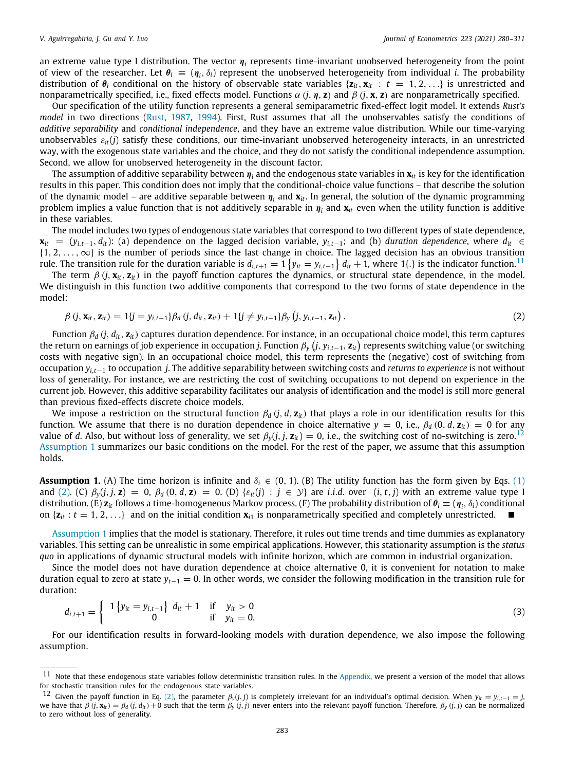an extreme value type I distribution. The vector  $\pmb{\eta}_i$  represents time-invariant unobserved heterogeneity from the point of view of the researcher. Let  $\theta_i \equiv (\eta_i, \delta_i)$  represent the unobserved heterogeneity from individual *i*. The probability distribution of  $\theta_i$  conditional on the history of observable state variables  $\{z_i, x_i : t = 1, 2, \ldots\}$  is unrestricted and nonparametrically specified, i.e., fixed effects model. Functions  $\alpha$  (*j*,  $\eta$ , **z**) and  $\beta$  (*j*, **x**, **z**) are nonparametrically specified.

Our specification of the utility function represents a general semiparametric fixed-effect logit model. It extends *Rust's model* in two directions [\(Rust](#page-31-18), [1987,](#page-31-18) [1994](#page-31-36)). First, Rust assumes that all the unobservables satisfy the conditions of *additive separability* and *conditional independence*, and they have an extreme value distribution. While our time-varying unobservables ε*it*(*j*) satisfy these conditions, our time-invariant unobserved heterogeneity interacts, in an unrestricted way, with the exogenous state variables and the choice, and they do not satisfy the conditional independence assumption. Second, we allow for unobserved heterogeneity in the discount factor.

The assumption of additive separability between  $\pmb{\eta}_i$  and the endogenous state variables in  $\pmb{x}_i$  is key for the identification results in this paper. This condition does not imply that the conditional-choice value functions – that describe the solution of the dynamic model – are additive separable between η*<sup>i</sup>* and **x***it*. In general, the solution of the dynamic programming problem implies a value function that is not additively separable in η*<sup>i</sup>* and **x***it* even when the utility function is additive in these variables.

The model includes two types of endogenous state variables that correspond to two different types of state dependence,  $\mathbf{x}_{it} = (y_{i,t-1}, d_{it})$ : (a) dependence on the lagged decision variable,  $y_{i,t-1}$ ; and (b) *duration dependence*, where  $d_{it} \in$  $\{1, 2, \ldots, \infty\}$  is the number of periods since the last change in choice. The lagged decision has an obvious transition rule. The transition rule for the duration variable is  $d_{i,t+1}=1$   $\{y_{it}=y_{i,t-1}\}$   $d_{it}+1$ , where 1{.} is the indicator function.<sup>[11](#page-3-0)</sup>

The term  $\beta$  (*j*,  $\mathbf{x}_{it}$ ,  $\mathbf{z}_{it}$ ) in the payoff function captures the dynamics, or structural state dependence, in the model. We distinguish in this function two additive components that correspond to the two forms of state dependence in the model:

<span id="page-3-3"></span><span id="page-3-1"></span><span id="page-3-0"></span>
$$
\beta(j, \mathbf{x}_{it}, \mathbf{z}_{it}) = 1\{j = y_{i,t-1}\}\beta_d(j, d_{it}, \mathbf{z}_{it}) + 1\{j \neq y_{i,t-1}\}\beta_y(j, y_{i,t-1}, \mathbf{z}_{it}).
$$
\n(2)

Function β*<sup>d</sup>* (*j*, *dit*, **z***it*) captures duration dependence. For instance, in an occupational choice model, this term captures the return on earnings of job experience in occupation *j*. Function β*<sup>y</sup>* ( *j*, *yi*,*t*−1, **z***it* ) represents switching value (or switching costs with negative sign). In an occupational choice model, this term represents the (negative) cost of switching from occupation *yi*,*t*−<sup>1</sup> to occupation *j*. The additive separability between switching costs and *returns to experience* is not without loss of generality. For instance, we are restricting the cost of switching occupations to not depend on experience in the current job. However, this additive separability facilitates our analysis of identification and the model is still more general than previous fixed-effects discrete choice models.

We impose a restriction on the structural function  $\beta_d$  (*j*, *d*,  $\mathbf{z}_{it}$ ) that plays a role in our identification results for this function. We assume that there is no duration dependence in choice alternative  $y = 0$ , i.e.,  $\beta_d$  (0, *d*,  $z_{it}$ ) = 0 for any value of *d*. Also, but without loss of generality, we set  $\beta_v(j, j, \mathbf{z}_i) = 0$ , i.e., the switching cost of no-switching is zero.<sup>[12](#page-3-1)</sup> [Assumption](#page-3-2) [1](#page-3-2) summarizes our basic conditions on the model. For the rest of the paper, we assume that this assumption holds.

<span id="page-3-2"></span>**Assumption 1.** (A) The time horizon is infinite and  $\delta_i \in (0, 1)$ . (B) The utility function has the form given by Eqs. [\(1\)](#page-2-4) and [\(2](#page-3-3)). (C)  $\beta_v(j, j, z) = 0$ ,  $\beta_d(0, d, z) = 0$ . (D)  $\{\varepsilon_{it}(j) : j \in \mathcal{Y}\}\$  are *i.i.d.* over  $(i, t, j)$  with an extreme value type I distribution. (E)  $\mathbf{z}_{it}$  follows a time-homogeneous Markov process. (F) The probability distribution of  $\theta_i\equiv(\pmb{\eta}_i,\delta_i)$  conditional on  $\{z_i : t = 1, 2, \ldots\}$  and on the initial condition  $x_i$  is nonparametrically specified and completely unrestricted.

[Assumption](#page-3-2) [1](#page-3-2) implies that the model is stationary. Therefore, it rules out time trends and time dummies as explanatory variables. This setting can be unrealistic in some empirical applications. However, this stationarity assumption is the *status quo* in applications of dynamic structural models with infinite horizon, which are common in industrial organization.

Since the model does not have duration dependence at choice alternative 0, it is convenient for notation to make duration equal to zero at state *yt*−<sup>1</sup> = 0. In other words, we consider the following modification in the transition rule for duration:

$$
d_{i,t+1} = \begin{cases} 1 \{y_{it} = y_{i,t-1}\} & d_{it} + 1 & \text{if } y_{it} > 0\\ 0 & \text{if } y_{it} = 0. \end{cases}
$$
 (3)

<span id="page-3-4"></span>For our identification results in forward-looking models with duration dependence, we also impose the following assumption.

 $11$  Note that these endogenous state variables follow deterministic transition rules. In the [Appendix](#page-22-1), we present a version of the model that allows for stochastic transition rules for the endogenous state variables.

<sup>&</sup>lt;sup>12</sup> Given the payoff function in Eq. [\(2\)](#page-3-3), the parameter  $\beta_y(j,j)$  is completely irrelevant for an individual's optimal decision. When  $y_{it} = y_{i,t-1} = j$ , we have that  $\beta$  (j,  $\mathbf{x}_{it}$ ) =  $\beta_d$  (j,  $d_{it}$ ) + 0 such that the term  $\beta_y$  (j, j) never enters into the relevant payoff function. Therefore,  $\beta_y$  (j, j) can be normalized to zero without loss of generality.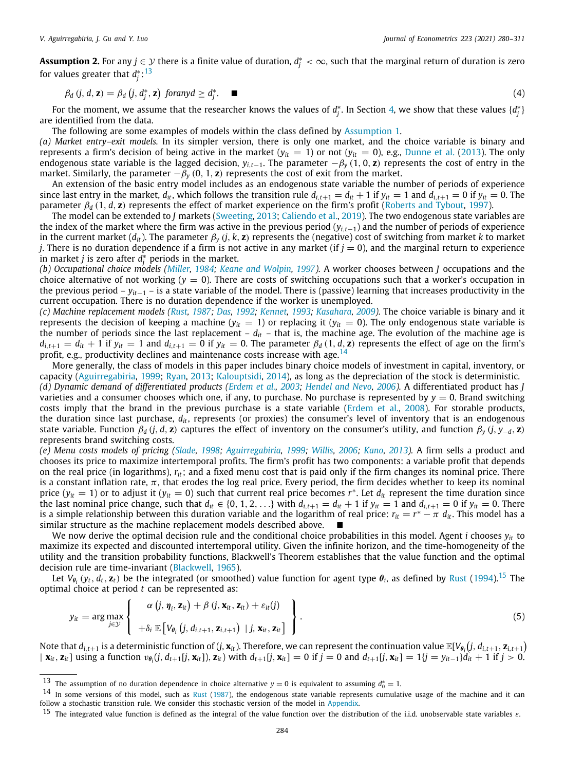**Assumption 2.** For any  $j \in \mathcal{Y}$  there is a finite value of duration,  $d_j^* < \infty$ , such that the marginal return of duration is zero for values greater that  $d_j^{\ast}\text{:}^{13}$  $d_j^{\ast}\text{:}^{13}$  $d_j^{\ast}\text{:}^{13}$ 

<span id="page-4-0"></span>
$$
\beta_d \left( j, d, \mathbf{z} \right) = \beta_d \left( j, d_j^*, \mathbf{z} \right) \text{ for any } d \ge d_j^*.
$$
 (4)

For the moment, we assume that the researcher knows the values of  $d_j^*$ . In Section [4,](#page-16-0) we show that these values  $\{d_j^*\}$ are identified from the data.

The following are some examples of models within the class defined by [Assumption](#page-3-2) [1](#page-3-2).

*(a) Market entry–exit models.* In its simpler version, there is only one market, and the choice variable is binary and represents a firm's decision of being active in the market  $(y_{it} = 1)$  or not  $(y_{it} = 0)$ , e.g., [Dunne et al.](#page-31-37) ([2013\)](#page-31-37). The only endogenous state variable is the lagged decision,  $y_{i,t-1}$ . The parameter  $-\beta_v(1,0,\mathbf{z})$  represents the cost of entry in the market. Similarly, the parameter  $-\beta_y$  (0, 1, **z**) represents the cost of exit from the market.

An extension of the basic entry model includes as an endogenous state variable the number of periods of experience since last entry in the market,  $d_{it}$ , which follows the transition rule  $d_{i,t+1} = d_{it} + 1$  if  $y_{it} = 1$  and  $d_{i,t+1} = 0$  if  $y_{it} = 0$ . The parameter  $\beta_d$  (1, *d*, **z**) represents the effect of market experience on the firm's profit [\(Roberts and Tybout,](#page-31-20) [1997\)](#page-31-20).

The model can be extended to *J* markets [\(Sweeting,](#page-31-21) [2013;](#page-31-21) [Caliendo et al.](#page-31-22), [2019](#page-31-22)). The two endogenous state variables are the index of the market where the firm was active in the previous period (*yi*,*t*−1) and the number of periods of experience in the current market (*dit*). The parameter β*<sup>y</sup>* (*j*, *k*, **z**) represents the (negative) cost of switching from market *k* to market *j*. There is no duration dependence if a firm is not active in any market (if  $j = 0$ ), and the marginal return to experience in market *j* is zero after  $d_j^*$  periods in the market.

*(b) Occupational choice models [\(Miller,](#page-31-23) [1984](#page-31-23); [Keane and Wolpin,](#page-31-10) [1997](#page-31-10)).* A worker chooses between *J* occupations and the choice alternative of not working  $(y = 0)$ . There are costs of switching occupations such that a worker's occupation in the previous period – *yit*−<sup>1</sup> – is a state variable of the model. There is (passive) learning that increases productivity in the current occupation. There is no duration dependence if the worker is unemployed.

*(c) Machine replacement models ([Rust,](#page-31-18) [1987;](#page-31-18) [Das,](#page-31-24) [1992;](#page-31-24) [Kennet](#page-31-25), [1993](#page-31-25); [Kasahara,](#page-31-26) [2009\)](#page-31-26).* The choice variable is binary and it represents the decision of keeping a machine ( $y_{it} = 1$ ) or replacing it ( $y_{it} = 0$ ). The only endogenous state variable is the number of periods since the last replacement – *dit* – that is, the machine age. The evolution of the machine age is  $d_{i,t+1} = d_{it} + 1$  if  $y_{it} = 1$  and  $d_{i,t+1} = 0$  if  $y_{it} = 0$ . The parameter  $\beta_d(1, d, z)$  represents the effect of age on the firm's profit, e.g., productivity declines and maintenance costs increase with age.<sup>[14](#page-4-1)</sup>

<span id="page-4-1"></span>More generally, the class of models in this paper includes binary choice models of investment in capital, inventory, or capacity ([Aguirregabiria,](#page-30-8) [1999;](#page-30-8) [Ryan](#page-31-27), [2013](#page-31-27); [Kalouptsidi](#page-31-28), [2014](#page-31-28)), as long as the depreciation of the stock is deterministic.

*(d) Dynamic demand of differentiated products ([Erdem et al.,](#page-31-30) [2003;](#page-31-30) [Hendel and Nevo](#page-31-31), [2006\)](#page-31-31).* A differentiated product has *J* varieties and a consumer chooses which one, if any, to purchase. No purchase is represented by  $y = 0$ . Brand switching costs imply that the brand in the previous purchase is a state variable ([Erdem et al.](#page-31-29), [2008\)](#page-31-29). For storable products, the duration since last purchase, *dit*, represents (or proxies) the consumer's level of inventory that is an endogenous state variable. Function  $\beta_d$  (*j*, *d*, **z**) captures the effect of inventory on the consumer's utility, and function  $\beta_v$  (*j*, *y*−*d*, **z**) represents brand switching costs.

*(e) Menu costs models of pricing [\(Slade](#page-31-33), [1998](#page-31-33); [Aguirregabiria,](#page-30-8) [1999](#page-30-8); [Willis](#page-31-32), [2006;](#page-31-32) [Kano,](#page-31-34) [2013](#page-31-34)).* A firm sells a product and chooses its price to maximize intertemporal profits. The firm's profit has two components: a variable profit that depends on the real price (in logarithms), *rit*; and a fixed menu cost that is paid only if the firm changes its nominal price. There is a constant inflation rate,  $\pi$ , that erodes the log real price. Every period, the firm decides whether to keep its nominal price ( $y_{it} = 1$ ) or to adjust it ( $y_{it} = 0$ ) such that current real price becomes  $r^*$ . Let  $d_{it}$  represent the time duration since the last nominal price change, such that  $d_{it} \in \{0, 1, 2, ...\}$  with  $d_{i,t+1} = d_{it} + 1$  if  $y_{it} = 1$  and  $d_{i,t+1} = 0$  if  $y_{it} = 0$ . There is a simple relationship between this duration variable and the logarithm of real price:  $r_{it}=r^*-\pi$   $d_{it}$ . This model has a similar structure as the machine replacement models described above. ■

We now derive the optimal decision rule and the conditional choice probabilities in this model. Agent *i* chooses *yit* to maximize its expected and discounted intertemporal utility. Given the infinite horizon, and the time-homogeneity of the utility and the transition probability functions, Blackwell's Theorem establishes that the value function and the optimal decision rule are time-invariant [\(Blackwell,](#page-30-9) [1965\)](#page-30-9).

Let  $V_{\theta_i}(y_t,d_t,\mathbf{z}_t)$  be the integrated (or smoothed) value function for agent type  $\theta_i$ , as defined by [Rust](#page-31-36) [\(1994](#page-31-36)).<sup>[15](#page-4-2)</sup> The optimal choice at period *t* can be represented as:

<span id="page-4-2"></span>
$$
y_{it} = \arg \max_{j \in \mathcal{Y}} \left\{ \begin{array}{c} \alpha \left( j, \eta_{i}, \mathbf{z}_{it} \right) + \beta \left( j, \mathbf{x}_{it}, \mathbf{z}_{it} \right) + \varepsilon_{it}(j) \\ + \delta_{i} \mathbb{E} \left[ V_{\theta_{i}} \left( j, d_{i,t+1}, \mathbf{z}_{i,t+1} \right) \mid j, \mathbf{x}_{it}, \mathbf{z}_{it} \right] \end{array} \right\}.
$$
\n(5)

Note that  $d_{i,t+1}$  is a deterministic function of  $(j,\mathbf{x}_{it})$ . Therefore, we can represent the continuation value  $\mathbb{E}[V_{\theta_i}\big(j,d_{i,t+1},\mathbf{z}_{i,t+1})$  $\mid \mathbf{x}_{it}, \mathbf{z}_{it} \mid$  using a function  $v_{\theta_i}(j, d_{t+1}[j, \mathbf{x}_{it}])$ ,  $\mathbf{z}_{it}$  with  $d_{t+1}[j, \mathbf{x}_{it}] = 0$  if  $j = 0$  and  $d_{t+1}[j, \mathbf{x}_{it}] = 1\{j = y_{it-1}\}\hat{d}_{it} + 1$  if  $j > 0$ .

<sup>&</sup>lt;sup>13</sup> The assumption of no duration dependence in choice alternative  $y = 0$  is equivalent to assuming  $d_0^* = 1$ .

 $14$  In some versions of this model, such as [Rust](#page-31-18) [\(1987\)](#page-31-18), the endogenous state variable represents cumulative usage of the machine and it can follow a stochastic transition rule. We consider this stochastic version of the model in [Appendix](#page-22-1).

<sup>&</sup>lt;sup>15</sup> The integrated value function is defined as the integral of the value function over the distribution of the i.i.d. unobservable state variables  $\varepsilon$ .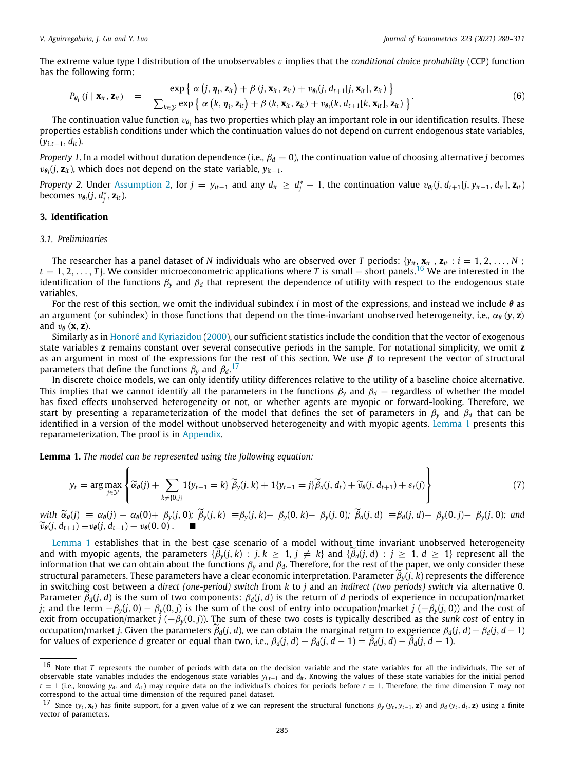The extreme value type I distribution of the unobservables ε implies that the *conditional choice probability* (CCP) function has the following form:

$$
P_{\theta_i} (j \mid \mathbf{x}_{it}, \mathbf{z}_{it}) = \frac{\exp \{ \alpha (j, \eta_i, \mathbf{z}_{it}) + \beta (j, \mathbf{x}_{it}, \mathbf{z}_{it}) + v_{\theta_i} (j, d_{t+1}[j, \mathbf{x}_{it}], \mathbf{z}_{it}) \}}{\sum_{k \in \mathcal{Y}} \exp \{ \alpha (k, \eta_i, \mathbf{z}_{it}) + \beta (k, \mathbf{x}_{it}, \mathbf{z}_{it}) + v_{\theta_i} (k, d_{t+1}[k, \mathbf{x}_{it}], \mathbf{z}_{it}) \}}.
$$
(6)

The continuation value function  $v_{\theta_i}$  has two properties which play an important role in our identification results. These properties establish conditions under which the continuation values do not depend on current endogenous state variables, (*yi*,*t*−1, *dit*).

*Property 1.* In a model without duration dependence (i.e.,  $\beta_d = 0$ ), the continuation value of choosing alternative *j* becomes vθ*i* (*j*, **z***it*), which does not depend on the state variable, *yit*−1.

Property 2. Under [Assumption](#page-3-4) [2](#page-3-4), for  $j = y_{it-1}$  and any  $d_{it} \ge d_j^* - 1$ , the continuation value  $v_{\theta_i}(j, d_{t+1}[j, y_{it-1}, d_{it}], z_{it})$ becomes  $v_{\theta_i}(j, d_j^*, \mathbf{z}_{it})$ .

## **3. Identification**

#### <span id="page-5-0"></span>*3.1. Preliminaries*

<span id="page-5-1"></span>The researcher has a panel dataset of *N* individuals who are observed over *T* periods:  $\{y_{it}, \mathbf{x}_{it}, \mathbf{z}_{it} : i = 1, 2, \ldots, N\}$  $t = 1, 2, \ldots, T$ . We consider microeconometric applications where *T* is small – short panels.<sup>[16](#page-5-1)</sup> We are interested in the identification of the functions  $\beta_y$  and  $\beta_d$  that represent the dependence of utility with respect to the endogenous state variables.

For the rest of this section, we omit the individual subindex *i* in most of the expressions, and instead we include θ as an argument (or subindex) in those functions that depend on the time-invariant unobserved heterogeneity, i.e.,  $\alpha_{\theta}(y, z)$ and  $v_{\theta}$  (**x**, **z**).

Similarly as in [Honoré and Kyriazidou](#page-31-9) [\(2000\)](#page-31-9), our sufficient statistics include the condition that the vector of exogenous state variables **z** remains constant over several consecutive periods in the sample. For notational simplicity, we omit **z** as an argument in most of the expressions for the rest of this section. We use  $\beta$  to represent the vector of structural parameters that define the functions  $\beta_{y}$  and  $\beta_{d}$ .<sup>[17](#page-5-2)</sup>

In discrete choice models, we can only identify utility differences relative to the utility of a baseline choice alternative. This implies that we cannot identify all the parameters in the functions  $\beta_y$  and  $\beta_d$  — regardless of whether the model has fixed effects unobserved heterogeneity or not, or whether agents are myopic or forward-looking. Therefore, we start by presenting a reparameterization of the model that defines the set of parameters in β*<sup>y</sup>* and β*<sup>d</sup>* that can be identified in a version of the model without unobserved heterogeneity and with myopic agents. [Lemma](#page-5-3) [1](#page-5-3) presents this reparameterization. The proof is in [Appendix.](#page-22-1)

<span id="page-5-3"></span>**Lemma 1.** *The model can be represented using the following equation:*

<span id="page-5-4"></span><span id="page-5-2"></span>
$$
y_t = \arg \max_{j \in \mathcal{Y}} \left\{ \widetilde{\alpha}_{\theta}(j) + \sum_{k \neq \{0,j\}} \mathbb{1}\{y_{t-1} = k\} \widetilde{\beta}_y(j,k) + \mathbb{1}\{y_{t-1} = j\} \widetilde{\beta}_d(j,d_t) + \widetilde{\nu}_{\theta}(j,d_{t+1}) + \varepsilon_t(j) \right\}
$$
(7)

with  $\widetilde{\alpha}_{\theta}(j) \equiv \alpha_{\theta}(j) - \alpha_{\theta}(0) + \beta_{\nu}(j, 0); \ \widetilde{\beta}_{\nu}(j, k) \equiv \beta_{\nu}(j, k) - \beta_{\nu}(0, k) - \beta_{\nu}(j, 0); \ \widetilde{\beta}_{d}(j, d) \equiv \beta_{d}(j, d) - \beta_{\nu}(0, j) - \beta_{\nu}(j, 0);$  and  $\widetilde{v}_{\theta}(j, d_{t+1}) \equiv v_{\theta}(j, d_{t+1}) - v_{\theta}(0, 0)$ .

[Lemma](#page-5-3) [1](#page-5-3) establishes that in the best case scenario of a model without time invariant unobserved heterogeneity and with myopic agents, the parameters  $\{\beta_y(j, k) : j, k \ge 1, j \ne k\}$  and  $\{\beta_d(j, d) : j \ge 1, d \ge 1\}$  represent all the information that we can obtain about the functions  $\beta_y$  and  $\beta_d$ . Therefore, for the rest of the paper, we only consider these structural parameters. These parameters have a clear economic interpretation. Parameter  $\tilde{\beta}_y(j, k)$  represents the difference in switching cost between a *direct (one-period) switch* from *k* to *j* and an *indirect (two periods) switch* via alternative 0. Parameter  $\beta_d(j, d)$  is the sum of two components:  $\beta_d(j, d)$  is the return of *d* periods of experience in occupation/market *j*; and the term  $-\beta_\nu(j, 0) - \beta_\nu(0, j)$  is the sum of the cost of entry into occupation/market *j* ( $-\beta_\nu(j, 0)$ ) and the cost of exit from occupation/market *j* (−β*y*(0, *j*)). The sum of these two costs is typically described as the *sunk cost* of entry in occupation/market *<sup>j</sup>*. Given the parameters ˜β*d*(*j*, *<sup>d</sup>*), we can obtain the marginal return to experience <sup>β</sup>*d*(*j*, *<sup>d</sup>*)−β*d*(*j*, *<sup>d</sup>*−1) for values of experience *d* greater or equal than two, i.e.,  $\beta_d(j, d) - \beta_d(j, d - 1) = \tilde{\beta}_d(j, d) - \tilde{\beta}_d(j, d - 1)$ .

<sup>&</sup>lt;sup>16</sup> Note that *T* represents the number of periods with data on the decision variable and the state variables for all the individuals. The set of observable state variables includes the endogenous state variables *yi*,*t*−<sup>1</sup> and *dit* . Knowing the values of these state variables for the initial period  $t = 1$  (i.e., knowing  $y_{i0}$  and  $d_{i1}$ ) may require data on the individual's choices for periods before  $t = 1$ . Therefore, the time dimension *T* may not correspond to the actual time dimension of the required panel dataset.

<sup>&</sup>lt;sup>17</sup> Since  $(y_t, \mathbf{x}_t)$  has finite support, for a given value of **z** we can represent the structural functions  $\beta_y(y_t, y_{t-1}, \mathbf{z})$  and  $\beta_d(y_t, d_t, \mathbf{z})$  using a finite vector of parameters.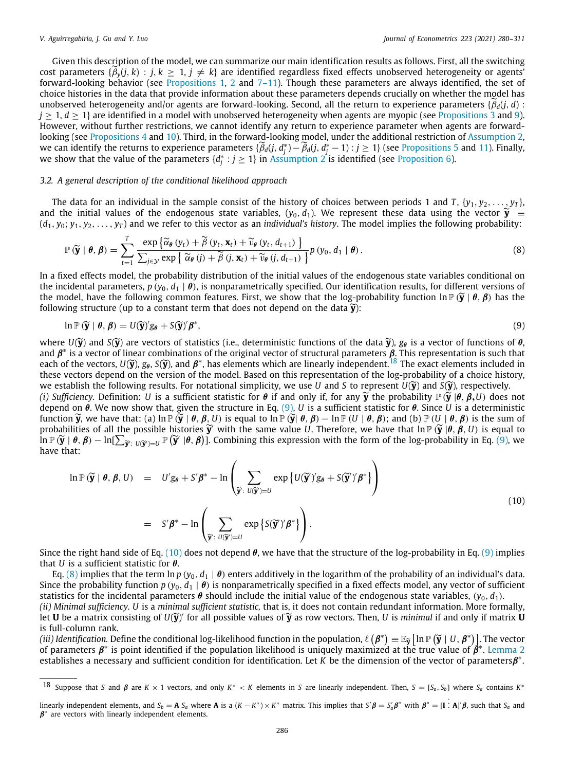Given this description of the model, we can summarize our main identification results as follows. First, all the switching cost parameters { $\beta_y(j,k)$  :  $j, k \geq 1, j \neq k$ } are identified regardless fixed effects unobserved heterogeneity or agents' forward-looking behavior (see [Propositions](#page-8-0) [1,](#page-8-0) [2](#page-8-1) and  $7-11$  $7-11$  $7-11$ ). Though these parameters are always identified, the set of choice histories in the data that provide information about these parameters depends crucially on whether the model has unobserved heterogeneity and/or agents are forward-looking. Second, all the return to experience parameters  $\{\hat{\beta}_d(i, d):$  $j \ge 1$ ,  $d \ge 1$ } are identified in a model with unobserved heterogeneity when agents are myopic (see [Propositions](#page-9-0) [3](#page-9-0) and [9\)](#page-13-0). However, without further restrictions, we cannot identify any return to experience parameter when agents are forward-looking (see [Propositions](#page-10-0) [4](#page-10-0) and [10\)](#page-14-0). Third, in the forward-looking model, under the additional restriction of [Assumption](#page-3-4) [2,](#page-3-4) we can identify the returns to experience parameters  $\{\widetilde{\beta}_d(j, d_i^*) - \widetilde{\beta}_d(j, d_i^* - 1) : j \ge 1\}$  (see [Propositions](#page-10-1) [5](#page-10-1) and [11\)](#page-15-1). Finally, we show that the value of the parameters  $\{d_j^*: j \geq 1\}$  in [Assumption](#page-3-4) [2](#page-3-4) is identified (see [Proposition](#page-11-0) [6\)](#page-11-0).

#### *3.2. A general description of the conditional likelihood approach*

The data for an individual in the sample consist of the history of choices between periods 1 and  $T$ , { $y_1$ ,  $y_2$ , ...,  $y_T$ }, and the initial values of the endogenous state variables,  $(y_0, d_1)$ . We represent these data using the vector  $\widetilde{y}$  ≡  $(d_1, y_0; y_1, y_2, \ldots, y_T)$  and we refer to this vector as an *individual's history*. The model implies the following probability:

<span id="page-6-3"></span>
$$
\mathbb{P}\left(\widetilde{\mathbf{y}}\mid \boldsymbol{\theta},\boldsymbol{\beta}\right)=\sum_{t=1}^{T} \frac{\exp\left\{\widetilde{\alpha}_{\boldsymbol{\theta}}\left(y_{t}\right)+\widetilde{\beta}\left(y_{t},\mathbf{x}_{t}\right)+\widetilde{v}_{\boldsymbol{\theta}}\left(y_{t},d_{t+1}\right)\right\}}{\sum_{j\in\mathcal{Y}} \exp\left\{\widetilde{\alpha}_{\boldsymbol{\theta}}\left(j\right)+\widetilde{\beta}\left(j,\mathbf{x}_{t}\right)+\widetilde{v}_{\boldsymbol{\theta}}\left(j,d_{t+1}\right)\right\}} p\left(y_{0},d_{1} \mid \boldsymbol{\theta}\right).
$$
\n(8)

In a fixed effects model, the probability distribution of the initial values of the endogenous state variables conditional on the incidental parameters,  $p(y_0, d_1 | \theta)$ , is nonparametrically specified. Our identification results, for different versions of the model, have the following common features. First, we show that the log-probability function  $\ln \mathbb{P}(\tilde{\mathbf{y}} \mid \theta, \beta)$  has the following structure (up to a constant term that does not depend on the data  $\widetilde{\mathbf{v}}$ ):

<span id="page-6-1"></span><span id="page-6-0"></span>
$$
\ln \mathbb{P}\left(\widetilde{\mathbf{y}} \mid \boldsymbol{\theta}, \boldsymbol{\beta}\right) = U(\widetilde{\mathbf{y}})'g_{\boldsymbol{\theta}} + S(\widetilde{\mathbf{y}})'\boldsymbol{\beta}^*,\tag{9}
$$

where  $U(\widetilde{y})$  and  $S(\widetilde{y})$  are vectors of statistics (i.e., deterministic functions of the data  $\widetilde{y}$ ),  $g_{\theta}$  is a vector of functions of  $\theta$ , and  $\beta^*$  is a vector of linear combinations of the original vector of structural parameters  $\beta$ . This representation is such that each of the vectors,  $U(\widetilde{y})$ ,  $g_{\theta}$ ,  $S(\widetilde{y})$ , and  $\beta^*$ , has elements which are linearly independent.<sup>[18](#page-6-0)</sup> The exact elements included in the vectors depend on the version of the model. Based on this representatio these vectors depend on the version of the model. Based on this representation of the log-probability of a choice history, we establish the following results. For notational simplicity, we use *U* and *S* to represent  $U(\tilde{y})$  and  $S(\tilde{y})$ , respectively.

*(i) Sufficiency.* Definition: *U* is a sufficient statistic for  $\theta$  if and only if, for any  $\widetilde{y}$  the probability  $\mathbb{P}(\widetilde{y} | \theta, \beta, U)$  does not depend on θ. We now show that, given the structure in Eq. ([9](#page-6-1)), *U* is a sufficient statistic for θ. Since *U* is a deterministic function  $\widetilde{y}$ , we have that: (a)  $\ln \mathbb{P}(\widetilde{y} | \theta, \beta, U)$  is equal to  $\ln \mathbb{P}(\widetilde{y} | \theta, \beta) - \ln \mathbb{P}(U | \theta, \beta)$ ; and (b)  $\mathbb{P}(U | \theta, \beta)$  is the sum of probabilities of all the possible histories  $\tilde{\mathbf{y}}'$  with the same value *U*. Therefore, we have that  $\ln \mathbb{P}(\tilde{\mathbf{y}}'|\theta, \beta, U)$  is equal to  $\ln \mathbb{P}(\tilde{\mathbf{y}}'|\theta, \theta) = \ln \sum_{x} \mathbb{P}(\tilde{\mathbf{y}}'|\theta, \beta)$  Combining this ex  $\hat{\textbf{I}}$ n P  $(\widetilde{\textbf{y}}\mid \theta, \boldsymbol{\beta}) - \ln[\sum_{\widetilde{\textbf{y}}': \upsilon(\widetilde{\textbf{y}}') = U} \mathbb{P}\left(\widetilde{\textbf{y}}'\mid \theta, \boldsymbol{\beta}\right)].$  Combining this expression with the form of the log-probability in Eq. ([9\)](#page-6-1), we<br>have that have that:

<span id="page-6-2"></span>
$$
\ln \mathbb{P}(\widetilde{\mathbf{y}} \mid \boldsymbol{\theta}, \boldsymbol{\beta}, U) = U'g_{\boldsymbol{\theta}} + S'\boldsymbol{\beta}^* - \ln \left( \sum_{\widetilde{\mathbf{y}}': U(\widetilde{\mathbf{y}}') = U} \exp \{ U(\widetilde{\mathbf{y}}')'g_{\boldsymbol{\theta}} + S(\widetilde{\mathbf{y}}')'\boldsymbol{\beta}^* \} \right)
$$
  

$$
= S'\boldsymbol{\beta}^* - \ln \left( \sum_{\widetilde{\mathbf{y}}': U(\widetilde{\mathbf{y}}') = U} \exp \{ S(\widetilde{\mathbf{y}}')'\boldsymbol{\beta}^* \} \right). \tag{10}
$$

Since the right hand side of Eq. ([10](#page-6-2)) does not depend  $\theta$ , we have that the structure of the log-probability in Eq. ([9](#page-6-1)) implies that *U* is a sufficient statistic for θ.

Eq. [\(8\)](#page-6-3) implies that the term  $\ln p$  ( $y_0$ ,  $d_1 | \theta$ ) enters additively in the logarithm of the probability of an individual's data. Since the probability function  $p(y_0, d_1 | \theta)$  is nonparametrically specified in a fixed effects model, any vector of sufficient statistics for the incidental parameters  $\theta$  should include the initial value of the endogenous state variables,  $(y_0, d_1)$ .

*(ii) Minimal sufficiency. U* is a *minimal sufficient statistic,* that is, it does not contain redundant information. More formally, let **<sup>U</sup>** be a matrix consisting of *<sup>U</sup>*(˜**y**) ′ for all possible values of˜**<sup>y</sup>** as row vectors. Then, *<sup>U</sup>* is *minimal* if and only if matrix **<sup>U</sup>** is full-column rank.

(*iii*) Identification. Define the conditional log-likelihood function in the population,  $\ell(\beta^*) = \mathbb{E}_{\tilde{Y}} [\ln \mathbb{P}(\tilde{Y} \mid U, \beta^*)]$ . The vector  $\alpha^*$  is point identified if the population likelihood is uniquely maximi of parameters  $\pmb{\beta}^*$  is point identified if the population likelihood is uniquely maximized at the true value of  $\pmb{\beta}^*$ . [Lemma](#page-6-4) [2](#page-6-4) establishes a necessary and sufficient condition for identification. Let K be the dimension of the vector of parametersβ<sup>\*</sup>.

<span id="page-6-4"></span><sup>&</sup>lt;sup>18</sup> Suppose that S and  $\beta$  are K  $\times$  1 vectors, and only K<sup>\*</sup> < K elements in S are linearly independent. Then, S = [S<sub>a</sub>, S<sub>b</sub>] where S<sub>a</sub> contains K<sup>\*</sup>

linearly independent elements, and  $S_b = \mathbf{A} S_a$  where  $\mathbf{A}$  is a  $(K - K^*) \times K^*$  matrix. This implies that  $S' \boldsymbol{\beta} = S'_a \boldsymbol{\beta}^*$  with  $\boldsymbol{\beta}^* = [\mathbf{I} : \mathbf{A}]' \boldsymbol{\beta}$ , such that  $S_a$  and  $\beta^*$  are vectors with linearly independent elements.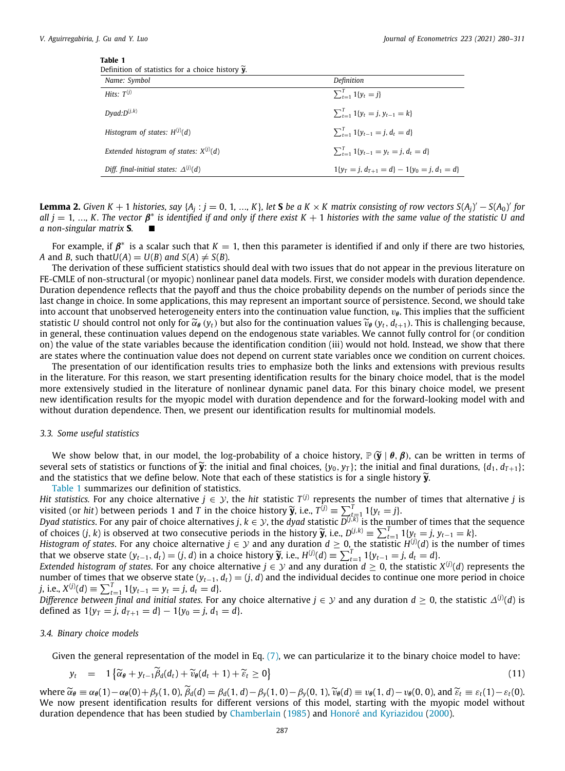<span id="page-7-0"></span>

| Definition of statistics for a choice history $\mathbf{v}$ . |                                                     |
|--------------------------------------------------------------|-----------------------------------------------------|
| Name: Symbol                                                 | Definition                                          |
| Hits: $T^{(j)}$                                              | $\sum_{t=1}^{I} 1\{y_t = i\}$                       |
| $Dyad: D^{(j,k)}$                                            | $\sum_{t=1}^{T} 1\{y_t = j, y_{t-1} = k\}$          |
| Histogram of states: $H^{(j)}(d)$                            | $\sum_{t=1}^{T} 1\{v_{t-1} = i, d_t = d\}$          |
| Extended histogram of states: $X^{(j)}(d)$                   | $\sum_{t=1}^{T} 1\{y_{t-1} = y_t = j, d_t = d\}$    |
| Diff. final-initial states: $\Delta^{(j)}(d)$                | $1\{v_T = i, d_{T+1} = d\} - 1\{v_0 = i, d_1 = d\}$ |

**Lemma 2.** Given K + 1 histories, say {A<sub>j</sub> :  $j = 0, 1, ..., K$ }, let **S** be a K  $\times$  K matrix consisting of row vectors S(A<sub>j</sub>)'  $-S(A_0)$ ' for  $all j = 1, ..., K$ . The vector  $\pmb{\beta}^*$  is identified if and only if there exist  $K+1$  histories with the same value of the statistic U and *a* non-singular matrix **S**.

For example, if  $\beta^*$  is a scalar such that  $K=1$ , then this parameter is identified if and only if there are two histories, *A* and *B*, such that  $U(A) = U(B)$  *and*  $S(A) \neq S(B)$ .

The derivation of these sufficient statistics should deal with two issues that do not appear in the previous literature on FE-CMLE of non-structural (or myopic) nonlinear panel data models. First, we consider models with duration dependence. Duration dependence reflects that the payoff and thus the choice probability depends on the number of periods since the last change in choice. In some applications, this may represent an important source of persistence. Second, we should take into account that unobserved heterogeneity enters into the continuation value function,  $v_{\theta}$ . This implies that the sufficient statistic *U* should control not only for  $\tilde{\alpha}_{\theta}(y_t)$  but also for the continuation values  $\tilde{v}_{\theta}(y_t, d_{t+1})$ . This is challenging because, in general, these continuation values depend on the endogenous state variables. We cannot fully control for (or condition on) the value of the state variables because the identification condition (iii) would not hold. Instead, we show that there are states where the continuation value does not depend on current state variables once we condition on current choices.

The presentation of our identification results tries to emphasize both the links and extensions with previous results in the literature. For this reason, we start presenting identification results for the binary choice model, that is the model more extensively studied in the literature of nonlinear dynamic panel data. For this binary choice model, we present new identification results for the myopic model with duration dependence and for the forward-looking model with and without duration dependence. Then, we present our identification results for multinomial models.

### *3.3. Some useful statistics*

We show below that, in our model, the log-probability of a choice history,  $\mathbb{P}(\tilde{y} | \theta, \beta)$ , can be written in terms of several sets of statistics or functions of  $\tilde{y}$ : the initial and final choices, {*y*<sub>0</sub>, *y*<sub>1</sub>}; the initial and final durations, {*d*<sub>1</sub>, *d*<sub>*T*+1</sub>}; and the statistics that we define below. Note that each of these statistics is for a single history  $\tilde{y}$ .

[Table](#page-7-0) [1](#page-7-0) summarizes our definition of statistics.

*Hit statistics.* For any choice alternative  $j \in \mathcal{Y}$ , the *hit statistic*  $T^{(j)}$  represents the number of times that alternative *j* is visited (or *hit*) between periods 1 and *T* in the choice history  $\tilde{y}$ , i.e.,  $T^{(j)} \equiv \sum_{t=1}^{T} 1 \{y_t = j\}$ .<br>Dyed statistics For any pair of choice alternatives  $j, k \in \mathcal{Y}$ , the dyed statistic  $D^{(j,k)}$  is the num

*Dyad statistics.* For any pair of choice alternatives *j*,  $k\in\mathcal{Y}$ , the *dyad statistic*  $\overline{D^{(j,k)}}$  *is the number of times that the sequence* of choices  $(j, k)$  is observed at two consecutive periods in the history  $\widetilde{y}$ , i.e.,  $D^{(j,k)} \equiv \sum_{t=1}^{T} 1 \{y_t = j, y_{t-1} = k\}$ .<br>Histogram of states For any choice alternative  $i \in \mathcal{Y}$  and any duration  $d > 0$ , the sta

*Histogram of states.* For any choice alternative  $j\in\mathcal{Y}$  and any duration  $d\geq 0$ , the statistic  $H^{(j)}(d)$  is the number of times that we observe state  $(y_{t-1}, d_t) = (j, d)$  in a choice history  $\widetilde{y}$ , i.e.,  $H^{(j)}(d) \equiv \sum_{t=1}^T 1\{y_{t-1} = j, d_t = d\}$ .<br>Extended histogram of states. For any choice alternative  $i \in \mathcal{Y}$  and any duration  $d > 0$ , the stat

*Extended histogram of states.* For any choice alternative  $j \in \mathcal{Y}$  and any duration  $d \geq 0$ , the statistic  $X^{(j)}(d)$  represents the number of times that we observe state  $(y<sub>t-1</sub>, d<sub>t</sub>) = (j, d)$  and the individual decides to continue one more period in choice *j*, i.e.,  $X^{(j)}(d) \equiv \sum_{t=1}^{T} 1\{y_{t-1} = y_t = j, d_t = d\}.$ 

*Difference between final and initial states. For any choice alternative*  $j\in\mathcal{Y}$  *and any duration*  $d\geq 0$ *, the statistic*  $\varDelta^{(j)}(d)$  *is* defined as  $1\{y_T = j, d_{T+1} = d\} - 1\{y_0 = j, d_1 = d\}.$ 

#### *3.4. Binary choice models*

Given the general representation of the model in Eq. ([7](#page-5-4)), we can particularize it to the binary choice model to have:

<span id="page-7-1"></span>
$$
y_t = 1\left\{\widetilde{\alpha}_{\theta} + y_{t-1}\widetilde{\beta}_d(d_t) + \widetilde{v}_{\theta}(d_t + 1) + \widetilde{\varepsilon}_t \ge 0\right\}
$$
\n(11)

 $\hat{\alpha}_{\theta} \equiv \alpha_{\theta}(1) - \alpha_{\theta}(0) + \beta_{y}(1, 0), \ \tilde{\beta}_{d}(d) = \beta_{d}(1, d) - \beta_{y}(1, 0) - \beta_{y}(0, 1), \ \tilde{\nu}_{\theta}(d) \equiv v_{\theta}(1, d) - v_{\theta}(0, 0), \text{ and } \tilde{\epsilon}_{t} \equiv \epsilon_{t}(1) - \epsilon_{t}(0).$ We now present identification results for different versions of this model, starting with the myopic model without duration dependence that has been studied by [Chamberlain](#page-31-3) [\(1985\)](#page-31-3) and [Honoré and Kyriazidou](#page-31-9) ([2000\)](#page-31-9).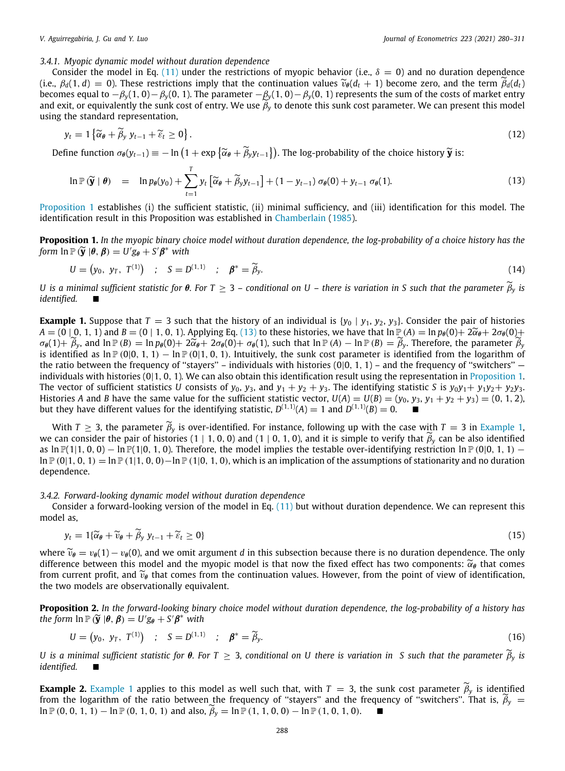#### *3.4.1. Myopic dynamic model without duration dependence*

Consider the model in Eq. [\(11\)](#page-7-1) under the restrictions of myopic behavior (i.e.,  $\delta = 0$ ) and no duration dependence (i.e.,  $\beta_d(1, d) = 0$ ). These restrictions imply that the continuation values  $\tilde{\nu}_{\theta}(d_t + 1)$  become zero, and the term  $\tilde{\beta}_d(d_t)$ becomes equal to −β*y*(1, 0)−β*y*(0, 1). The parameter −β*y*(1, 0)−β*y*(0, 1) represents the sum of the costs of market entry and exit, or equivalently the sunk cost of entry. We use  $\beta_y$  to denote this sunk cost parameter. We can present this model using the standard representation,

$$
y_t = 1 \left\{ \widetilde{\alpha}_{\theta} + \widetilde{\beta}_y \ y_{t-1} + \widetilde{\varepsilon}_t \ge 0 \right\}.
$$
 (12)

Define function  $\sigma_{\theta}(y_{t-1}) \equiv -\ln\left(1 + \exp\left\{\widetilde{\alpha}_{\theta} + \widetilde{\beta}_y y_{t-1}\right\}\right)$ . The log-probability of the choice history  $\widetilde{\mathbf{y}}$  is:

<span id="page-8-2"></span>
$$
\ln \mathbb{P}\left(\widetilde{\mathbf{y}}\mid \boldsymbol{\theta}\right) = \ln p_{\boldsymbol{\theta}}(y_0) + \sum_{t=1}^{T} y_t \left[\widetilde{\alpha}_{\boldsymbol{\theta}} + \widetilde{\beta}_y y_{t-1}\right] + (1 - y_{t-1}) \sigma_{\boldsymbol{\theta}}(0) + y_{t-1} \sigma_{\boldsymbol{\theta}}(1). \tag{13}
$$

[Proposition](#page-8-0) [1](#page-8-0) establishes (i) the sufficient statistic, (ii) minimal sufficiency, and (iii) identification for this model. The identification result in this Proposition was established in [Chamberlain](#page-31-3) ([1985](#page-31-3)).

<span id="page-8-0"></span>**Proposition 1.** *In the myopic binary choice model without duration dependence, the log-probability of a choice history has the form*  $\ln \mathbb{P}(\widetilde{\mathbf{y}} | \theta, \beta) = U' g_{\theta} + S' \beta^*$  with

$$
U = (y_0, y_T, T^{(1)}) \quad ; \quad S = D^{(1,1)} \quad ; \quad \beta^* = \widetilde{\beta}_y. \tag{14}
$$

*U* is a minimal sufficient statistic for θ. For T ≥ 3 – conditional on U – there is variation in S such that the parameter  $\beta$ <sup>*γ*</sup> is  $identified.$ 

<span id="page-8-3"></span>**Example 1.** Suppose that  $T = 3$  such that the history of an individual is  $\{y_0 \mid y_1, y_2, y_3\}$ . Consider the pair of histories *A* = (0 | 0, 1, 1) and *B* = (0 | 1, 0, 1). Applying Eq. ([13](#page-8-2)) to these histories, we have that  $\ln \mathbb{P}(A) = \ln p_{\theta}(0) + 2\tilde{\alpha}_{\theta} + 2\sigma_{\theta}(0) + 2\tilde{\alpha}_{\theta}$  $\sigma_{\theta}(1)+\widetilde{\beta}_{y}$ , and  $\ln \mathbb{P}(B) = \ln p_{\theta}(0)+2\widetilde{\alpha}_{\theta}+2\sigma_{\theta}(0)+\sigma_{\theta}(1)$ , such that  $\ln \mathbb{P}(A) - \ln \mathbb{P}(B) = \widetilde{\beta}_{y}$ . Therefore, the parameter  $\widetilde{\beta}_{y}$ is identified as  $\ln \mathbb{P}(0|0, 1, 1) - \ln \mathbb{P}(0|1, 0, 1)$ . Intuitively, the sunk cost parameter is identified from the logarithm of the ratio between the frequency of "stayers" – individuals with histories  $(0|0, 1, 1)$  – and the frequency of "switchers" – individuals with histories (0|1, 0, 1)*.* We can also obtain this identification result using the representation in [Proposition](#page-8-0) [1.](#page-8-0) The vector of sufficient statistics *U* consists of  $y_0$ ,  $y_3$ , and  $y_1 + y_2 + y_3$ . The identifying statistic *S* is  $y_0y_1 + y_1y_2 + y_2y_3$ . Histories *A* and *B* have the same value for the sufficient statistic vector,  $U(A) = U(B) = (y_0, y_3, y_1 + y_2 + y_3) = (0, 1, 2)$ , but they have different values for the identifying statistic,  $D^{(1,1)}(A) = 1$  and  $D^{(1,1)}(B) = 0$ .

With  $T \geq 3$ , the parameter  $\tilde{\beta}_y$  is over-identified. For instance, following up with the case with  $T = 3$  in [Example](#page-8-3) [1,](#page-8-3) we can consider the pair of histories (1 | 1, 0, 0) and (1 | 0, 1, 0), and it is simple to verify that  $\tilde{\beta}_y$  can be also identified as ln  $\mathbb{P}(1|1, 0, 0)$  − ln  $\mathbb{P}(1|0, 1, 0)$ . Therefore, the model implies the testable over-identifying restriction ln  $\mathbb{P}(0|0, 1, 1)$  − ln  $P(0|1, 0, 1) = \ln P(1|1, 0, 0) - \ln P(1|0, 1, 0)$ , which is an implication of the assumptions of stationarity and no duration dependence.

#### *3.4.2. Forward-looking dynamic model without duration dependence*

 $U$ 

Consider a forward-looking version of the model in Eq. ([11](#page-7-1)) but without duration dependence. We can represent this model as,

$$
y_t = 1\{\widetilde{\alpha}_\theta + \widetilde{v}_\theta + \widetilde{\beta}_y y_{t-1} + \widetilde{\varepsilon}_t \ge 0\}
$$
\n<sup>(15)</sup>

where  $\tilde{v}_{\theta} = v_{\theta}(1) - v_{\theta}(0)$ , and we omit argument *d* in this subsection because there is no duration dependence. The only difference between this model and the myopic model is that now the fixed effect has two components:  $\tilde{\alpha}_{\theta}$  that comes from current profit, and  $\tilde{v}_\theta$  that comes from the continuation values. However, from the point of view of identification, the two models are observationally equivalent.

<span id="page-8-1"></span>**Proposition 2.** *In the forward-looking binary choice model without duration dependence, the log-probability of a history has the form*  $\ln \mathbb{P}(\widetilde{\mathbf{y}} | \theta, \beta) = U'g_{\theta} + S'\beta^*$  with

$$
= (y_0, y_T, T^{(1)}) \quad ; \quad S = D^{(1,1)} \quad ; \quad \beta^* = \widetilde{\beta}_y. \tag{16}
$$

*U* is a minimal sufficient statistic for  $\theta$ . For  $T \geq 3$ , conditional on U there is variation in S such that the parameter  $\widetilde{\beta}_y$  is *identified.* ■

**[Example](#page-8-3) 2.** Example [1](#page-8-3) applies to this model as well such that, with  $T = 3$ , the sunk cost parameter  $\tilde{\beta}_y$  is identified from the logarithm of the ratio between the frequency of "stayers" and the frequency of "switchers". That is,  $\beta_y =$ ln  $\mathbb{P}(0, 0, 1, 1)$  − ln  $\mathbb{P}(0, 1, 0, 1)$  and also,  $\widetilde{\beta}_y = \ln \mathbb{P}(1, 1, 0, 0)$  − ln  $\mathbb{P}(1, 0, 1, 0)$ .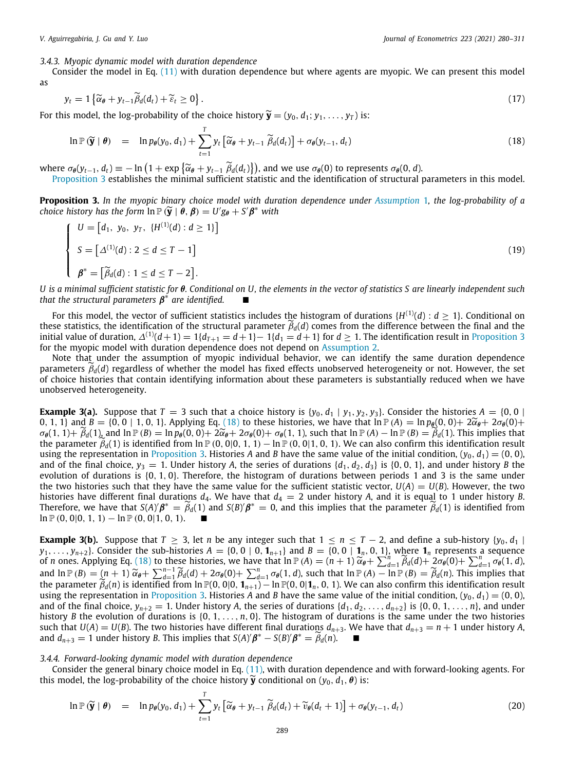#### *3.4.3. Myopic dynamic model with duration dependence*

Consider the model in Eq. [\(11\)](#page-7-1) with duration dependence but where agents are myopic. We can present this model as

$$
y_t = 1 \left\{ \widetilde{\alpha}_{\theta} + y_{t-1} \widetilde{\beta}_d(d_t) + \widetilde{\varepsilon}_t \ge 0 \right\}.
$$
 (17)

For this model, the log-probability of the choice history  $\widetilde{\mathbf{y}} = (y_0, d_1; y_1, \dots, y_T)$  is:

<span id="page-9-1"></span>
$$
\ln \mathbb{P}(\widetilde{\mathbf{y}} \mid \boldsymbol{\theta}) = \ln p_{\boldsymbol{\theta}}(y_0, d_1) + \sum_{t=1}^{T} y_t \left[ \widetilde{\alpha}_{\boldsymbol{\theta}} + y_{t-1} \widetilde{\beta}_d(d_t) \right] + \sigma_{\boldsymbol{\theta}}(y_{t-1}, d_t)
$$
\n(18)

where  $\sigma_{\theta}(y_{t-1}, d_t) \equiv -\ln(1 + \exp{\{\widetilde{\alpha}_{\theta} + y_{t-1} \widetilde{\beta}_{d}(d_t)\}})$ , and we use  $\sigma_{\theta}(0)$  to represents  $\sigma_{\theta}(0, d)$ .<br>Proposition 3 establishes the minimal sufficient statistic and the identification of structural

<span id="page-9-0"></span>[Proposition](#page-9-0) [3](#page-9-0) establishes the minimal sufficient statistic and the identification of structural parameters in this model.

**Proposition 3.** *In the myopic binary choice model with duration dependence under [Assumption](#page-3-2)* [1](#page-3-2)*, the log-probability of a choice history has the form*  $\ln \mathbb{P}(\widetilde{\mathbf{y}} \mid \widetilde{\boldsymbol{\theta}}, \boldsymbol{\beta}) = U' g_{\boldsymbol{\theta}} + S' \boldsymbol{\beta}^*$  with

$$
\begin{cases}\nU = [d_1, y_0, y_T, \{H^{(1)}(d) : d \ge 1\}] \\
S = [\Delta^{(1)}(d) : 2 \le d \le T - 1] \\
\beta^* = [\widetilde{\beta}_d(d) : 1 \le d \le T - 2].\n\end{cases}
$$
\n(19)

*U is a minimal sufficient statistic for* θ*. Conditional on U, the elements in the vector of statistics S are linearly independent such* that the structural parameters  $\boldsymbol{\beta}^*$  are identified.  $\qquad \blacksquare$ 

For this model, the vector of sufficient statistics includes the histogram of durations  $\{H^{(1)}(d):d\geq 1\}$ . Conditional on these statistics, the identification of the structural parameter  $\tilde{\beta}_d(d)$  comes from the difference between the final and the initial value of duration,  $\Delta^{(1)}(d+1) = 1\{d_{T+1} = d+1\} - 1\{d_1 = d+1\}$  for  $d \ge 1$ . The identification result in [Proposition](#page-9-0) [3](#page-9-0) for the myopic model with duration dependence does not depend on [Assumption](#page-3-4) [2.](#page-3-4)

Note that under the assumption of myopic individual behavior, we can identify the same duration dependence parameters ˜β*d*(*d*) regardless of whether the model has fixed effects unobserved heterogeneity or not. However, the set of choice histories that contain identifying information about these parameters is substantially reduced when we have unobserved heterogeneity.

<span id="page-9-3"></span>**Example 3(a).** Suppose that  $T = 3$  such that a choice history is  $\{y_0, d_1 | y_1, y_2, y_3\}$ . Consider the histories  $A = \{0, 0 | x_0, y_1, y_2, y_3\}$ 0, 1, 1} and  $B = \{0, 0 \mid 1, 0, 1\}$ . Applying Eq. [\(18\)](#page-9-1) to these histories, we have that  $\ln \mathbb{P}(A) = \ln p_{\theta}(0, 0) + 2\tilde{\alpha}_{\theta} + 2\sigma_{\theta}(0) + 1$  $\sigma_{\theta}(1, 1)+\hat{\beta}_d(1)$ , and  $\ln \mathbb{P}(B) = \ln p_{\theta}(0, 0)+2\tilde{\alpha}_{\theta}+2\sigma_{\theta}(0)+\sigma_{\theta}(1, 1)$ , such that  $\ln \mathbb{P}(A) - \ln \mathbb{P}(B) = \tilde{\beta}_d(1)$ . This implies that the parameter  $\tilde{\beta}_d(1)$  is identified from ln  $\mathbb{P}(0,0|0,1,1) - \ln \mathbb{P}(0,0|1,0,1)$ . We can also confirm this identification result using the representation in [Proposition](#page-9-0) [3](#page-9-0). Histories *A* and *B* have the same value of the initial condition,  $(y_0, d_1) = (0, 0)$ , and of the final choice,  $y_3 = 1$ . Under history *A*, the series of durations  $\{d_1, d_2, d_3\}$  is  $\{0, 0, 1\}$ , and under history *B* the evolution of durations is {0, 1, 0}. Therefore, the histogram of durations between periods 1 and 3 is the same under the two histories such that they have the same value for the sufficient statistic vector,  $U(A) = U(B)$ . However, the two histories have different final durations  $d_4$ . We have that  $d_4 = 2$  under history *A*, and it is equal to 1 under history *B*. Therefore, we have that  $S(A)/\beta^* = \widetilde{\beta}_d(1)$  and  $S(B)/\beta^* = 0$ , and this implies that the parameter  $\widetilde{\beta}_d(1)$  is identified from  $\ln P(0, 0|0, 1, 1) - \ln P(0, 0|1, 0, 1).$ 

<span id="page-9-4"></span>**Example 3(b).** Suppose that  $T \geq 3$ , let *n* be any integer such that  $1 \leq n \leq T-2$ , and define a sub-history {*y*<sub>0</sub>, *d*<sub>1</sub> |  $y_1, \ldots, y_{n+2}$ . Consider the sub-histories  $A = \{0, 0 \mid 0, 1_{n+1}\}$  and  $B = \{0, 0 \mid 1_n, 0, 1\}$ , where  $1_n$  represents a sequence of *n* ones. Applying Eq. [\(18\)](#page-9-1) to these histories, we have that  $\ln P(A) = (n + 1) \widetilde{\alpha}_{\theta} + \sum_{d=1}^{n} \widetilde{\beta}_d(d) + 2\sigma_{\theta}(0) + \sum_{d=1}^{n} \sigma_{\theta}(1, d)$ and  $\ln P(B) = (n + 1) \widetilde{\alpha}_{\theta} + \sum_{d=1}^{n-1} \widetilde{\beta}_d(d) + 2\sigma_{\theta}(0) + \sum_{d=1}^{n} \sigma_{\theta}(1, d)$ , such that  $\ln P(A) - \ln P(B) = \widetilde{\beta}_d(n)$ . This implies that the parameter  $\widetilde{\beta}_d(n)$  is identified from  $\ln P(0, 0|0, 1)$ ,  $\Delta \ln P(0, 0|1, 0,$ the parameter  $\widetilde{\beta}_d(n)$  is identified from ln  $\mathbb{P}(0, 0|0, 1_{n+1}) - \ln \mathbb{P}(0, 0|1_n, 0, 1)$ . We can also confirm this identification result using the representation in [Proposition](#page-9-0) [3](#page-9-0). Histories *A* and *B* have the same value of the initial condition,  $(y_0, d_1) = (0, 0)$ , and of the final choice,  $y_{n+2} = 1$ . Under history *A*, the series of durations  $\{d_1, d_2, \ldots, d_{n+2}\}$  is  $\{0, 0, 1, \ldots, n\}$ , and under history *B* the evolution of durations is  $\{0, 1, \ldots, n, 0\}$ . The histogram of durations is the same under the two histories such that  $U(A) = U(B)$ . The two histories have different final durations  $d_{n+3}$ . We have that  $d_{n+3} = n + 1$  under history A, and  $d_{n+3} = 1$  under history *B*. This implies that  $S(A)'\beta^* - S(B)\beta^* = \widetilde{\beta}_d(n)$ .

*3.4.4. Forward-looking dynamic model with duration dependence*

Consider the general binary choice model in Eq. [\(11\)](#page-7-1), with duration dependence and with forward-looking agents. For this model, the log-probability of the choice history  $\widetilde{y}$  conditional on  $(y_0, d_1, \theta)$  is:

<span id="page-9-2"></span>
$$
\ln \mathbb{P}\left(\widetilde{\mathbf{y}} \mid \boldsymbol{\theta}\right) = \ln p_{\boldsymbol{\theta}}(y_0, d_1) + \sum_{t=1}^T y_t \left[\widetilde{\alpha}_{\boldsymbol{\theta}} + y_{t-1} \widetilde{\beta}_d(d_t) + \widetilde{v}_{\boldsymbol{\theta}}(d_t + 1)\right] + \sigma_{\boldsymbol{\theta}}(y_{t-1}, d_t)
$$
\n(20)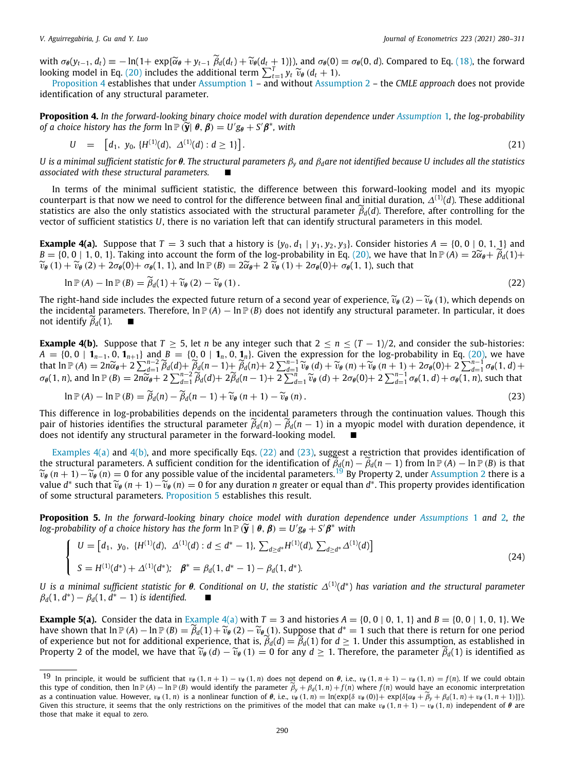with  $\sigma_{\theta}(y_{t-1}, d_t) \equiv -\ln(1 + \exp\{\widetilde{\alpha}_{\theta} + y_{t-1} \tilde{\beta}_d(d_t) + \widetilde{\nu}_{\theta}(d_t + 1)\})$ , and  $\sigma_{\theta}(0) \equiv \sigma_{\theta}(0, d)$ . Compared to Eq. ([18](#page-9-1)), the forward looking model in Eq. [\(20\)](#page-9-2) includes the additional term  $\sum_{t=1}^T y_t \tilde{\nu}_{\theta}(d_t +$ 

[Proposition](#page-10-0) [4](#page-10-0) establishes that under [Assumption](#page-3-2) [1](#page-3-2) – and without [Assumption](#page-3-4) [2](#page-3-4) – the *CMLE approach* does not provide identification of any structural parameter.

<span id="page-10-0"></span>**Proposition 4.** *In the forward-looking binary choice model with duration dependence under [Assumption](#page-3-2)* [1](#page-3-2)*, the log-probability of a choice history has the form*  $\ln \mathbb{P}(\vec{y}|\theta, \vec{\beta}) = U'g_{\theta} + S'\beta^*$ , with

$$
U = [d_1, y_0, \{H^{(1)}(d), \Delta^{(1)}(d) : d \ge 1\}]. \tag{21}
$$

*U is a minimal sufficient statistic for* θ*. The structural parameters* β*<sup>y</sup> and* β*dare not identified because U includes all the statistics*  $associated$  with these structural parameters.

In terms of the minimal sufficient statistic, the difference between this forward-looking model and its myopic counterpart is that now we need to control for the difference between final and initial duration,  $\Delta^{(1)}(d)$ . These additional statistics are also the only statistics associated with the structural parameter  $\tilde{\beta}_d(d)$ . Therefore, after controlling for the vector of sufficient statistics *U*, there is no variation left that can identify structural parameters in this model.

<span id="page-10-2"></span>**Example 4(a).** Suppose that  $T = 3$  such that a history is  $\{y_0, d_1 | y_1, y_2, y_3\}$ . Consider histories  $A = \{0, 0 | 0, 1, 1\}$  and  $B = \{0, 0 \mid 1, 0, 1\}$ . Taking into account the form of the log-probability in Eq. ([20\)](#page-9-2), we have that  $\ln \mathbb{P}(A) = 2\tilde{\alpha}_{\theta} + \tilde{\beta}_{d}(1) +$  $\widetilde{v}_{\theta}(1) + \widetilde{v}_{\theta}(2) + 2\sigma_{\theta}(0) + \sigma_{\theta}(1, 1)$ , and  $\ln P(B) = 2\widetilde{\alpha}_{\theta} + 2\widetilde{v}_{\theta}(1) + 2\sigma_{\theta}(0) + \sigma_{\theta}(1, 1)$ , such that

<span id="page-10-4"></span>
$$
\ln \mathbb{P}(A) - \ln \mathbb{P}(B) = \widetilde{\beta}_d(1) + \widetilde{\nu}_\theta(2) - \widetilde{\nu}_\theta(1). \tag{22}
$$

The right-hand side includes the expected future return of a second year of experience,  $\tilde{v}_\theta(2) - \tilde{v}_\theta(1)$ , which depends on the incidental parameters. Therefore,  $\ln \mathbb{P}(A) - \ln \mathbb{P}(B)$  does not identify any structural parameter. In particular, it does not identify  $\widetilde{\beta}_d(1)$ .

<span id="page-10-3"></span>**Example 4(b).** Suppose that  $T \ge 5$ , let *n* be any integer such that  $2 \le n \le (T-1)/2$ , and consider the sub-histories: *A* = {0, 0 | **1**<sub>*n*−1</sub>, 0, **1**<sub>*n*+1</sub>} and *B* = {0<sub>2</sub>, 0 | **1**<sub>*n*</sub>, 0, **1**<sub>*n*</sub>}. Given the expression for the log-probability in Eq. ([20](#page-9-2)), we have that  $\ln P(A) = 2n\widetilde{\alpha}_{\theta} + 2\sum_{d=1}^{n-2}\widetilde{\beta}_d(d) + \widetilde{\beta}_d(n-1) + \widetilde{\beta}_d(n) + 2\sum_{d=1}^{n-1}\widetilde{\nu}_{\theta}(d) + \widetilde{\nu}_{\theta}(n+1) + 2\sigma_{\theta}(0) + 2\sum_{d=1}^{n-1}\sigma_{\theta}(0)$ <br> $\leq (1, n)$  and  $\ln P(P) = 2n\widetilde{\alpha} + 2\sum_{d=1}^{n-2}\widetilde{\beta}_d(d) + 2\widetilde{\beta}_d(n-1) +$  $\sigma_{\theta}(1, n)$ , and  $\ln \mathbb{P}(B) = 2n\widetilde{\alpha}_{\theta} + 2\sum_{d=1}^{n-2} \widetilde{\beta}_d(d) + 2\widetilde{\beta}_d(n-1) + 2\sum_{d=1}^{n-1} \widetilde{\upsilon}_{\theta}(d) + 2\sigma_{\theta}(0) + 2\sum_{d=1}^{n-1} \sigma_{\theta}(1, d) + \sigma_{\theta}(1, n)$ , such that

<span id="page-10-5"></span>
$$
\ln \mathbb{P}(A) - \ln \mathbb{P}(B) = \widetilde{\beta}_d(n) - \widetilde{\beta}_d(n-1) + \widetilde{\nu}_\theta(n+1) - \widetilde{\nu}_\theta(n). \tag{23}
$$

This difference in log-probabilities depends on the incidental parameters through the continuation values. Though this pair of histories identifies the structural parameter  $\beta_d(n) - \beta_d(n-1)$  in a myopic model with duration dependence, it does not identify any structural parameter in the forward-looking model.

[Examples](#page-10-2)  $4(a)$  and  $4(b)$ , and more specifically Eqs. ([22](#page-10-4)) and ([23](#page-10-5)), suggest a restriction that provides identification of the structural parameters. A sufficient condition for the identification of  $\tilde{\beta}_d(n) - \tilde{\beta}_d(n-1)$  from  $\ln P(A) - \ln P(B)$  is that  $\widetilde{v}_{\theta}$  (*n* + 1)  $-\widetilde{v}_{\theta}$  (*n*) = 0 for any possible value of the incidental parameters.<sup>[19](#page-10-6)</sup> By Property 2, under [Assumption](#page-3-4) [2](#page-3-4) there is a value *d*<sup>\*</sup> such that  $\widetilde{v}_{\theta}$  (*n* + 1)  $-\widetilde{v}_{\theta}$  (*n*) = 0 for any duration *n* greater or equal than *d*<sup>\*</sup>. This property provides identification of some structural parameters. Proposition 5 establishes this r of some structural parameters. [Proposition](#page-10-1) [5](#page-10-1) establishes this result.

<span id="page-10-1"></span>**Proposition 5.** *In the forward-looking binary choice model with duration dependence under [Assumptions](#page-3-2)* [1](#page-3-2) *and* [2](#page-3-4)*, the log-probability of a choice history has the form*  $\ln \mathbb{P}(\widetilde{\mathbf{y}} \mid \boldsymbol{\theta}, \boldsymbol{\beta}) = U' g_{\boldsymbol{\theta}} + S' \boldsymbol{\beta}^*$  with

<span id="page-10-6"></span>
$$
\begin{cases}\nU = [d_1, y_0, \{H^{(1)}(d), \Delta^{(1)}(d) : d \le d^* - 1\}, \sum_{d \ge d^*} H^{(1)}(d), \sum_{d \ge d^*} \Delta^{(1)}(d)] \\
S = H^{(1)}(d^*) + \Delta^{(1)}(d^*); \quad \beta^* = \beta_d(1, d^* - 1) - \beta_d(1, d^*).\n\end{cases}
$$
\n(24)

*U is a minimal sufficient statistic for* θ*. Conditional on U, the statistic* ∆(1)(*d* ∗ ) *has variation and the structural parameter*  $\beta_d(1, d^*) - \beta_d(1, d^* - 1)$  *is identified.* ■

<span id="page-10-7"></span>**[Example](#page-10-2) 5(a).** Consider the data in Example  $4(a)$  with  $T = 3$  and histories  $A = \{0, 0 \mid 0, 1, 1\}$  and  $B = \{0, 0 \mid 1, 0, 1\}$ . We have shown that  $\ln P(A) - \ln P(B) = \tilde{\beta}_d(1) + \tilde{\nu}_\theta(2) - \tilde{\nu}_\theta(1)$ . Suppose that  $d^* = 1$  such that there is return for one period of experience but not for additional experience that is  $\tilde{\beta}_d(d) - \beta_d(1)$  for  $d > 1$ . Under of experience but not for additional experience, that is,  $\tilde{\beta}_d(d) = \tilde{\beta}_d(1)$  for  $d \geq 1$ . Under this assumption, as established in Property 2 of the model, we have that  $\tilde{v}_{\theta}(d) - \tilde{v}_{\theta}(1) = 0$  for any  $d \ge 1$ . Therefore, the parameter  $\beta_d(1)$  is identified as

<sup>&</sup>lt;sup>19</sup> In principle, it would be sufficient that  $v_{\theta}(1, n + 1) - v_{\theta}(1, n)$  does not depend on  $\theta$ , i.e.,  $v_{\theta}(1, n + 1) - v_{\theta}(1, n) = f(n)$ . If we could obtain this type of condition, then  $\ln \mathbb{P}(A) - \ln \mathbb{P}(B)$  would identify the parameter  $\tilde{\beta}_y + \beta_d(1, n) + f(n)$  where  $f(n)$  would have an economic interpretation as a continuation value. However,  $v_{\theta}(1, n)$  is a nonlinear function of  $\theta$ , i.e.,  $v_{\theta}(1, n) = \ln(\exp{\{\delta v_{\theta}(0)\}} + \exp{\{\delta[\alpha_{\theta} + \widetilde{\beta}_{y} + \beta_{d}(1, n) + v_{\theta}(1, n+1)]\}})$ . Given this structure, it seems that the only restrictions on the primitives of the model that can make  $v_{\theta}(1, n+1) - v_{\theta}(1, n)$  independent of  $\theta$  are those that make it equal to zero.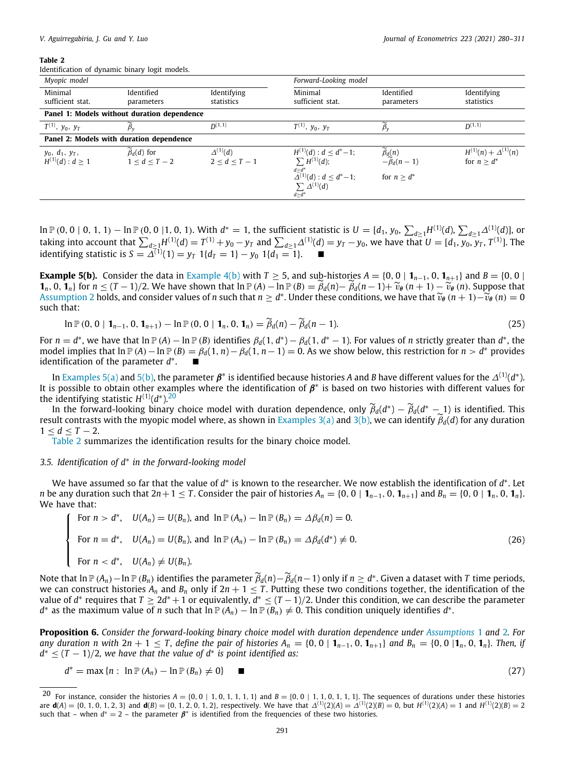<span id="page-11-3"></span>Identification of dynamic binary logit models.

| Myopic model                               |                                                 |                                      | Forward-Looking model                                                                                                                                |                                                                           |                                                 |
|--------------------------------------------|-------------------------------------------------|--------------------------------------|------------------------------------------------------------------------------------------------------------------------------------------------------|---------------------------------------------------------------------------|-------------------------------------------------|
| Minimal<br>sufficient stat.                | Identified<br>parameters                        | Identifying<br>statistics            | Minimal<br>sufficient stat.                                                                                                                          | Identified<br>parameters                                                  | Identifying<br>statistics                       |
|                                            | Panel 1: Models without duration dependence     |                                      |                                                                                                                                                      |                                                                           |                                                 |
| $T^{(1)}, y_0, y_T$                        | $\beta_{v}$                                     | $D^{(1,1)}$                          | $T^{(1)}$ , $y_0$ , $y_T$                                                                                                                            | $\beta_{\rm v}$                                                           | $D^{(1,1)}$                                     |
|                                            | Panel 2: Models with duration dependence        |                                      |                                                                                                                                                      |                                                                           |                                                 |
| $y_0, d_1, y_T,$<br>$H^{(1)}(d)$ : $d > 1$ | $\widetilde{\beta}_d(d)$ for<br>$1 < d < T - 2$ | $\Delta^{(1)}(d)$<br>$2 < d < T - 1$ | $H^{(1)}(d)$ : $d < d^*-1$ ;<br>$\sum H^{(1)}(d);$<br>$\frac{d \geq d^*}{\Delta^{(1)}(d)}$ : $d \leq d^*-1$ ;<br>$\sum \Delta^{(1)}(d)$<br>$d > d^*$ | $\widetilde{\beta}_d(n)$<br>- $\widetilde{\beta}_d(n-1)$<br>for $n > d^*$ | $H^{(1)}(n) + \Delta^{(1)}(n)$<br>for $n > d^*$ |

 $\ln$  P (0, 0 | 0, 1, 1) −  $\ln$  P (0, 0 |1, 0, 1). With  $d^* = 1$ , the sufficient statistic is  $U = [d_1, y_0, \sum_{d \ge 1} H^{(1)}(d), \sum_{d \ge 1} \Delta^{(1)}(d)]$ , or taking into account that  $\sum_{d\geq 1}H^{(1)}(d)=T^{(1)}+y_0-y_T$  and  $\sum_{d\geq 1}\Delta^{(1)}(d)=y_T-y_0$ , we have that  $U=[d_1,y_0,\overline{y_T},T^{(1)}].$  The identifying statistic is  $S = \Delta^{(1)}(1) = y_T 1\{d_T = 1\} - y_0 1\{d_1 = 1\}.$  ■

<span id="page-11-1"></span>**[Example](#page-10-3) 5(b).** Consider the data in Example [4\(b\)](#page-10-3) with *T*  $\geq$  5, and sub-histories *A* = {0, 0 | **1**<sub>*n*-1</sub>, 0, **1**<sub>*n*+1</sub>} and *B* = {0, 0 | **1**<sup>*n*</sup>, 0, **1**<sup>*n*</sup><sub>1</sub> for  $n \le (T-1)/2$ . We have shown that  $\ln P(A) - \ln P(B) = \widetilde{\beta}_d(n) - \widetilde{\beta}_d(n-1) + \widetilde{\nu}_e(n+1) - \widetilde{\nu}_e(n)$ . Suppose that [Assumption](#page-3-4) [2](#page-3-4) holds, and consider values of *n* such that  $n \geq d^*$ . Under these conditions, we have that  $\widetilde{v}_\theta$   $(n+1)-\widetilde{v}_\theta$   $(n) = 0$ such that:

$$
\ln \mathbb{P}\left(0, 0 \mid \mathbf{1}_{n-1}, 0, \mathbf{1}_{n+1}\right) - \ln \mathbb{P}\left(0, 0 \mid \mathbf{1}_n, 0, \mathbf{1}_n\right) = \widetilde{\beta}_d(n) - \widetilde{\beta}_d(n-1). \tag{25}
$$

For  $n = d^*$ , we have that  $\ln \mathbb{P}(A) - \ln \mathbb{P}(B)$  identifies  $\beta_d(1, d^*) - \beta_d(1, d^* - 1)$ . For values of *n* strictly greater than  $d^*$ , the model implies that ln P(*A*) − ln P(*B*) =  $\beta_d(1, n) - \beta_d(1, n-1) = 0$ . As we show below, this restriction for *n* > *d*<sup>\*</sup> provides identification of the parameter  $d^*$ . ■

In [Examples](#page-10-7) [5\(a\)](#page-10-7) and [5\(b\),](#page-11-1) the parameter  $\pmb{\beta}^*$  is identified because histories A and B have different values for the  $\varDelta^{(1)}(d^*)$ . It is possible to obtain other examples where the identification of  $\beta^*$  is based on two histories with different values for the identifying statistic  $H^{(1)}(d^*)$ .<sup>[20](#page-11-2)</sup>

In the forward-looking binary choice model with duration dependence, only  $\widetilde{\beta}_d(d^*) - \widetilde{\beta}_d(d^* - 1)$  is identified. This intervalses the property of the property of the property of the property of the property of the p result contrasts with the myopic model where, as shown in [Examples](#page-9-3) [3\(a\)](#page-9-3) and [3\(b\)](#page-9-4), we can identify  $\widetilde{\beta}_d(d)$  for any duration  $1 < d < T - 2$ .

<span id="page-11-2"></span>[Table](#page-11-3) [2](#page-11-3) summarizes the identification results for the binary choice model.

## *3.5. Identification of d*<sup>∗</sup> *in the forward-looking model*

*d*

We have assumed so far that the value of *d*\* is known to the researcher. We now establish the identification of *d*\*. Let *n* be any duration such that  $2n+1 \le T$ . Consider the pair of histories  $A_n = \{0, 0 \mid \mathbf{1}_{n-1}, 0, \mathbf{1}_{n+1}\}\$  and  $B_n = \{0, 0 \mid \mathbf{1}_n, 0, \mathbf{1}_n\}$ . We have that:

$$
\begin{cases}\n\text{For } n > d^*, \quad U(A_n) = U(B_n), \text{ and } \ln \mathbb{P}(A_n) - \ln \mathbb{P}(B_n) = \Delta \beta_d(n) = 0. \\
\text{For } n = d^*, \quad U(A_n) = U(B_n), \text{ and } \ln \mathbb{P}(A_n) - \ln \mathbb{P}(B_n) = \Delta \beta_d(d^*) \neq 0. \\
\text{For } n < d^*, \quad U(A_n) \neq U(B_n).\n\end{cases} \tag{26}
$$

Note that  $\ln P(A_n) - \ln P(B_n)$  identifies the parameter  $\widetilde{\beta}_d(n) - \widetilde{\beta}_d(n-1)$  only if  $n \ge d^*$ . Given a dataset with *T* time periods, we can construct bistories *A* and *B* only if  $2n + 1 \le T$ . Butting these two condition we can construct histories  $A_n$  and  $B_n$  only if  $2n + 1 \le T$ . Putting these two conditions together, the identification of the value of *d*\* requires that  $T\geq 2d^*+1$  or equivalently,  $d^*\leq (T-1)/2$ . Under this condition, we can describe the parameter  $d^*$  as the maximum value of  $n$  such that  $\ln\mathbb{P}\,(A_n)-\ln\mathbb{P}\,(B_n)\neq 0.$  This condition uniquely identifies  $d^*.$ 

<span id="page-11-0"></span>**Proposition 6.** *Consider the forward-looking binary choice model with duration dependence under [Assumptions](#page-3-2)* [1](#page-3-2) *and* [2](#page-3-4)*. For* any duration n with  $2n + 1 \le T$ , define the pair of histories  $A_n = \{0, 0 \mid \mathbf{1}_{n-1}, 0, \mathbf{1}_{n+1}\}\$  and  $B_n = \{0, 0 \mid \mathbf{1}_n, 0, \mathbf{1}_n\}$ . Then, if  $d^* \leq (T-1)/2$ , we have that the value of  $d^*$  is point identified as:

$$
* = \max\left\{n : \ln \mathbb{P}\left(A_n\right) - \ln \mathbb{P}\left(B_n\right) \neq 0\right\} \qquad \blacksquare
$$
\n
$$
(27)
$$

<sup>&</sup>lt;sup>20</sup> For instance, consider the histories  $A = \{0, 0 \mid 1, 0, 1, 1, 1\}$  and  $B = \{0, 0 \mid 1, 1, 0, 1, 1, 1\}$ . The sequences of durations under these histories are  $d(A) = \{0, 1, 0, 1, 2, 3\}$  and  $d(B) = \{0, 1, 2, 0, 1, 2\}$ , respectively. We have that  $\Delta^{(1)}(2)(A) = \Delta^{(1)}(2)(B) = 0$ , but  $H^{(1)}(2)(A) = 1$  and  $H^{(1)}(2)(B) = 2$ such that – when  $d^* = 2$  – the parameter  $\beta^*$  is identified from the frequencies of these two histories.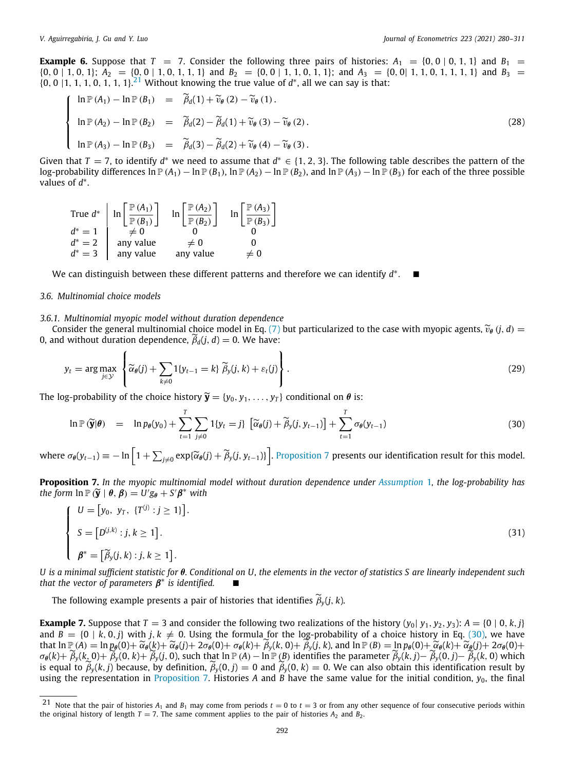**Example 6.** Suppose that  $T = 7$ . Consider the following three pairs of histories:  $A_1 = \{0, 0 \mid 0, 1, 1\}$  and  $B_1 =$  $\{0, 0 \mid 1, 0, 1\}; A_2 = \{0, 0 \mid 1, 0, 1, 1, 1\}$  and  $B_2 = \{0, 0 \mid 1, 1, 0, 1, 1\};$  and  $A_3 = \{0, 0 \mid 1, 1, 0, 1, 1, 1, 1\}$  and  $B_3 = \{0, 0 \mid 1, 1, 0, 1, 1, 1, 1, 1\}$  $\{0, 0 \mid 1, 1, 1, 0, 1, 1, 1\}$ <sup>[21](#page-12-1)</sup> Without knowing the true value of  $d^*$ , all we can say is that:

<span id="page-12-1"></span>
$$
\begin{cases}\n\ln \mathbb{P}(A_1) - \ln \mathbb{P}(B_1) &= \widetilde{\beta}_d(1) + \widetilde{\nu}_\theta(2) - \widetilde{\nu}_\theta(1). \\
\ln \mathbb{P}(A_2) - \ln \mathbb{P}(B_2) &= \widetilde{\beta}_d(2) - \widetilde{\beta}_d(1) + \widetilde{\nu}_\theta(3) - \widetilde{\nu}_\theta(2). \\
\ln \mathbb{P}(A_3) - \ln \mathbb{P}(B_3) &= \widetilde{\beta}_d(3) - \widetilde{\beta}_d(2) + \widetilde{\nu}_\theta(4) - \widetilde{\nu}_\theta(3).\n\end{cases} \tag{28}
$$

Given that  $T = 7$ , to identify  $d^*$  we need to assume that  $d^* \in \{1, 2, 3\}$ . The following table describes the pattern of the log-probability differences ln  $\mathbb{P}(A_1) - \ln \mathbb{P}(B_1)$ ,  $\ln \mathbb{P}(A_2) - \ln \mathbb{P}(B_2)$ , and  $\ln \mathbb{P}(A_3) - \ln \mathbb{P}(B_3)$  for each of the three possible values of *d*<sup>\*</sup>.

\n
$$
\text{True } d^* \quad\n \begin{array}{c}\n \text{True } d^* \quad\n \end{array}\n \begin{array}{c}\n \text{In } \left[\frac{\mathbb{P}(A_1)}{\mathbb{P}(B_1)}\right] \\
 \text{In } \left[\frac{\mathbb{P}(A_2)}{\mathbb{P}(B_2)}\right] \\
 \text{In } \left[\frac{\mathbb{P}(A_3)}{\mathbb{P}(B_3)}\right] \\
 \text{In } \left[\frac{\mathbb{P}(A_3)}{\mathbb{P}(B_3)}\right] \\
 \text{In } \left[\frac{\mathbb{P}(A_3)}{\mathbb{P}(B_3)}\right] \\
 \text{In } \left[\frac{\mathbb{P}(A_3)}{\mathbb{P}(B_3)}\right] \\
 \text{In } \left[\frac{\mathbb{P}(A_3)}{\mathbb{P}(B_3)}\right] \\
 \text{In } \left[\frac{\mathbb{P}(A_3)}{\mathbb{P}(B_3)}\right]\n \end{array}
$$
\n

We can distinguish between these different patterns and therefore we can identify *d* ∗ . ■

## *3.6. Multinomial choice models*

#### *3.6.1. Multinomial myopic model without duration dependence*

Consider the general multinomial choice model in Eq. [\(7](#page-5-4)) but particularized to the case with myopic agents,  $\tilde{v}_{\theta}$  (*j*, *d*) = 0, and without duration dependence,  $\widetilde{\beta}_d(i, d) = 0$ . We have:

$$
y_t = \arg \max_{j \in \mathcal{Y}} \left\{ \widetilde{\alpha}_{\theta}(j) + \sum_{k \neq 0} 1\{y_{t-1} = k\} \widetilde{\beta}_y(j,k) + \varepsilon_t(j) \right\}.
$$
 (29)

The log-probability of the choice history  $\widetilde{\mathbf{y}} = \{y_0, y_1, \ldots, y_T\}$  conditional on  $\theta$  is:

<span id="page-12-2"></span>
$$
\ln \mathbb{P}(\widetilde{\mathbf{y}}|\boldsymbol{\theta}) = \ln p_{\boldsymbol{\theta}}(y_0) + \sum_{t=1}^{T} \sum_{j\neq 0} 1\{y_t = j\} \left[ \widetilde{\alpha}_{\boldsymbol{\theta}}(j) + \widetilde{\beta}_{\mathbf{y}}(j, y_{t-1}) \right] + \sum_{t=1}^{T} \sigma_{\boldsymbol{\theta}}(y_{t-1}) \tag{30}
$$

where  $\sigma_{\theta}(y_{t-1}) \equiv -\ln\left[1+\sum_{j\neq 0} \exp\{\widetilde{\alpha}_{\theta}(j)+\widetilde{\beta}_{y}(j,y_{t-1})\}\right]$ . [Proposition](#page-12-0) [7](#page-12-0) presents our identification result for this model.

<span id="page-12-0"></span>**Proposition 7.** *In the myopic multinomial model without duration dependence under [Assumption](#page-3-2)* [1](#page-3-2)*, the log-probability has the form*  $\ln \mathbb{P}(\widetilde{\mathbf{y}} \mid \boldsymbol{\theta}, \boldsymbol{\beta}) = U' g_{\boldsymbol{\theta}} + S' \boldsymbol{\beta}^*$  with

$$
\begin{cases}\nU = [y_0, y_T, \{T^{(j)} : j \ge 1\}]. \\
S = [D^{(j,k)} : j, k \ge 1]. \\
\beta^* = [\widetilde{\beta}_y(j, k) : j, k \ge 1].\n\end{cases}
$$
\n(31)

*U is a minimal sufficient statistic for* θ*. Conditional on U, the elements in the vector of statistics S are linearly independent such* that the vector of parameters  $\beta^*$  is identified.  $\Box$ 

The following example presents a pair of histories that identifies  $\widetilde{\beta}_y(j, k)$ .

<span id="page-12-3"></span>**Example 7.** Suppose that  $T = 3$  and consider the following two realizations of the history  $(y_0 | y_1, y_2, y_3)$ :  $A = \{0 | 0, k, j\}$ and  $B = \{0 \mid k, 0, j\}$  with  $j, k \neq 0$ . Using the formula for the log-probability of a choice history in Eq. ([30](#page-12-2)), we have that  $\ln \mathbb{P}(A) = \ln p_{\theta}(0) + \widetilde{\alpha}_{\theta}(k) + \widetilde{\alpha}_{\theta}(j) + 2\sigma_{\theta}(0) + \sigma_{\theta}(k) + \beta_{\theta}(k, 0) + \beta_{\theta}(j, k)$ , and  $\ln \mathbb{P}(B) = \ln p_{\theta}(0) + \widetilde{\alpha}_{\theta}(k) + \widetilde{\alpha}_{\theta}(j) + 2\sigma_{\theta}(0) + \widetilde{\alpha}_{\theta}(k)$  $\sigma_{\theta}(k) + \widetilde{\beta}_{\nu}(k,0) + \widetilde{\beta}_{\nu}(0,k) + \widetilde{\beta}_{\nu}(j,0)$ , such that  $\ln \mathbb{P}(A) - \ln \mathbb{P}(B)$  identifies the parameter  $\widetilde{\beta}_{\nu}(k,j) - \widetilde{\beta}_{\nu}(0,j) - \widetilde{\beta}_{\nu}(k,0)$  which is equal to  $\tilde{\beta}_y(k,j)$  because, by definition,  $\tilde{\beta}_y(0,j) = 0$  and  $\tilde{\beta}_y(0,k) = 0$ . We can also obtain this identification result by using the representation in [Proposition](#page-12-0) [7.](#page-12-0) Histories A and B have the same value for the initial condition,  $y_0$ , the final

<sup>&</sup>lt;sup>21</sup> Note that the pair of histories  $A_1$  and  $B_1$  may come from periods  $t = 0$  to  $t = 3$  or from any other sequence of four consecutive periods within the original history of length  $T = 7$ . The same comment applies to the pair of histories  $A_2$  and  $B_2$ .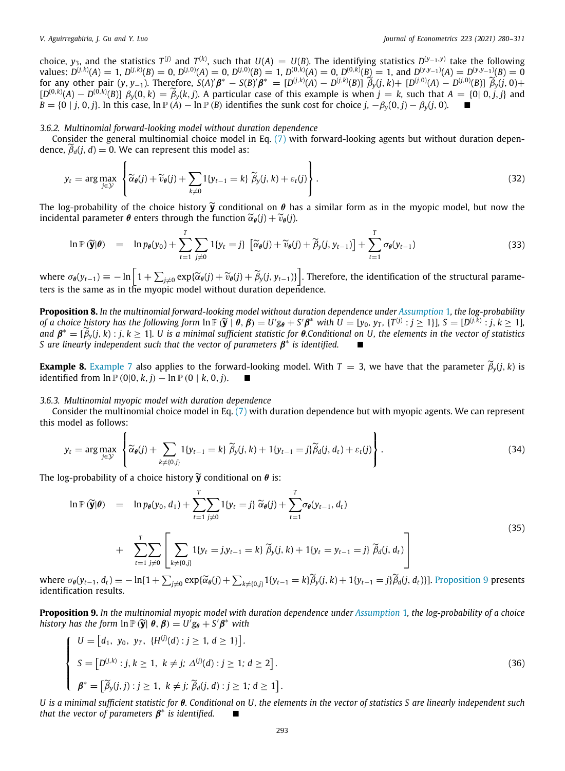choice,  $y_3$ , and the statistics  $T^{(j)}$  and  $T^{(k)}$ , such that  $U(A) = U(B)$ . The identifying statistics  $D^{(y_{-1},y)}$  take the following values:  $D^{(j,k)}(A) = 1$ ,  $D^{(j,k)}(B) = 0$ ,  $D^{(j,0)}(A) = 0$ ,  $D^{(j,0)}(B) = 1$ ,  $D^{(0,k)}(A) = 0$ ,  $D^{(0,k)}(B) = 1$ , and  $D^{(y,y_{-1})}(A) = D^{(y,y_{-1})}(B) = 0$ for any other pair  $(y, y_{-1})$ . Therefore,  $S(A)'\beta^* = S(B)'\beta^* = [D^{(j,k)}(A) - D^{(j,k)}(B)] \widetilde{\beta}_y(j,k) + [D^{(j,0)}(A) - D^{(j,0)}(B)] \widetilde{\beta}_y(j,0) +$  $[D^{(0,k)}(A) - D^{(0,k)}(B)]$   $\beta_y(0, k) = \tilde{\beta}_y(k, j)$ . A particular case of this example is when  $j = k$ , such that  $A = \{0 | 0, j, j\}$  and  $B = \{0 \mid j, 0, j\}$ . In this case,  $\ln P(A) - \ln P(B)$  identifies the sunk cost for choice  $j, -\beta_v(0, j) - \beta_v(j, 0)$ .

## *3.6.2. Multinomial forward-looking model without duration dependence*

Consider the general multinomial choice model in Eq. ([7\)](#page-5-4) with forward-looking agents but without duration dependence,  $\tilde{\beta}_d(j, d) = 0$ . We can represent this model as:

$$
y_t = \arg \max_{j \in \mathcal{Y}} \left\{ \widetilde{\alpha}_{\theta}(j) + \widetilde{\nu}_{\theta}(j) + \sum_{k \neq 0} 1\{y_{t-1} = k\} \widetilde{\beta}_y(j,k) + \varepsilon_t(j) \right\}.
$$
 (32)

The log-probability of the choice history  $\tilde{y}$  conditional on  $\theta$  has a similar form as in the myopic model, but now the incidental parameter  $\theta$  enters through the function  $\widetilde{\alpha}_{\theta}(i) + \widetilde{\nu}_{\theta}(i)$ .

$$
\ln \mathbb{P}(\widetilde{\mathbf{y}}|\boldsymbol{\theta}) = \ln p_{\boldsymbol{\theta}}(y_0) + \sum_{t=1}^{T} \sum_{j\neq 0} 1\{y_t = j\} \left[ \widetilde{\alpha}_{\boldsymbol{\theta}}(j) + \widetilde{\nu}_{\boldsymbol{\theta}}(j) + \widetilde{\beta}_{\mathbf{y}}(j, y_{t-1}) \right] + \sum_{t=1}^{T} \sigma_{\boldsymbol{\theta}}(y_{t-1}) \tag{33}
$$

where  $\sigma_{\theta}(y_{t-1}) \equiv -\ln\left[1 + \sum_{j\neq 0} \exp\{\widetilde{\alpha}_{\theta}(j) + \widetilde{v}_{\theta}(j) + \widetilde{\beta}_{y}(j, y_{t-1})\}\right]$ . Therefore, the identification of the structural parameters is the same as in the myopic model without duration dependence.

<span id="page-13-2"></span>**Proposition 8.** *In the multinomial forward-looking model without duration dependence under [Assumption](#page-3-2)* [1](#page-3-2)*, the log-probability* of a choice history has the following form  $\ln \mathbb{P}(\widetilde{\mathbf{y}} \mid \boldsymbol{\theta}, \boldsymbol{\beta}) = U'g_{\theta} + S'\boldsymbol{\beta}^*$  with  $U = [y_0, y_T, \{T^{(j)} : j \ge 1\}], S = [D^{(j,K)} : j, k \ge 1],$ <br>and  $\mathbf{A}^* = [\widetilde{\mathbf{A}} \ (i, k) : i, k > 1]$ . It is a minimal sufficient statis *and*  $\beta^* = [\tilde{\beta}_y(j, k) : j, k \ge 1]$ *. U is a minimal sufficient statistic for*  $\theta$ *.Conditional on U, the elements in the vector of statistics S* are linearly independent such that the vector of parameters  $\beta^*$  is identified.  $\blacksquare$ 

**[Example](#page-12-3) 8.** Example [7](#page-12-3) also applies to the forward-looking model. With *T* = 3, we have that the parameter  $\widetilde{\beta}_y(j, k)$  is identified from ln  $\mathbb{P}(0|0, k, i) - \ln \mathbb{P}(0|k, 0, i)$ . identified from  $\ln P(0|0, k, j) - \ln P(0 | k, 0, j)$ .

#### *3.6.3. Multinomial myopic model with duration dependence*

Consider the multinomial choice model in Eq. [\(7\)](#page-5-4) with duration dependence but with myopic agents. We can represent this model as follows:

$$
y_t = \arg \max_{j \in \mathcal{Y}} \left\{ \widetilde{\alpha}_{\theta}(j) + \sum_{k \neq \{0,j\}} \mathbb{1}\{y_{t-1} = k\} \widetilde{\beta}_y(j,k) + \mathbb{1}\{y_{t-1} = j\} \widetilde{\beta}_d(j,d_t) + \varepsilon_t(j) \right\}.
$$
 (34)

The log-probability of a choice history  $\widetilde{\mathbf{y}}$  conditional on  $\boldsymbol{\theta}$  is:

<span id="page-13-1"></span>
$$
\ln \mathbb{P}(\widetilde{\mathbf{y}}|\theta) = \ln p_{\theta}(y_0, d_1) + \sum_{t=1}^{T} \sum_{j\neq 0} 1\{y_t = j\} \widetilde{\alpha}_{\theta}(j) + \sum_{t=1}^{T} \sigma_{\theta}(y_{t-1}, d_t) + \sum_{t=1}^{T} \sum_{j\neq 0} \left[ \sum_{k\neq \{0, j\}} 1\{y_t = jy_{t-1} = k\} \widetilde{\beta}_{y}(j, k) + 1\{y_t = y_{t-1} = j\} \widetilde{\beta}_{d}(j, d_t) \right]
$$
(35)

where  $\sigma_{\theta}(y_{t-1}, d_t) \equiv -\ln[1 + \sum_{j\neq 0} \exp\{\widetilde{\alpha}_{\theta}(j) + \sum_{k\neq \{0,j\}} 1\{y_{t-1} = k\}\widetilde{\beta}_y(j,k) + 1\{y_{t-1} = j\}\widetilde{\beta}_d(j,d_t)\}].$  [Proposition](#page-13-0) [9](#page-13-0) presents identification results identification results.

<span id="page-13-0"></span>**Proposition 9.** *In the multinomial myopic model with duration dependence under [Assumption](#page-3-2)* [1](#page-3-2)*, the log-probability of a choice history has the form*  $\ln \mathbb{P}(\widetilde{\mathbf{y}}|\ \theta, \beta) = U'g_{\theta} + S'\beta^*$  with

$$
\begin{cases}\nU = [d_1, y_0, y_T, \{H^{(j)}(d) : j \ge 1, d \ge 1\}]. \\
S = [D^{(j,k)} : j, k \ge 1, k \ne j; \Delta^{(j)}(d) : j \ge 1; d \ge 2]. \\
\beta^* = [\widetilde{\beta}_y(j,j) : j \ge 1, k \ne j; \widetilde{\beta}_d(j,d) : j \ge 1; d \ge 1].\n\end{cases}
$$
\n(36)

*U is a minimal sufficient statistic for* θ*. Conditional on U, the elements in the vector of statistics S are linearly independent such* that the vector of parameters  $\beta^*$  is identified.  $\qquad \blacksquare$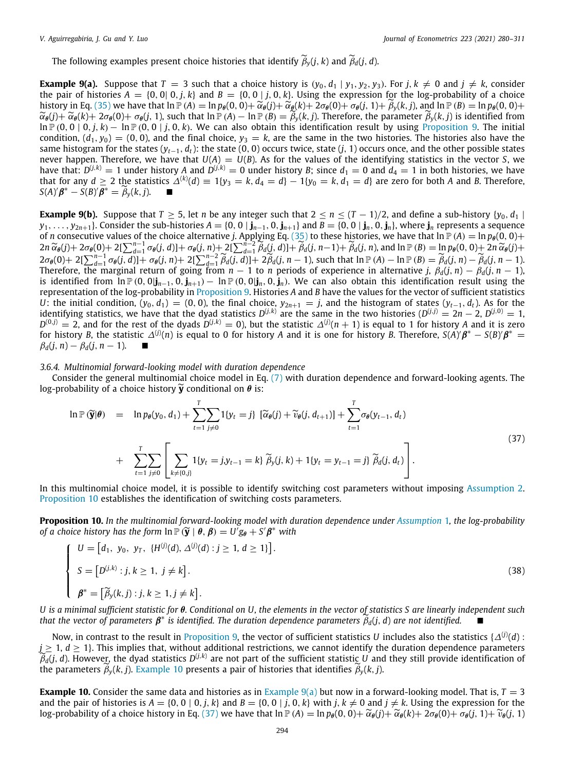The following examples present choice histories that identify  $\widetilde{\beta}_v(j, k)$  and  $\widetilde{\beta}_d(j, d)$ .

<span id="page-14-2"></span>**Example 9(a).** Suppose that  $T = 3$  such that a choice history is  $(y_0, d_1 | y_1, y_2, y_3)$ . For *j*,  $k \neq 0$  and  $j \neq k$ , consider the pair of histories  $A = \{0, 0 | 0, j, k\}$  and  $B = \{0, 0 | j, 0, k\}$ . Using the expression for the log-probability of a choice history in Eq. [\(35\)](#page-13-1) we have that  $\ln \mathbb{P}(A) = \ln p_{\theta}(0, 0) + \tilde{\alpha}_{\theta}(j) + \tilde{\alpha}_{\theta}(k) + 2\sigma_{\theta}(0) + \sigma_{\theta}(j, 1) + \tilde{\beta}_{\nu}(k, j)$ , and  $\ln \mathbb{P}(B) = \ln p_{\theta}(0, 0) +$  $\widetilde{\alpha}_{\theta}(j) + \widetilde{\alpha}_{\theta}(k) + 2\sigma_{\theta}(0) + \sigma_{\theta}(j, 1)$ , such that  $\ln \mathbb{P}(A) - \ln \mathbb{P}(B) = \widetilde{\beta}_{\gamma}(k, j)$ . Therefore, the parameter  $\widetilde{\beta}_{\gamma}(k, j)$  is identified from ln  $P$  (0, 0 | 0, *j*, *k*) − ln  $P$  (0, 0 | *j*, 0, *k*). We can also obtain this identification result by using [Proposition](#page-13-0) [9.](#page-13-0) The initial condition,  $(d_1, y_0) = (0, 0)$ , and the final choice,  $y_3 = k$ , are the same in the two histories. The histories also have the same histogram for the states  $(y_{t-1}, d_t)$ : the state  $(0, 0)$  occurs twice, state  $(j, 1)$  occurs once, and the other possible states never happen. Therefore, we have that  $U(A) = U(B)$ . As for the values of the identifying statistics in the vector *S*, we have that:  $D^{(j,k)}=1$  under history  $A$  and  $D^{(j,k)}=0$  under history B; since  $d_1=0$  and  $d_4=1$  in both histories, we have that for any  $d\geq 2$  the statistics  $\Delta^{(k)}(d)\equiv 1\{y_3=k, d_4=d\}-1\{y_0=k, d_1=d\}$  are zero for both A and B. Therefore,  $S(A)'\beta^* - S(B)'\overline{\beta^*} = \widetilde{\beta}_y(k,j).$  ■

**Example 9(b).** Suppose that  $T \ge 5$ , let *n* be any integer such that  $2 \le n \le (T-1)/2$ , and define a sub-history {*y*<sub>0</sub>, *d*<sub>1</sub> |  $y_1,\ldots,y_{2n+1}$ . Consider the sub-histories  $A = \{0, 0 \mid \mathbf{j}_{n-1}, 0, \mathbf{j}_{n+1}\}$  and  $B = \{0, 0 \mid \mathbf{j}_n, 0, \mathbf{j}_n\}$ , where  $\mathbf{j}_n$  represents a sequence of *n* consecutive values of the choice alternative *j*. Applying Eq. [\(35\)](#page-13-1) to these histories, we have that  $\ln P(A) = \ln p_\theta(0, 0) +$  $2n \widetilde{\alpha}_{\theta}(j) + 2\sigma_{\theta}(0) + 2[\sum_{d=1}^{n-1} \sigma_{\theta}(j, d)] + \sigma_{\theta}(j, n) + 2[\sum_{d=1}^{n-2} \widetilde{\beta}_{d}(j, d)] + \widetilde{\beta}_{d}(j, n-1) + \widetilde{\beta}_{d}(j, n)$ , and  $\ln \mathbb{P}(B) = \ln p_{\theta}(0, 0) + 2n \widetilde{\alpha}_{\theta}(j) + 2\sigma_{\theta}(0) + 2[\sum_{d=1}^{n-1} \sigma_{\theta}(j, d)] + \sigma_{\theta}(j, n) + 2[\sum_{d$ is identified from  $\ln \mathbb{P}(0, 0|\mathbf{j}_{n-1}, 0, \mathbf{j}_{n+1}) - \ln \mathbb{P}(0, 0|\mathbf{j}_n, 0, \mathbf{j}_n)$ . We can also obtain this identification result using the representation of the log-probability in [Proposition](#page-13-0) [9](#page-13-0). Histories *A* and *B* have the values for the vector of sufficient statistics *U*: the initial condition,  $(y_0, d_1) = (0, 0)$ , the final choice,  $y_{2n+1} = j$ , and the histogram of states  $(y_{t-1}, d_t)$ . As for the identifying statistics, we have that the dyad statistics  $D^{(j,k)}$  are the same in the two histories  $(D^{(j,j)} = 2n - 2, D^{(j,0)} = 1,$  $D^{(0,j)} = 2$ , and for the rest of the dyads  $D^{(j,k)} = 0$ ), but the statistic  $\Delta^{(j)}(n+1)$  is equal to 1 for history *A* and it is zero for history *B*, the statistic  $\Delta^{(j)}(n)$  is equal to 0 for history *A* and it is one for history *B*. Therefore,  $S(A)'\beta^* - S(B)\beta^* =$  $\beta_d(i, n) - \beta_d(i, n-1)$ .

#### *3.6.4. Multinomial forward-looking model with duration dependence*

Consider the general multinomial choice model in Eq. ([7](#page-5-4)) with duration dependence and forward-looking agents. The log-probability of a choice history  $\widetilde{y}$  conditional on  $\theta$  is:

<span id="page-14-3"></span>
$$
\ln \mathbb{P}(\widetilde{\mathbf{y}}|\boldsymbol{\theta}) = \ln p_{\boldsymbol{\theta}}(y_0, d_1) + \sum_{t=1}^{T} \sum_{j\neq 0} 1\{y_t = j\} \left[ \widetilde{\alpha}_{\boldsymbol{\theta}}(j) + \widetilde{v}_{\boldsymbol{\theta}}(j, d_{t+1}) \right] + \sum_{t=1}^{T} \sigma_{\boldsymbol{\theta}}(y_{t-1}, d_t)
$$
\n
$$
+ \sum_{t=1}^{T} \sum_{j\neq 0} \left[ \sum_{k \neq \{0, j\}} 1\{y_t = j, y_{t-1} = k\} \widetilde{\beta}_y(j, k) + 1\{y_t = y_{t-1} = j\} \widetilde{\beta}_d(j, d_t) \right].
$$
\n(37)

In this multinomial choice model, it is possible to identify switching cost parameters without imposing [Assumption](#page-3-4) [2.](#page-3-4) [Proposition](#page-14-0) [10](#page-14-0) establishes the identification of switching costs parameters.

<span id="page-14-0"></span>**Proposition 10.** *In the multinomial forward-looking model with duration dependence under [Assumption](#page-3-2)* [1](#page-3-2)*, the log-probability of a choice history has the form*  $\ln \mathbb{P}(\widetilde{\mathbf{y}} \mid \boldsymbol{\theta}, \boldsymbol{\beta}) = U^{\top} \mathbf{g}_{\boldsymbol{\theta}} + S^{\prime} \boldsymbol{\beta}^{*}$  with

$$
\begin{cases}\nU = [d_1, y_0, y_T, \{H^{(j)}(d), \Delta^{(j)}(d) : j \ge 1, d \ge 1\}]. \\
S = [D^{(j,k)} : j, k \ge 1, j \ne k]. \\
\beta^* = [\widetilde{\beta}_y(k,j) : j, k \ge 1, j \ne k].\n\end{cases}
$$
\n(38)

*U is a minimal sufficient statistic for* θ*. Conditional on U, the elements in the vector of statistics S are linearly independent such that the vector of parameters*  $\beta^*$  *is identified. The duration dependence parameters*  $\tilde{\beta}_d(j,d)$  *are not identified.* 

Now, in contrast to the result in [Proposition](#page-13-0) [9,](#page-13-0) the vector of sufficient statistics  $U$  includes also the statistics { $\Delta^{(j)}(d)$  :  $j \geq 1, d \geq 1$ . This implies that, without additional restrictions, we cannot identify the duration dependence parameters  $\widetilde{\beta}_d(j, d)$ . However, the dyad statistics  $D^{(j,k)}$  are not part of the sufficient statistic *U* and they still provide identification of the survey of the survey of histories that identifies  $\widetilde{\beta}_d$  (*k*, *i*). the parameters  $\widetilde{\beta}_y(k,j)$ . [Example](#page-14-1) [10](#page-14-1) presents a pair of histories that identifies  $\widetilde{\beta}_y(k,j)$ .

<span id="page-14-1"></span>**[Example](#page-14-2) 10.** Consider the same data and histories as in Example  $9(a)$  but now in a forward-looking model. That is,  $T = 3$ and the pair of histories is  $A = \{0, 0 \mid 0, j, k\}$  and  $B = \{0, 0 \mid j, 0, k\}$  with  $j, k \neq 0$  and  $j \neq k$ . Using the expression for the log-probability of a choice history in Eq. ([37](#page-14-3)) we have that  $\ln P(A) = \ln p_{\theta}(0, 0) + \tilde{\alpha}_{\theta}(i) + \tilde{\alpha}_{\theta}(k) + 2\sigma_{\theta}(0) + \sigma_{\theta}(i, 1) + \tilde{\nu}_{\theta}(i, 1)$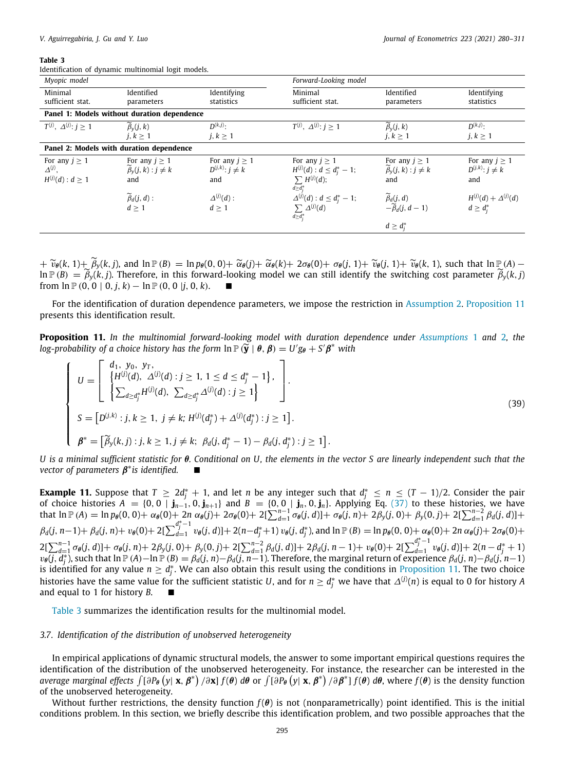<span id="page-15-2"></span>Identification of dynamic multinomial logit models.

| Myopic model                                                   |                                                                   |                                                    | Forward-Looking model                                                                             |                                                                                                           |                                                    |
|----------------------------------------------------------------|-------------------------------------------------------------------|----------------------------------------------------|---------------------------------------------------------------------------------------------------|-----------------------------------------------------------------------------------------------------------|----------------------------------------------------|
| Minimal<br>sufficient stat.                                    | Identified<br>parameters                                          | Identifying<br>statistics                          | Minimal<br>sufficient stat.                                                                       | Identified<br>parameters                                                                                  | Identifying<br>statistics                          |
|                                                                | Panel 1: Models without duration dependence                       |                                                    |                                                                                                   |                                                                                                           |                                                    |
| $T^{(j)}$ , $\Delta^{(j)}$ : $j \ge 1$                         | $\beta_v(i,k)$<br>i, k > 1                                        | $D^{(k,j)}$ :<br>$j, k \geq 1$                     | $T^{(j)}$ , $\Delta^{(j)}$ : $j > 1$                                                              | $\widetilde{\beta}_v(j,k)$<br>$j, k \geq 1$                                                               | $D^{(k,j)}$ .<br>$j, k \geq 1$                     |
|                                                                | Panel 2: Models with duration dependence                          |                                                    |                                                                                                   |                                                                                                           |                                                    |
| For any $j \geq 1$<br>$\Delta^{(j)}$ ,<br>$H^{(j)}(d) : d > 1$ | For any $j \geq 1$<br>$\widetilde{\beta}_v(j,k): j \neq k$<br>and | For any $i > 1$<br>$D^{(j,k)}$ : $j \neq k$<br>and | For any $j \geq 1$<br>$H^{(j)}(d)$ : $d \leq d_i^* - 1$ ;<br>$\sum H^{(j)}(d);$<br>$d \geq d_i^*$ | For any $j \geq 1$<br>$\widetilde{\beta}_v(j,k): j \neq k$<br>and                                         | For any $i > 1$<br>$D^{(j,k)}$ : $j \neq k$<br>and |
|                                                                | $\widetilde{\beta}_d(j,d)$ :<br>$d \geq 1$                        | $\Delta^{(j)}(d)$ :<br>d > 1                       | $\Delta^{(j)}(d)$ : $d \leq d_j^* - 1$ ;<br>$\sum \Delta^{(j)}(d)$<br>$d \geq d_i^*$              | $\begin{cases}\n\widetilde{\beta}_d(j, d) \\ -\widetilde{\beta}_d(j, d-1)\n\end{cases}$<br>$d \geq d_i^*$ | $H^{(j)}(d) + \Delta^{(j)}(d)$<br>$d \geq d_i^*$   |

 $+\widetilde{v}_{\theta}(k, 1)+\widetilde{\beta}_{y}(k, j)$ , and  $\ln \mathbb{P}(B) = \ln p_{\theta}(0, 0)+\widetilde{\alpha}_{\theta}(j)+\widetilde{\alpha}_{\theta}(k)+2\sigma_{\theta}(0)+\sigma_{\theta}(j, 1)+\widetilde{v}_{\theta}(j, 1)+\widetilde{v}_{\theta}(k, 1)$ , such that  $\ln \mathbb{P}(A)$  –  $\widehat{P}_y(k, j) = \widetilde{\beta}_y(k, j)$ . Therefore, in this forward-looking model we can still identify the switching cost parameter  $\widetilde{\beta}_y(k, j)$ from  $\ln P(0, 0 | 0, j, k) - \ln P(0, 0 | j, 0, k)$ .

For the identification of duration dependence parameters, we impose the restriction in [Assumption](#page-3-4) [2.](#page-3-4) [Proposition](#page-15-1) [11](#page-15-1) presents this identification result.

<span id="page-15-1"></span>**Proposition 11.** *In the multinomial forward-looking model with duration dependence under [Assumptions](#page-3-2)* [1](#page-3-2) *and* [2](#page-3-4)*, the log-probability of a choice history has the form*  $\ln \mathbb{P}(\widetilde{\mathbf{y}} \mid \boldsymbol{\theta}, \boldsymbol{\beta}) = U' g_{\boldsymbol{\theta}} + S' \boldsymbol{\beta}^*$  *with* 

$$
\begin{cases}\nU = \begin{bmatrix}\nd_1, y_0, y_T, \\
\{H^{(j)}(d), \Delta^{(j)}(d) : j \ge 1, 1 \le d \le d_j^* - 1\}, \\
\sum_{d \ge d_j^*} H^{(j)}(d), \sum_{d \ge d_j^*} \Delta^{(j)}(d) : j \ge 1\n\end{bmatrix}.\n\end{cases}
$$
\n
$$
S = [D^{(j,k)} : j, k \ge 1, j \ne k; H^{(j)}(d_j^*) + \Delta^{(j)}(d_j^*) : j \ge 1].
$$
\n
$$
\beta^* = [\widetilde{\beta}_y(k, j) : j, k \ge 1, j \ne k; \beta_d(j, d_j^* - 1) - \beta_d(j, d_j^*) : j \ge 1].\n\end{cases}
$$
\n(39)

*U is a minimal sufficient statistic for* θ*. Conditional on U, the elements in the vector S are linearly independent such that the vector of parameters* β ∗ *is identified.* ■

**Example 11.** Suppose that  $T \ge 2d_j^* + 1$ , and let *n* be any integer such that  $d_j^* \le n \le (T-1)/2$ . Consider the pair of choice histories  $A = \{0, 0 \mid \mathbf{j}_{n-1}, 0, \mathbf{j}_{n+1}\}$  and  $B = \{0, 0 \mid \mathbf{j}_n, 0, \mathbf{j}_n\}$ . Applying Eq. [\(37\)](#page-14-3) to these histories, we have that  $\ln P(A) = \ln p_{\theta}(0,0) + \alpha_{\theta}(0) + 2n \alpha_{\theta}(j) + 2\sigma_{\theta}(0) + 2[\sum_{d=1}^{n-1} \sigma_{\theta}(j,d)] + \sigma_{\theta}(j,n) + 2\beta_{y}(j,0) + \beta_{y}(0,j) + 2[\sum_{d=1}^{n-2} \beta_{d}(j,d)] +$  $\beta_d(j, n-1) + \beta_d(j, n) + \nu_\theta(0) + 2[\sum_{d=1}^{d_j^*-1}$  $\frac{d_j - 1}{d} v_\theta(j, d)] + 2(n - d_j^* + 1) v_\theta(j, d_j^*)$ , and  $\ln P(B) = \ln p_\theta(0, 0) + \alpha_\theta(0) + 2n \alpha_\theta(j) + 2\sigma_\theta(0) + 2n \alpha_\theta(j)$  $2[\sum_{d=1}^{n-1} \sigma_{\theta}(j, d)] + \sigma_{\theta}(j, n) + 2\beta_{y}(j, 0) + \beta_{y}(0, j) + 2[\sum_{d=1}^{n-2} \beta_{d}(j, d)] + 2\beta_{d}(j, n-1) + \nu_{\theta}(0) + 2[\sum_{d=1}^{d_{y}^{*}-1} \beta_{d}(j, d)]$  $\frac{d_j-1}{d=1} v_{\theta}(j,d)]+2(n-d_j^*+1)$  $v_{\theta}(i, d_i^*)$ , such that  $\ln \mathbb{P}(A) - \ln \mathbb{P}(B) = \beta_d(i, n) - \beta_d(i, n-1)$ . Therefore, the marginal return of experience  $\beta_d(i, n) - \beta_d(i, n-1)$ is identified for any value  $n\ge d_j^*$ . We can also obtain this result using the conditions in [Proposition](#page-15-1) [11.](#page-15-1) The two choice histories have the same value for the sufficient statistic  $U$ , and for  $n\ge d_j^*$  we have that  $\varDelta^{(j)}(n)$  is equal to 0 for history  $A$ and equal to 1 for history *B*.

[Table](#page-15-2) [3](#page-15-2) summarizes the identification results for the multinomial model.

## *3.7. Identification of the distribution of unobserved heterogeneity*

<span id="page-15-0"></span>In empirical applications of dynamic structural models, the answer to some important empirical questions requires the identification of the distribution of the unobserved heterogeneity. For instance, the researcher can be interested in the average marginal effects  $\int$  [∂P $_{\theta}$   $(y|\textbf{x},\pmb{\beta}^*)$  /∂ $\textbf{x}$ ]  $f(\theta)$  d $\theta$  or  $\int$  [∂P $_{\theta}$   $(y|\textbf{x},\pmb{\beta}^*)$  /∂ $\pmb{\beta}^*$ ]  $f(\theta)$  d $\theta$ , where  $f(\theta)$  is the density function of the unobserved heterogeneity.

Without further restrictions, the density function  $f(\theta)$  is not (nonparametrically) point identified. This is the initial conditions problem. In this section, we briefly describe this identification problem, and two possible approaches that the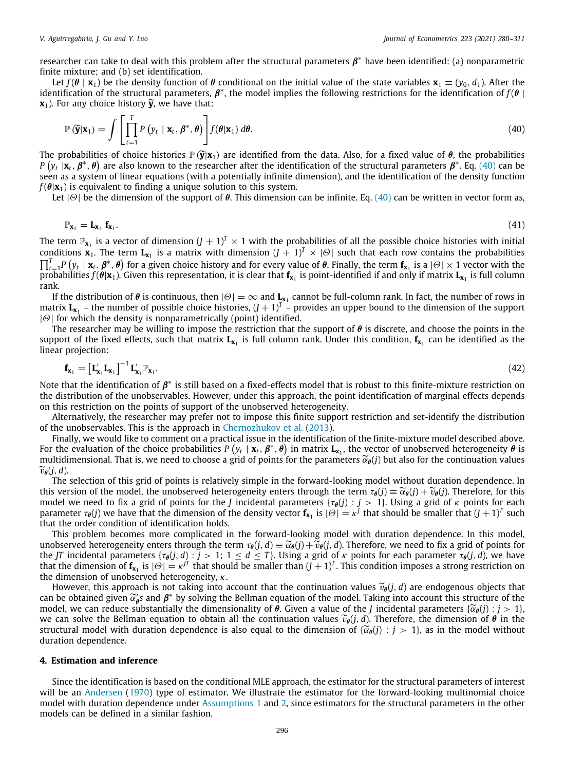researcher can take to deal with this problem after the structural parameters  $\pmb{\beta}^*$  have been identified: (a) nonparametric finite mixture; and (b) set identification.

Let  $f(\theta | \mathbf{x}_1)$  be the density function of  $\theta$  conditional on the initial value of the state variables  $\mathbf{x}_1 \equiv (y_0, d_1)$ . After the identification of the structural parameters,  $\beta^*$ , the model implies the following restrictions for the identification of  $f(\theta)$ **). For any choice history**  $\widetilde{\mathbf{y}}$ **, we have that:** 

<span id="page-16-1"></span>
$$
\mathbb{P}\left(\widetilde{\mathbf{y}}|\mathbf{x}_1\right) = \int \left[\prod_{t=1}^T P\left(y_t \mid \mathbf{x}_t, \boldsymbol{\beta}^*, \boldsymbol{\theta}\right)\right] f(\boldsymbol{\theta}|\mathbf{x}_1) \, d\boldsymbol{\theta}.\tag{40}
$$

The probabilities of choice histories  $\mathbb{P}(\tilde{\mathbf{y}}|\mathbf{x}_1)$  are identified from the data. Also, for a fixed value of  $\theta$ , the probabilities *P*  $(y_t | x_t, \beta^*, \theta)$  are also known to the researcher after the identification of the structural parameters  $\beta^*$ . Eq. [\(40\)](#page-16-1) can be seen as a system of linear equations (with a potentially infinite dimension), and the identification of the density function  $f(\theta|\mathbf{x}_1)$  is equivalent to finding a unique solution to this system.

Let  $|\Theta|$  be the dimension of the support of  $\theta$ . This dimension can be infinite. Eq. [\(40](#page-16-1)) can be written in vector form as,

$$
\mathbb{P}_{\mathbf{x}_1} = \mathbf{L}_{\mathbf{x}_1} \mathbf{f}_{\mathbf{x}_1}.
$$
 (41)

The term  $\mathbb{P}_{\mathbf{x}_1}$  is a vector of dimension  $(J + 1)^T \times 1$  with the probabilities of all the possible choice histories with initial conditions  $\mathbf{x}_1$ . The term  $\mathbf{L}_{\mathbf{x}_1}$  is a matrix with dimension  $(J + 1)^T \times |\Theta|$  such that each row contains the probabilities  $\prod_{t=1}^T P\left(y_t \mid \mathbf{x}_t, \boldsymbol{\beta}^*, \boldsymbol{\theta}\right)$  for a given choice history and for every value of  $\boldsymbol{\theta}$ . Finally, the term  $\mathbf{f}_{\mathbf{x}_1}$  is a  $|\varTheta| \times 1$  vector with the probabilities  $f(\theta|\mathbf{x}_1)$ . Given this representation, it is clear that  $\mathbf{f}_{\mathbf{x}_1}$  is point-identified if and only if matrix  $\mathbf{L}_{\mathbf{x}_1}$  is full column rank.

If the distribution of  $\theta$  is continuous, then  $|\Theta|=\infty$  and  $\underline{L}_{x_1}$  cannot be full-column rank. In fact, the number of rows in matrix  $L_{x_1}$  – the number of possible choice histories,  $(J+1)^T$  – provides an upper bound to the dimension of the support  $|\Theta|$  for which the density is nonparametrically (point) identified.

The researcher may be willing to impose the restriction that the support of  $\theta$  is discrete, and choose the points in the support of the fixed effects, such that matrix **L<sup>x</sup>**<sup>1</sup> is full column rank. Under this condition, **f<sup>x</sup>**<sup>1</sup> can be identified as the linear projection:

$$
\mathbf{f}_{\mathbf{x}_1} = \left[\mathbf{L}_{\mathbf{x}_1}' \mathbf{L}_{\mathbf{x}_1}\right]^{-1} \mathbf{L}_{\mathbf{x}_1}' \mathbb{P}_{\mathbf{x}_1}.\tag{42}
$$

Note that the identification of  $\pmb{\beta}^*$  is still based on a fixed-effects model that is robust to this finite-mixture restriction on the distribution of the unobservables. However, under this approach, the point identification of marginal effects depends on this restriction on the points of support of the unobserved heterogeneity.

Alternatively, the researcher may prefer not to impose this finite support restriction and set-identify the distribution of the unobservables. This is the approach in [Chernozhukov et al.](#page-31-19) ([2013](#page-31-19)).

Finally, we would like to comment on a practical issue in the identification of the finite-mixture model described above. For the evaluation of the choice probabilities  $P(y_t | x_t, \beta^*, \theta)$  in matrix  $\bf L_{x_1}$ , the vector of unobserved heterogeneity  $\theta$  is multidimensional. That is, we need to choose a grid of points for the parameters  $\widetilde{\alpha}_{\theta}(j)$  but also for the continuation values  $\widetilde{v}_{\theta}(j, d)$ .

The selection of this grid of points is relatively simple in the forward-looking model without duration dependence. In this version of the model, the unobserved heterogeneity enters through the term  $\tau_{\theta}(j) \equiv \widetilde{\alpha}_{\theta}(j) + \widetilde{\nu}_{\theta}(j)$ . Therefore, for this model we need to fix a grid of points for the *J* incidental parameters  $\{\tau_\theta(j) : j > 1\}$ . Using a grid of  $\kappa$  points for each parameter  $\tau_{\theta}(j)$  we have that the dimension of the density vector  $\mathbf{f_{x_1}}$  is  $|\Theta|=\kappa^f$  that should be smaller that  $(J+1)^T$  such that the order condition of identification holds.

This problem becomes more complicated in the forward-looking model with duration dependence. In this model, unobserved heterogeneity enters through the term  $\tau_{\theta}(j, d) \equiv \tilde{\alpha}_{\theta}(j) + \tilde{\nu}_{\theta}(j, d)$ . Therefore, we need to fix a grid of points for the *JT* incidental parameters { $\tau_{\theta}(j, d)$  :  $j > 1$ ;  $1 \leq d \leq T$ }. Using a grid of  $\kappa$  points for each parameter  $\tau_{\theta}(j, d)$ , we have that the dimension of  $f_{x_1}$  is  $|\Theta| = \kappa^{jT}$  that should be smaller than  $(j + 1)^T$ . This condition imposes a strong restriction on the dimension of unobserved heterogeneity,  $\kappa$ .

However, this approach is not taking into account that the continuation values  $\tilde{v}_{\theta}(j, d)$  are endogenous objects that can be obtained given  $\tilde{\alpha}'_{\theta}$ s and  $\beta^*$  by solving the Bellman equation of the model. Taking into account this structure of the model we can reduce substantially the dimensionality of  $\theta$ . Given a value of the Lin model, we can reduce substantially the dimensionality of  $\theta$ . Given a value of the *J* incidental parameters { $\tilde{\alpha}_{\theta}(j)$  :  $j > 1$ }, we can solve the Bellman equation to obtain all the continuation values  $\widetilde{v}_{\theta}(j, d)$ . Therefore, the dimension of  $\theta$  in the structural model with duration dependence is also equal to the dimension of { $\tilde{\alpha}_{\theta}(j)$  :  $j > 1$ }, as in the model without duration dependence.

#### **4. Estimation and inference**

<span id="page-16-0"></span>Since the identification is based on the conditional MLE approach, the estimator for the structural parameters of interest will be an [Andersen](#page-30-0) ([1970\)](#page-30-0) type of estimator. We illustrate the estimator for the forward-looking multinomial choice model with duration dependence under [Assumptions](#page-3-2) [1](#page-3-2) and [2,](#page-3-4) since estimators for the structural parameters in the other models can be defined in a similar fashion.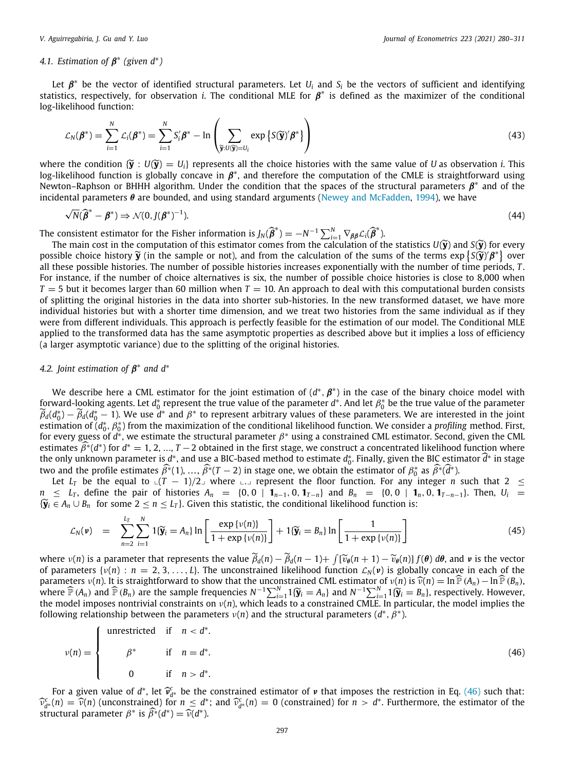⊥ ⊥ .

## 4.1. Estimation of  $\beta^*$  (given  $d^*$ )

Let  $\beta^*$  be the vector of identified structural parameters. Let  $U_i$  and  $S_i$  be the vectors of sufficient and identifying statistics, respectively, for observation *i*. The conditional MLE for  $\beta^*$  is defined as the maximizer of the conditional log-likelihood function:

$$
\mathcal{L}_N(\boldsymbol{\beta}^*) = \sum_{i=1}^N \mathcal{L}_i(\boldsymbol{\beta}^*) = \sum_{i=1}^N S_i' \boldsymbol{\beta}^* - \ln \left( \sum_{\widetilde{\mathbf{y}}: U(\widetilde{\mathbf{y}})=U_i} \exp \left\{ S(\widetilde{\mathbf{y}})' \boldsymbol{\beta}^* \right\} \right)
$$
(43)

where the condition  $\{ \widetilde{Y} : U(\widetilde{Y}) = U_i \}$  represents all the choice histories with the same value of *U* as observation *i*. This log-likelihood function is globally concave in  $\beta^*$ , and therefore the computation of the CMLE is straightforward using Newton–Raphson or BHHH algorithm. Under the condition that the spaces of the structural parameters  $\beta^*$  and of the incidental parameters  $\theta$  are bounded, and using standard arguments ([Newey and McFadden,](#page-31-38) [1994](#page-31-38)), we have

$$
\sqrt{N}(\widehat{\boldsymbol{\beta}}^* - \boldsymbol{\beta}^*) \Rightarrow \mathcal{N}(0, J(\boldsymbol{\beta}^*)^{-1}).
$$
\n(44)

The consistent estimator for the Fisher information is  $J_N(\hat{\beta}^*) = -N^{-1} \sum_{i=1}^N \nabla_{\beta\beta} \mathcal{L}_i(\hat{\beta}^*)$ .<br>The main cest in the computation of this estimates some from the calculation of the

The main cost in the computation of this estimator comes from the calculation of the statistics  $U(\tilde{y})$  and  $S(\tilde{y})$  for every possible choice history  $\tilde{y}$  (in the sample or not), and from the calculation of the sums of the terms  $\exp{\{S(\tilde{y})' \beta^*\}}$  over<br>all these possible histories. The number of possible histories increases exponentially wi all these possible histories. The number of possible histories increases exponentially with the number of time periods, *T* . For instance, if the number of choice alternatives is six, the number of possible choice histories is close to 8,000 when  $T = 5$  but it becomes larger than 60 million when  $T = 10$ . An approach to deal with this computational burden consists of splitting the original histories in the data into shorter sub-histories. In the new transformed dataset, we have more individual histories but with a shorter time dimension, and we treat two histories from the same individual as if they were from different individuals. This approach is perfectly feasible for the estimation of our model. The Conditional MLE applied to the transformed data has the same asymptotic properties as described above but it implies a loss of efficiency (a larger asymptotic variance) due to the splitting of the original histories.

## *4.2. Joint estimation of* β ∗ *and d*<sup>∗</sup>

We describe here a CML estimator for the joint estimation of  $(d^*,\beta^*)$  in the case of the binary choice model with forward-looking agents. Let *d* $^*_0$  represent the true value of the parameter *d*\*. And let  $\beta^*_0$  be the true value of the parameter  $\widetilde{\beta}_d(d_0^*) - \widetilde{\beta}_d(d_0^* - 1)$ . We use  $d^*$  and  $\beta^*$  to represent arbitrary values of these parameters. We are interested in the joint estimation of (d<sub>o</sub>\*, β\*) from the maximization of the conditional likelihood function. We consider a *profiling m*ethod. First, for every guess of  $d^*$ , we estimate the structural parameter  $\beta^*$  using a constrained CML estimator. Second, given the CML estimates  $\widehat{\beta}^*(d^*)$  for  $d^* = 1, 2, ..., T-2$  obtained in the first stage, we construct a concentrated likelihood function where the only unknown parameter is *d*<sup>∗</sup>, and use a BIC-based method to estimate *d*<sub>ℓ</sub><sup>\*</sup>. Finally, given the BIC estimator  $\hat{d}^*$  in stage two and the profile estimates  $\hat{\beta^*}(1), \dots, \hat{\beta^*}(T-2)$  in stage one, we obtain the estimator of  $\beta_0^*$  as  $\hat{\beta^*}(\hat{d}^*)$ .

Let  $L_T$  be the equal to ∟ $(T - 1)/2$  where ∟. represent the floor function. For any integer *n* such that 2 ≤  $n \leq L_T$ , define the pair of histories  $A_n = \{0, 0 \mid \mathbf{1}_{n-1}, 0, \mathbf{1}_{T-n}\}$  and  $B_n = \{0, 0 \mid \mathbf{1}_n, 0, \mathbf{1}_{T-n-1}\}$ . Then,  $U_i =$  ${W_i \in A_n \cup B_n}$  for some 2 ≤ *n* ≤ *L<sub>T</sub>*}. Given this statistic, the conditional likelihood function is:

$$
\mathcal{L}_N(\nu) = \sum_{n=2}^{L_T} \sum_{i=1}^N \mathbf{1}\{\widetilde{\mathbf{y}}_i = A_n\} \ln \left[ \frac{\exp \{\nu(n)\}}{1 + \exp \{\nu(n)\}} \right] + \mathbf{1}\{\widetilde{\mathbf{y}}_i = B_n\} \ln \left[ \frac{1}{1 + \exp \{\nu(n)\}} \right] \tag{45}
$$

where  $v(n)$  is a parameter that represents the value  $\tilde{\beta}_d(n) - \tilde{\beta}_d(n-1) + \int [\tilde{v}_\theta(n+1) - \tilde{v}_\theta(n)] f(\theta) d\theta$ , and *v* is the vector of the vector of the vector is the vector of the vector of the unconstrained likelihood of parameters  $\{v(n): n = 2, 3, \ldots, L\}$ . The unconstrained likelihood function  $\mathcal{L}_N(v)$  is globally concave in each of the parameters  $v(n)$ . It is straightforward to show that the unconstrained CML estimator of  $v(n)$  is  $\widehat{v}(n) = \ln \widehat{P}(A_n) - \ln \widehat{P}(B_n)$ , where  $\widehat{P}(A_n)$  and  $\widehat{P}(B_n)$  are the sample frequencies  $N^{-1}\nabla^N$ ,  $1\widehat{w} = A_1$  where  $\widehat{\mathbb{P}}(A_n)$  and  $\widehat{\mathbb{P}}(B_n)$  are the sample frequencies  $N^{-1}\sum_{i=1}^N 1\{\widetilde{\mathbf{y}}_i = A_n\}$  and  $N^{-1}\sum_{i=1}^N 1\{\widetilde{\mathbf{y}}_i = B_n\}$ , respectively. However,<br>the model imposes nontrivial constraints on  $\nu(n)$ , wh following relationship between the parameters  $\nu(n)$  and the structural parameters ( $d^*,\hat{\beta}^*$ ).

<span id="page-17-0"></span>
$$
\nu(n) = \begin{cases}\n\text{unrestricted} & \text{if } n < d^*. \\
\beta^* & \text{if } n = d^*. \\
0 & \text{if } n > d^*. \n\end{cases} \tag{46}
$$

For a given value of  $d^*$ , let  $\widehat{v}_{d^*}^c$  be the constrained estimator of v that imposes the restriction in Eq. ([46](#page-17-0)) such that:<br>(n)  $-\widehat{v}(n)$  (unconstrained) for  $n < d^*$ ; and  $\widehat{v}^c(n) = 0$  (constrained) for  $n > d^*$  $\widehat{v}_{d*}^c(n) = \widehat{v}(n)$  (unconstrained) for  $n \leq d^*$ ; and  $\widehat{v}_{d*}^c(n) = 0$  (constrained) for  $n > d^*$ . Furthermore, the estimator of the estimator of the structural parameter  $\beta^*$  is  $\widehat{\beta^*}(d^*) = \widehat{\nu}(d^*)$ .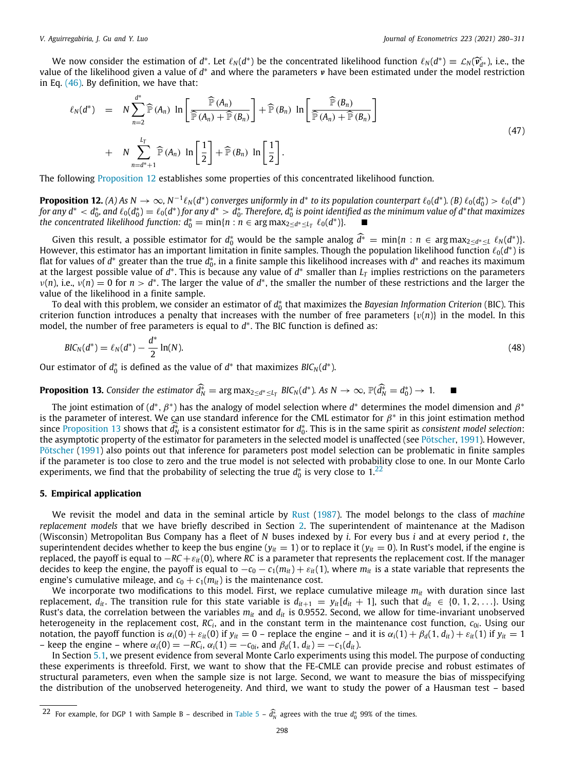We now consider the estimation of  $d^*$ . Let  $\ell_N(d^*)$  be the concentrated likelihood function  $\ell_N(d^*) \equiv \mathcal{L}_N(\hat{\mathbf{v}}_{d^*}^c)$ , i.e., the likelihood given a value of  $d^*$  and where the parameters  $v$  have been estimated value of the likelihood given a value of d\* and where the parameters *v* have been estimated under the model restriction in Eq. ([46\)](#page-17-0). By definition, we have that:

$$
\ell_N(d^*) = N \sum_{n=2}^{d^*} \widehat{\mathbb{P}}(A_n) \ln \left[ \frac{\widehat{\mathbb{P}}(A_n)}{\widehat{\mathbb{P}}(A_n) + \widehat{\mathbb{P}}(B_n)} \right] + \widehat{\mathbb{P}}(B_n) \ln \left[ \frac{\widehat{\mathbb{P}}(B_n)}{\widehat{\mathbb{P}}(A_n) + \widehat{\mathbb{P}}(B_n)} \right]
$$
  
+ 
$$
N \sum_{n=d^*+1}^{L_T} \widehat{\mathbb{P}}(A_n) \ln \left[ \frac{1}{2} \right] + \widehat{\mathbb{P}}(B_n) \ln \left[ \frac{1}{2} \right].
$$
 (47)

<span id="page-18-1"></span>The following [Proposition](#page-18-1) [12](#page-18-1) establishes some properties of this concentrated likelihood function.

**Proposition 12.** (A) As  $N \to \infty$ ,  $N^{-1} \ell_N(d^*)$  converges uniformly in  $d^*$  to its population counterpart  $\ell_0(d^*)$ . (B)  $\ell_0(d_0^*) > \ell_0(d^*)$ for any  $d^* < d_0^*$ , and  $\ell_0(d_0^*) = \ell_0(d^*)$  for any  $d^* > d_0^*$ . Therefore,  $d_0^*$  is point identified as the minimum value of  $d^*$ that maximizes *the concentrated likelihood function:*  $d_0^* = \min\{n : n \in \argmax_{2 \le d^* \le L} \ell_0(d^*)\}$ . ■

Given this result, a possible estimator for  $d_0^*$  would be the sample analog  $\hat{d}^* = \min\{n : n \in \arg \max_{2 \leq d^* \leq L} \ell_N(d^*)\}$ . However, this estimator has an important limitation in finite samples. Though the population likelihood function  $\ell_0(d^*)$  is flat for values of *d*<sup>∗</sup> greater than the true *d*<sub>0</sub><sup>\*</sup>, in a finite sample this likelihood increases with *d*<sup>\*</sup> and reaches its maximum at the largest possible value of *d* ∗ . This is because any value of *d* ∗ smaller than *L<sup>T</sup>* implies restrictions on the parameters  $v(n)$ , i.e.,  $v(n) = 0$  for  $n > d^*$ . The larger the value of  $d^*$ , the smaller the number of these restrictions and the larger the value of the likelihood in a finite sample.

To deal with this problem, we consider an estimator of  $d_0^*$  that maximizes the *Bayesian Information Criterion* (BIC). This criterion function introduces a penalty that increases with the number of free parameters  $\{v(n)\}\$ in the model. In this model, the number of free parameters is equal to *d* ∗ . The BIC function is defined as:

$$
BIC_N(d^*) = \ell_N(d^*) - \frac{d^*}{2}\ln(N). \tag{48}
$$

Our estimator of  $d_0^*$  is defined as the value of  $d^*$  that maximizes  $BIC_N(d^*)$ .

# <span id="page-18-2"></span>**Proposition 13.** Consider the estimator  $\hat{d}_N^* = \arg \max_{2 \le d^* \le L_T} \text{BIC}_N(d^*).$  As  $N \to \infty$ ,  $\mathbb{P}(\hat{d}_N^* = d_0^*) \to 1$ .

The joint estimation of  $(d^*,\beta^*)$  has the analogy of model selection where  $d^*$  determines the model dimension and  $\beta^*$ is the parameter of interest. We can use standard inference for the CML estimator for  $\beta^*$  in this joint estimation method since [Proposition](#page-18-2) [13](#page-18-2) shows that  $\hat{d}_h^*$  is a consistent estimator for  $d_b^*$ . This is in the same spirit as *consistent model selection*:<br>the asymptotic proposity of the ostimator for parameters in the selected model i the asymptotic property of the estimator for parameters in the selected model is unaffected (see [Pötscher](#page-31-39), [1991](#page-31-39)). However, [Pötscher](#page-31-39) [\(1991](#page-31-39)) also points out that inference for parameters post model selection can be problematic in finite samples if the parameter is too close to zero and the true model is not selected with probability close to one. In our Monte Carlo experiments, we find that the probability of selecting the true  $d_0^*$  is very close to  $1.22$  $1.22$ 

#### <span id="page-18-3"></span>**5. Empirical application**

<span id="page-18-0"></span>We revisit the model and data in the seminal article by [Rust](#page-31-18) [\(1987\)](#page-31-18). The model belongs to the class of *machine replacement models* that we have briefly described in Section [2.](#page-2-2) The superintendent of maintenance at the Madison (Wisconsin) Metropolitan Bus Company has a fleet of *N* buses indexed by *i*. For every bus *i* and at every period *t*, the superintendent decides whether to keep the bus engine  $(y<sub>it</sub> = 1)$  or to replace it  $(y<sub>it</sub> = 0)$ . In Rust's model, if the engine is replaced, the payoff is equal to −*RC* +ε*it*(0), where *RC* is a parameter that represents the replacement cost. If the manager decides to keep the engine, the payoff is equal to  $-c_0 - c_1(m_{it}) + \varepsilon_{it}(1)$ , where  $m_{it}$  is a state variable that represents the engine's cumulative mileage, and  $c_0 + c_1(m_{it})$  is the maintenance cost.

We incorporate two modifications to this model. First, we replace cumulative mileage *mit* with duration since last replacement,  $d_{it}$ . The transition rule for this state variable is  $d_{it+1} = y_i[d_{it} + 1]$ , such that  $d_{it} \in \{0, 1, 2, \ldots\}$ . Using Rust's data, the correlation between the variables  $m_{it}$  and  $d_{it}$  is 0.9552. Second, we allow for time-invariant unobserved heterogeneity in the replacement cost, *RC<sub>i</sub>,* and in the constant term in the maintenance cost function, *c<sub>0i</sub>. Using our* notation, the payoff function is  $\alpha_i(0) + \varepsilon_{it}(0)$  if  $y_{it} = 0$  – replace the engine – and it is  $\alpha_i(1) + \beta_d(1, d_{it}) + \varepsilon_{it}(1)$  if  $y_{it} = 1$ – keep the engine – where  $\alpha_i$ (0) = −*RC*<sup>*i*</sup>,  $\alpha_i$ (1) = −*c*<sub>0</sub>*i*</sub>, and  $\beta_d$ (1, *d*<sub>*it*</sub>) = −*c*<sub>1</sub>(*d*<sub>*it*</sub>).

In Section [5.1,](#page-19-0) we present evidence from several Monte Carlo experiments using this model. The purpose of conducting these experiments is threefold. First, we want to show that the FE-CMLE can provide precise and robust estimates of structural parameters, even when the sample size is not large. Second, we want to measure the bias of misspecifying the distribution of the unobserved heterogeneity. And third, we want to study the power of a Hausman test – based

<sup>22</sup> For example, for DGP 1 with Sample B – described in [Table](#page-20-0) [5](#page-20-0) –  $\hat{d}_N^*$  agrees with the true  $d_0^*$  99% of the times.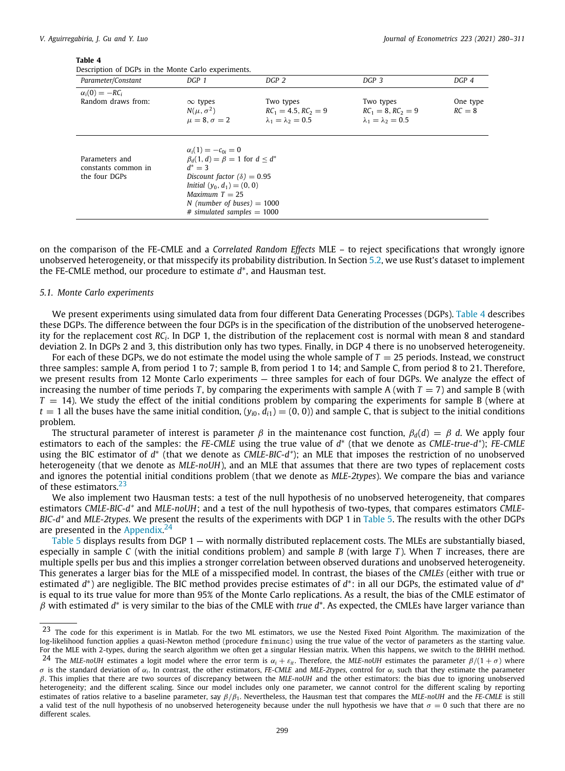<span id="page-19-1"></span>Description of DGPs in the Monte Carlo experiments.

| Parameter/Constant                                     | DGP 1                                                                                                                                                                                                                                         | DGP 2                                                                   | DGP 3                                                                 | DGP 4                |
|--------------------------------------------------------|-----------------------------------------------------------------------------------------------------------------------------------------------------------------------------------------------------------------------------------------------|-------------------------------------------------------------------------|-----------------------------------------------------------------------|----------------------|
| $\alpha_i(0) = -RC_i$                                  |                                                                                                                                                                                                                                               |                                                                         |                                                                       |                      |
| Random draws from:                                     | $\infty$ types<br>$N(\mu, \sigma^2)$<br>$\mu = 8, \sigma = 2$                                                                                                                                                                                 | Two types<br>$RC_1 = 4.5$ , $RC_2 = 9$<br>$\lambda_1 = \lambda_2 = 0.5$ | Two types<br>$RC_1 = 8$ , $RC_2 = 9$<br>$\lambda_1 = \lambda_2 = 0.5$ | One type<br>$RC = 8$ |
| Parameters and<br>constants common in<br>the four DGPs | $\alpha_i(1)=-c_{0i}=0$<br>$\beta_d(1, d) = \beta = 1$ for $d < d^*$<br>$d^* = 3$<br>Discount factor $(\delta) = 0.95$<br>Initial $(y_0, d_1) = (0, 0)$<br>Maximum $T = 25$<br>N (number of buses) $= 1000$<br>$#$ simulated samples $=$ 1000 |                                                                         |                                                                       |                      |

on the comparison of the FE-CMLE and a *Correlated Random Effects* MLE – to reject specifications that wrongly ignore unobserved heterogeneity, or that misspecify its probability distribution. In Section [5.2,](#page-20-1) we use Rust's dataset to implement the FE-CMLE method, our procedure to estimate *d* ∗ , and Hausman test.

#### *5.1. Monte Carlo experiments*

<span id="page-19-0"></span>We present experiments using simulated data from four different Data Generating Processes (DGPs). [Table](#page-19-1) [4](#page-19-1) describes these DGPs. The difference between the four DGPs is in the specification of the distribution of the unobserved heterogeneity for the replacement cost *RC<sup>i</sup>* . In DGP 1, the distribution of the replacement cost is normal with mean 8 and standard deviation 2. In DGPs 2 and 3, this distribution only has two types. Finally, in DGP 4 there is no unobserved heterogeneity.

For each of these DGPs, we do not estimate the model using the whole sample of  $T = 25$  periods. Instead, we construct three samples: sample A, from period 1 to 7; sample B, from period 1 to 14; and Sample C, from period 8 to 21. Therefore, we present results from 12 Monte Carlo experiments — three samples for each of four DGPs. We analyze the effect of increasing the number of time periods *T*, by comparing the experiments with sample A (with  $T = 7$ ) and sample B (with  $T = 14$ ). We study the effect of the initial conditions problem by comparing the experiments for sample B (where at  $t = 1$  all the buses have the same initial condition,  $(y_{i0}, d_{i1}) = (0, 0)$  and sample C, that is subject to the initial conditions problem.

The structural parameter of interest is parameter  $\beta$  in the maintenance cost function,  $\beta_d(d) = \beta d$ . We apply four estimators to each of the samples: the *FE-CMLE* using the true value of *d* ∗ (that we denote as *CMLE-true-d\**); *FE-CMLE* using the BIC estimator of *d*<sup>∗</sup> (that we denote as *CMLE-BIC-d*<sup>∗</sup>); an MLE that imposes the restriction of no unobserved heterogeneity (that we denote as *MLE-noUH*), and an MLE that assumes that there are two types of replacement costs and ignores the potential initial conditions problem (that we denote as *MLE-2types*). We compare the bias and variance of these estimators.<sup>[23](#page-19-2)</sup>

<span id="page-19-2"></span>We also implement two Hausman tests: a test of the null hypothesis of no unobserved heterogeneity, that compares estimators *CMLE-BIC-d\** and *MLE-noUH*; and a test of the null hypothesis of two-types, that compares estimators *CMLE-BIC-d\** and *MLE-2types*. We present the results of the experiments with DGP 1 in [Table](#page-20-0) [5](#page-20-0). The results with the other DGPs are presented in the [Appendix](#page-22-1).<sup>[24](#page-19-3)</sup>

<span id="page-19-3"></span>[Table](#page-20-0) [5](#page-20-0) displays results from DGP 1 — with normally distributed replacement costs. The MLEs are substantially biased, especially in sample *C* (with the initial conditions problem) and sample *B* (with large *T* ). When *T* increases, there are multiple spells per bus and this implies a stronger correlation between observed durations and unobserved heterogeneity. This generates a larger bias for the MLE of a misspecified model. In contrast, the biases of the *CMLEs* (either with true or estimated *d*\*) are negligible. The BIC method provides precise estimates of *d*\*: in all our DGPs, the estimated value of *d*\* is equal to its true value for more than 95% of the Monte Carlo replications. As a result, the bias of the CMLE estimator of β with estimated *d* ∗ is very similar to the bias of the CMLE with *true d*\*. As expected, the CMLEs have larger variance than

<sup>&</sup>lt;sup>23</sup> The code for this experiment is in Matlab. For the two ML estimators, we use the Nested Fixed Point Algorithm. The maximization of the log-likelihood function applies a quasi-Newton method (procedure fminunc) using the true value of the vector of parameters as the starting value. For the MLE with 2-types, during the search algorithm we often get a singular Hessian matrix. When this happens, we switch to the BHHH method.

<sup>&</sup>lt;sup>24</sup> The *MLE-noUH* estimates a logit model where the error term is  $\alpha_i + \varepsilon_{it}$ . Therefore, the *MLE-noUH* estimates the parameter  $\beta/(1 + \sigma)$  where  $\sigma$  is the standard deviation of  $\alpha_i$ . In contrast, the other estimators, *FE-CMLE* and *MLE-2types*, control for  $\alpha_i$  such that they estimate the parameter β. This implies that there are two sources of discrepancy between the *MLE-noUH* and the other estimators: the bias due to ignoring unobserved heterogeneity; and the different scaling. Since our model includes only one parameter, we cannot control for the different scaling by reporting estimates of ratios relative to a baseline parameter, say β/β1. Nevertheless, the Hausman test that compares the *MLE-noUH* and the *FE-CMLE* is still a valid test of the null hypothesis of no unobserved heterogeneity because under the null hypothesis we have that  $\sigma = 0$  such that there are no different scales.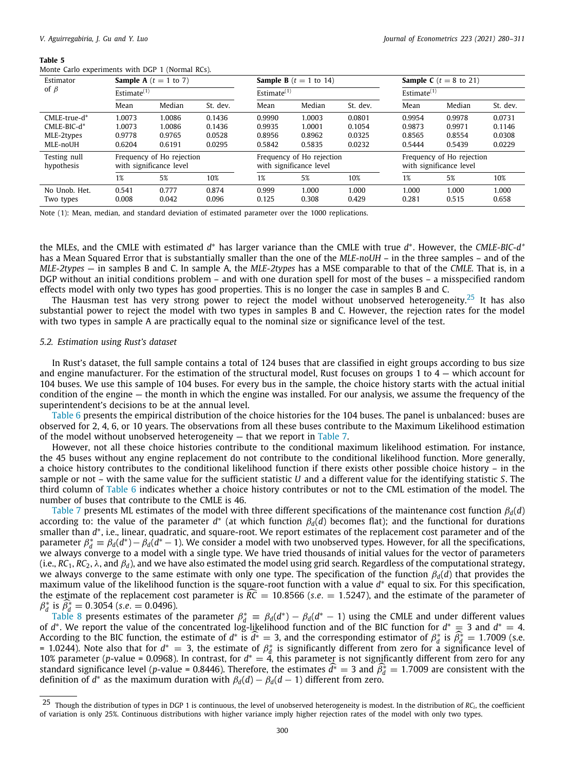<span id="page-20-0"></span>

|  |  | Monte Carlo experiments with DGP 1 (Normal RCs). |  |  |  |  |  |
|--|--|--------------------------------------------------|--|--|--|--|--|
|--|--|--------------------------------------------------|--|--|--|--|--|

| Estimator                  |                | <b>Sample A</b> $(t = 1$ to 7)                                                                               |          |                | <b>Sample B</b> $(t = 1$ to 14)                      |          | <b>Sample C</b> ( $t = 8$ to 21) |        |          |
|----------------------------|----------------|--------------------------------------------------------------------------------------------------------------|----------|----------------|------------------------------------------------------|----------|----------------------------------|--------|----------|
| of $\beta$                 | Estimate $(1)$ |                                                                                                              |          | Estimate $(1)$ |                                                      |          | Estimate $(1)$                   |        |          |
|                            | Mean           | Median                                                                                                       | St. dev. | Mean           | Median                                               | St. dev. | Mean                             | Median | St. dev. |
| CMLE-true-d*               | 1.0073         | 1.0086                                                                                                       | 0.1436   | 0.9990         | 1.0003                                               | 0.0801   | 0.9954                           | 0.9978 | 0.0731   |
| $CMLE-BIC-d*$              | 1.0073         | 1.0086                                                                                                       | 0.1436   | 0.9935         | 1.0001                                               | 0.1054   | 0.9873                           | 0.9971 | 0.1146   |
| MLE-2types                 | 0.9778         | 0.9765                                                                                                       | 0.0528   | 0.8956         | 0.8962                                               | 0.0325   | 0.8565                           | 0.8554 | 0.0308   |
| MLE-noUH                   | 0.6204         | 0.6191                                                                                                       | 0.0295   | 0.5842         | 0.5835                                               | 0.0232   | 0.5444                           | 0.5439 | 0.0229   |
| Testing null<br>hypothesis |                | Frequency of Ho rejection<br>Frequency of Ho rejection<br>with significance level<br>with significance level |          |                | Frequency of Ho rejection<br>with significance level |          |                                  |        |          |
|                            | 1%             | 5%                                                                                                           | 10%      | 1%             | 5%                                                   | 10%      | 1%                               | 5%     | 10%      |
| No Unob. Het.              | 0.541          | 0.777                                                                                                        | 0.874    | 0.999          | 1.000                                                | 1.000    | 1.000                            | 1.000  | 1.000    |
| Two types                  | 0.008          | 0.042                                                                                                        | 0.096    | 0.125          | 0.308                                                | 0.429    | 0.281                            | 0.515  | 0.658    |

Note (1): Mean, median, and standard deviation of estimated parameter over the 1000 replications.

the MLEs, and the CMLE with estimated *d*<sup>\*</sup> has larger variance than the CMLE with true *d*<sup>\*</sup>. However, the CMLE-BIC-d<sup>\*</sup> has a Mean Squared Error that is substantially smaller than the one of the *MLE-noUH –* in the three samples – and of the *MLE-2types —* in samples B and C. In sample A, the *MLE-2types* has a MSE comparable to that of the *CMLE.* That is, in a DGP without an initial conditions problem – and with one duration spell for most of the buses – a misspecified random effects model with only two types has good properties. This is no longer the case in samples B and C.

<span id="page-20-2"></span>The Hausman test has very strong power to reject the model without unobserved heterogeneity.<sup>[25](#page-20-2)</sup> It has also substantial power to reject the model with two types in samples B and C. However, the rejection rates for the model with two types in sample A are practically equal to the nominal size or significance level of the test.

#### *5.2. Estimation using Rust's dataset*

<span id="page-20-1"></span>In Rust's dataset, the full sample contains a total of 124 buses that are classified in eight groups according to bus size and engine manufacturer. For the estimation of the structural model, Rust focuses on groups 1 to  $4$  — which account for 104 buses. We use this sample of 104 buses. For every bus in the sample, the choice history starts with the actual initial condition of the engine — the month in which the engine was installed. For our analysis, we assume the frequency of the superintendent's decisions to be at the annual level.

[Table](#page-21-0) [6](#page-21-0) presents the empirical distribution of the choice histories for the 104 buses. The panel is unbalanced: buses are observed for 2, 4, 6, or 10 years. The observations from all these buses contribute to the Maximum Likelihood estimation of the model without unobserved heterogeneity  $-$  that we report in [Table](#page-21-1) [7.](#page-21-1)

However, not all these choice histories contribute to the conditional maximum likelihood estimation. For instance, the 45 buses without any engine replacement do not contribute to the conditional likelihood function. More generally, a choice history contributes to the conditional likelihood function if there exists other possible choice history – in the sample or not – with the same value for the sufficient statistic *U* and a different value for the identifying statistic *S*. The third column of [Table](#page-21-0) [6](#page-21-0) indicates whether a choice history contributes or not to the CML estimation of the model. The number of buses that contribute to the CMLE is 46.

[Table](#page-21-1) [7](#page-21-1) presents ML estimates of the model with three different specifications of the maintenance cost function β*d*(*d*) according to: the value of the parameter  $d^*$  (at which function  $\beta_d(d)$  becomes flat); and the functional for durations smaller than *d* ∗ , i.e., linear, quadratic, and square-root. We report estimates of the replacement cost parameter and of the parameter  $\beta_d^* \equiv \beta_d(d^*)-\beta_d(d^*-1)$ . We consider a model with two unobserved types. However, for all the specifications, we always converge to a model with a single type. We have tried thousands of initial values for the vector of parameters (i.e.,  $RC_1$ ,  $RC_2$ ,  $\lambda$ , and  $\beta_d$ ), and we have also estimated the model using grid search. Regardless of the computational strategy, we always converge to the same estimate with only one type. The specification of the function  $\beta_d(d)$  that provides the maximum value of the likelihood function is the square-root function with a value d<sup>∗</sup> equal to six. For this specification, the estimate of the replacement cost parameter is  $\widehat{RC} = 10.8566$  (*s.e.*  $= 1.5247$ ), and the estimate of the parameter of  $\beta_d^*$  is  $\widehat{\beta_d^*} = 0.3054$  (*s.e.* = 0.0496).

[Table](#page-22-2) [8](#page-22-2) presents estimates of the parameter  $\beta_d^* = \beta_d(d^*) - \beta_d(d^* - 1)$  using the CMLE and under different values of *d*<sup>\*</sup>. We report the value of the concentrated log-likelihood function and of the BIC function for  $d^* = 3$  and  $d^* = 4$ . According to the BIC function, the estimate of  $d^*$  is  $\hat{d}^* = 3$ , and the corresponding estimator of  $\beta_d^*$  is  $\hat{\beta}_d^* = 1.7009$  (s.e. = 1.0244). Note also that for  $d^* = 3$ , the estimate of  $\beta_d^*$  is significantly different from zero for a significance level of 10% parameter (*p*-value = 0.0968). In contrast, for  $d^* = 4$ , this parameter is not significantly different from zero for any standard significance level (*p*-value = 0.8446). Therefore, the estimates  $\hat{d}^* = 3$  and  $\hat{\beta}^* = 1.7009$  are consistent with the definition of  $d^*$  as the maximum duration with  $\beta_d(d) - \beta_d(d-1)$  different from zero.

 $^{25}$  Though the distribution of types in DGP 1 is continuous, the level of unobserved heterogeneity is modest. In the distribution of *RC*<sub>i</sub>, the coefficient of variation is only 25%. Continuous distributions with higher variance imply higher rejection rates of the model with only two types.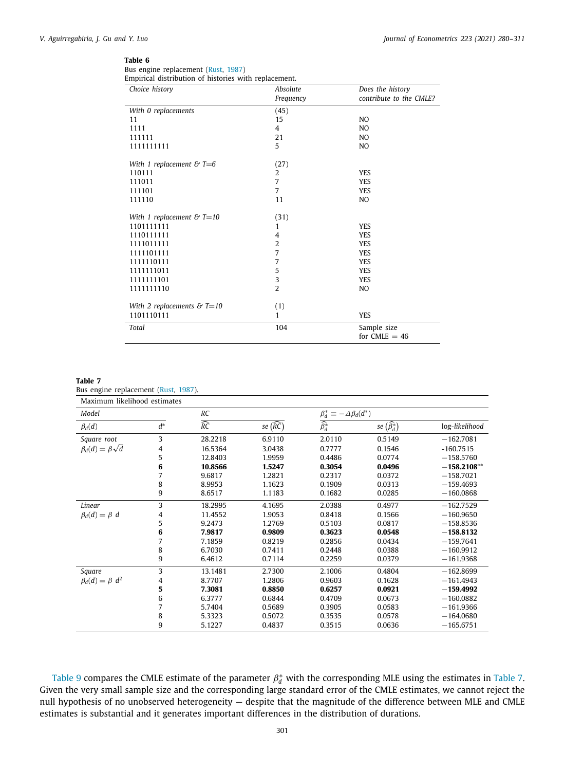<span id="page-21-0"></span>Bus engine replacement ([Rust](#page-31-18), [1987](#page-31-18)) Empirical distribution of histories with replacement.

| Choice history               | Absolute       | Does the history               |
|------------------------------|----------------|--------------------------------|
|                              | Frequency      | contribute to the CMLE?        |
| With 0 replacements          | (45)           |                                |
| 11                           | 15             | NO.                            |
| 1111                         | 4              | NO.                            |
| 111111                       | 21             | N <sub>O</sub>                 |
| 1111111111                   | 5              | NO.                            |
| With 1 replacement & $T=6$   | (27)           |                                |
| 110111                       | 2              | <b>YES</b>                     |
| 111011                       | 7              | <b>YES</b>                     |
| 111101                       | 7              | <b>YES</b>                     |
| 111110                       | 11             | NO.                            |
| With 1 replacement & $T=10$  | (31)           |                                |
| 1101111111                   | 1              | <b>YES</b>                     |
| 1110111111                   | 4              | <b>YES</b>                     |
| 1111011111                   | $\overline{2}$ | <b>YES</b>                     |
| 1111101111                   | 7              | <b>YES</b>                     |
| 1111110111                   | 7              | <b>YES</b>                     |
| 1111111011                   | 5              | <b>YES</b>                     |
| 1111111101                   | 3              | <b>YES</b>                     |
| 1111111110                   | $\overline{2}$ | N <sub>O</sub>                 |
| With 2 replacements & $T=10$ | (1)            |                                |
| 1101110111                   | 1              | <b>YES</b>                     |
| Total                        | 104            | Sample size<br>for $CMLE = 46$ |

## <span id="page-21-1"></span>**Table 7**

Bus engine replacement [\(Rust,](#page-31-18) [1987](#page-31-18)).

| Maximum likelihood estimates  |       |                           |                     |                                    |                            |                |
|-------------------------------|-------|---------------------------|---------------------|------------------------------------|----------------------------|----------------|
| Model                         |       | RC                        |                     | $\beta_d^* = -\Delta \beta_d(d^*)$ |                            |                |
| $\beta_d(d)$                  | $d^*$ | $\overline{\widehat{RC}}$ | se $(\widehat{RC})$ | $\overline{\widehat{\beta}_d^*}$   | se $(\widehat{\beta_d^*})$ | log-likelihood |
| Square root                   | 3     | 28.2218                   | 6.9110              | 2.0110                             | 0.5149                     | $-162.7081$    |
| $\beta_d(d) = \beta \sqrt{d}$ | 4     | 16.5364                   | 3.0438              | 0.7777                             | 0.1546                     | $-160.7515$    |
|                               | 5     | 12.8403                   | 1.9959              | 0.4486                             | 0.0774                     | $-158.5760$    |
|                               | 6     | 10.8566                   | 1.5247              | 0.3054                             | 0.0496                     | $-158.2108**$  |
|                               | 7     | 9.6817                    | 1.2821              | 0.2317                             | 0.0372                     | $-158.7021$    |
|                               | 8     | 8.9953                    | 1.1623              | 0.1909                             | 0.0313                     | $-159.4693$    |
|                               | 9     | 8.6517                    | 1.1183              | 0.1682                             | 0.0285                     | $-160.0868$    |
| Linear                        | 3     | 18.2995                   | 4.1695              | 2.0388                             | 0.4977                     | $-162.7529$    |
| $\beta_d(d) = \beta d$        | 4     | 11.4552                   | 1.9053              | 0.8418                             | 0.1566                     | $-160.9650$    |
|                               | 5     | 9.2473                    | 1.2769              | 0.5103                             | 0.0817                     | $-158.8536$    |
|                               | 6     | 7.9817                    | 0.9809              | 0.3623                             | 0.0548                     | $-158.8132$    |
|                               | 7     | 7.1859                    | 0.8219              | 0.2856                             | 0.0434                     | $-159.7641$    |
|                               | 8     | 6.7030                    | 0.7411              | 0.2448                             | 0.0388                     | $-160.9912$    |
|                               | 9     | 6.4612                    | 0.7114              | 0.2259                             | 0.0379                     | $-161.9368$    |
| Square                        | 3     | 13.1481                   | 2.7300              | 2.1006                             | 0.4804                     | $-162.8699$    |
| $\beta_d(d) = \beta d^2$      | 4     | 8.7707                    | 1.2806              | 0.9603                             | 0.1628                     | $-161.4943$    |
|                               | 5     | 7.3081                    | 0.8850              | 0.6257                             | 0.0921                     | $-159.4992$    |
|                               | 6     | 6.3777                    | 0.6844              | 0.4709                             | 0.0673                     | $-160.0882$    |
|                               | 7     | 5.7404                    | 0.5689              | 0.3905                             | 0.0583                     | $-161,9366$    |
|                               | 8     | 5.3323                    | 0.5072              | 0.3535                             | 0.0578                     | $-164,0680$    |
|                               | 9     | 5.1227                    | 0.4837              | 0.3515                             | 0.0636                     | $-165.6751$    |

[Table](#page-21-1) [9](#page-22-3) compares the CMLE estimate of the parameter  $\beta_d^*$  with the corresponding MLE using the estimates in Table [7.](#page-21-1) Given the very small sample size and the corresponding large standard error of the CMLE estimates, we cannot reject the null hypothesis of no unobserved heterogeneity — despite that the magnitude of the difference between MLE and CMLE estimates is substantial and it generates important differences in the distribution of durations.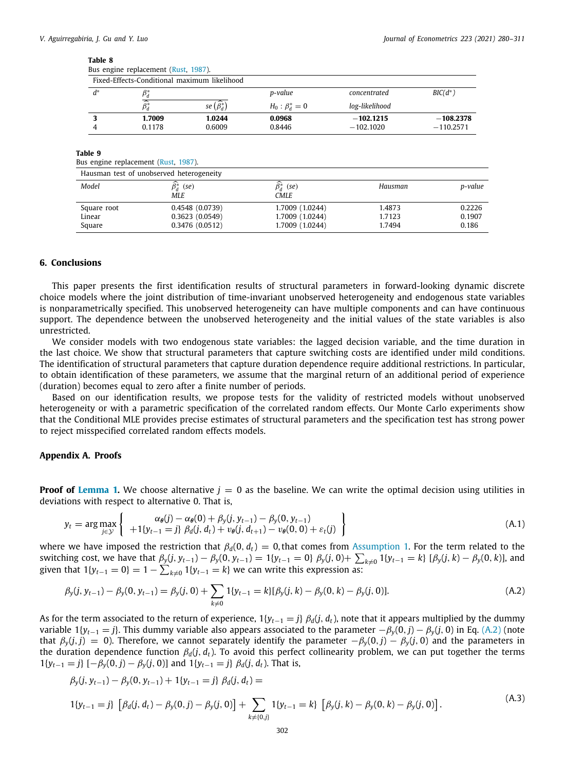<span id="page-22-2"></span>

|       | Fixed-Effects-Conditional maximum likelihood |                        |                      |                |             |
|-------|----------------------------------------------|------------------------|----------------------|----------------|-------------|
| $d^*$ |                                              |                        | p-value              | concentrated   | $BIC(d^*)$  |
|       | $\widehat{\beta^*_d}$                        | se $(\hat{\beta}_d^*)$ | $H_0: \beta_d^* = 0$ | log-likelihood |             |
|       | 1.7009                                       | 1.0244                 | 0.0968               | $-102.1215$    | $-108.2378$ |
|       | 0.1178                                       | 0.6009                 | 0.8446               | $-102.1020$    | $-110.2571$ |

## **Table 9**

<span id="page-22-3"></span>Bus engine replacement [\(Rust,](#page-31-18) [1987](#page-31-18)).

| Hausman test of unobserved heterogeneity |                     |                            |         |         |  |  |  |  |
|------------------------------------------|---------------------|----------------------------|---------|---------|--|--|--|--|
| Model                                    | $\beta_d^*$<br>(se) | $\widehat{\beta_d^*}$ (se) | Hausman | p-value |  |  |  |  |
|                                          | MLE.                | CMLE.                      |         |         |  |  |  |  |
| Square root                              | 0.4548(0.0739)      | 1,7009 (1,0244)            | 1.4873  | 0.2226  |  |  |  |  |
| Linear                                   | 0.3623(0.0549)      | 1.7009 (1.0244)            | 1.7123  | 0.1907  |  |  |  |  |
| Square                                   | 0.3476(0.0512)      | 1.7009 (1.0244)            | 1.7494  | 0.186   |  |  |  |  |

## **6. Conclusions**

<span id="page-22-0"></span>This paper presents the first identification results of structural parameters in forward-looking dynamic discrete choice models where the joint distribution of time-invariant unobserved heterogeneity and endogenous state variables is nonparametrically specified. This unobserved heterogeneity can have multiple components and can have continuous support. The dependence between the unobserved heterogeneity and the initial values of the state variables is also unrestricted.

We consider models with two endogenous state variables: the lagged decision variable, and the time duration in the last choice. We show that structural parameters that capture switching costs are identified under mild conditions. The identification of structural parameters that capture duration dependence require additional restrictions. In particular, to obtain identification of these parameters, we assume that the marginal return of an additional period of experience (duration) becomes equal to zero after a finite number of periods.

Based on our identification results, we propose tests for the validity of restricted models without unobserved heterogeneity or with a parametric specification of the correlated random effects. Our Monte Carlo experiments show that the Conditional MLE provides precise estimates of structural parameters and the specification test has strong power to reject misspecified correlated random effects models.

## **Appendix A. Proofs**

<span id="page-22-1"></span>**Proof of [Lemma](#page-5-3) [1](#page-5-3).** We choose alternative  $j = 0$  as the baseline. We can write the optimal decision using utilities in deviations with respect to alternative 0. That is,

<span id="page-22-6"></span>
$$
y_t = \arg \max_{j \in \mathcal{Y}} \left\{ \begin{array}{c} \alpha_{\theta}(j) - \alpha_{\theta}(0) + \beta_{y}(j, y_{t-1}) - \beta_{y}(0, y_{t-1}) \\ + 1\{y_{t-1} = j\} \ \beta_{d}(j, d_t) + \nu_{\theta}(j, d_{t+1}) - \nu_{\theta}(0, 0) + \varepsilon_t(j) \end{array} \right\}
$$
(A.1)

where we have imposed the restriction that  $\beta_d(0, d_t) = 0$ , that comes from [Assumption](#page-3-2) [1.](#page-3-2) For the term related to the switching cost, we have that  $\beta_y(j, y_{t-1}) - \beta_y(0, y_{t-1}) = 1\{y_{t-1} = 0\} \beta_y(j, 0) + \sum_{k \neq 0} 1\{y_{t-1} = k\} [\beta_y(j, k) - \beta_y(0, k)]$ , and given that  $1\{y_{t-1} = 0\} = 1 - \sum_{k \neq 0} 1\{y_{t-1} = k\}$  we can write this expression as:

<span id="page-22-4"></span>
$$
\beta_y(j, y_{t-1}) - \beta_y(0, y_{t-1}) = \beta_y(j, 0) + \sum_{k \neq 0} 1\{y_{t-1} = k\} [\beta_y(j, k) - \beta_y(0, k) - \beta_y(j, 0)].
$$
\n(A.2)

As for the term associated to the return of experience,  $1\{y_{t-1} = j\}$   $\beta_d(j, d_t)$ , note that it appears multiplied by the dummy variable  $1\{y_{t-1} = j\}$ . This dummy variable also appears associated to the parameter  $-\beta_v(0, j) - \beta_v(j, 0)$  in Eq. ([A.2\)](#page-22-4) (note that  $\beta_y(j, j) = 0$ ). Therefore, we cannot separately identify the parameter  $-\beta_y(0, j) - \beta_y(j, 0)$  and the parameters in the duration dependence function  $\beta_d(j, d_t)$ . To avoid this perfect collinearity problem, we can put together the terms 1{*y*<sub>*t*</sub>−1 = *j*} [− $\beta$ <sub>*y*</sub>(0, *j*) −  $\beta$ <sub>*y*</sub>(*j*, 0)] and 1{*y*<sub>*t*−1</sub> = *j*}  $\beta$ <sub>*d*</sub>(*j*, *d<sub>t</sub>*). That is,

<span id="page-22-5"></span>
$$
\beta_y(j, y_{t-1}) - \beta_y(0, y_{t-1}) + 1\{y_{t-1} = j\} \beta_d(j, d_t) =
$$
\n
$$
1\{y_{t-1} = j\} \left[\beta_d(j, d_t) - \beta_y(0, j) - \beta_y(j, 0)\right] + \sum_{k \neq \{0, j\}} 1\{y_{t-1} = k\} \left[\beta_y(j, k) - \beta_y(0, k) - \beta_y(j, 0)\right].
$$
\n(A.3)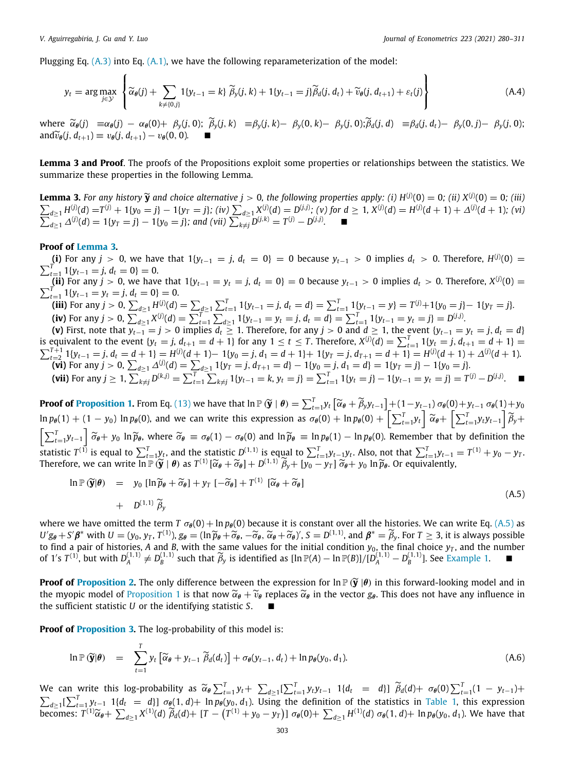<span id="page-23-1"></span> $\lambda$ 

Plugging Eq.  $(A.3)$  $(A.3)$  into Eq.  $(A.1)$  $(A.1)$  $(A.1)$ , we have the following reparameterization of the model:

$$
y_t = \arg \max_{j \in \mathcal{Y}} \left\{ \widetilde{\alpha}_{\theta}(j) + \sum_{k \neq \{0,j\}} \mathbb{1}\{y_{t-1} = k\} \widetilde{\beta}_y(j,k) + \mathbb{1}\{y_{t-1} = j\} \widetilde{\beta}_d(j,d_t) + \widetilde{\nu}_{\theta}(j,d_{t+1}) + \varepsilon_t(j) \right\}
$$
(A.4)

where  $\widetilde{\alpha}_{\theta}(j) = \alpha_{\theta}(j) - \alpha_{\theta}(0) + \beta_{\nu}(j,0);$   $\widetilde{\beta}_{\nu}(j,k) = \beta_{\nu}(j,k) - \beta_{\nu}(0,k) - \beta_{\nu}(j,0);$   $\widetilde{\beta}_{\theta}(j,d) = \beta_{\theta}(j,d_1) - \beta_{\nu}(0,j) - \beta_{\nu}(j,0);$ and  $\widetilde{v}_{\theta}(j, d_{t+1}) \equiv v_{\theta}(j, d_{t+1}) - v_{\theta}(0, 0)$ .

**Lemma 3 and Proof**. The proofs of the Propositions exploit some properties or relationships between the statistics. We summarize these properties in the following Lemma.

<span id="page-23-0"></span>**Lemma 3.** For any history  $\widetilde{y}$  and choice alternative  $j > 0$ , the following properties apply: (i)  $H^{(j)}(0) = 0$ ; (ii)  $X^{(j)}(0) = 0$ ; (iii)  $\sum_{i=1}^{j} H^{(j)}(d) - T^{(j)}(d) - T^{(j)}(d) - T^{(j)}(d) - T^{(j)}(d) - T^{(j)}(d) - T^{(j)}(d) - T^{$  $\sum_{d\geq 1} H_{\dots}^{(j)}(d) = T^{(j)} + 1\{y_0 = j\} - 1\{y_T = j\};$  (iv)  $\sum_{d\geq 1} X_{\dots}^{(j)}(d) = D^{(j,j)};$  (v) for  $d \geq 1$ ,  $X^{(j)}(d) = H^{(j)}(d+1) + \Delta^{(j)}$ ∑ (*d* + 1)*; (vi)*  $d_{\geq 1} \Delta^{(j)}(d) = 1\{y_T = j\} - 1\{y_0 = j\}$ ; and (vii)  $\sum_{k \neq j} D^{(j,k)} = T^{(j)} - D^{(j,j)}$ . ■

## **Proof of [Lemma](#page-23-0) [3](#page-23-0).**

(**i**) For any  $j > 0$ , we have that 1{ $y_{t-1} = j$ ,  $d_t = 0$ } = 0 because  $y_{t-1} > 0$  implies  $d_t > 0$ . Therefore,  $H^{(j)}(0) = 0$  $\sum_{t=1}^{T} 1\{y_{t-1} = j, d_t = 0\} = 0.$ 

 $\lim_{t=1}^{t=1} \lim_{t \to -1} \lim_{t \to 0} u_t = 0$ ;<br>(ii) For any  $j > 0$ , we have that  $1\{y_{t-1} = y_t = j, d_t = 0\} = 0$  because  $y_{t-1} > 0$  implies  $d_t > 0$ . Therefore,  $X^{(j)}$ ∑ (ii) For any  $j > 0$ , we have that  $1\{y_{t-1} = y_t = j, d_t = 0\} = 0$  because  $y_{t-1} > 0$  implies  $d_t > 0$ . Therefore,  $X^{(j)}(0) =$ <br> $\frac{T}{t-1} 1\{y_{t-1} = y_t = j, d_t = 0\} = 0$ .

(iii) For any  $j > 0$ ,  $\sum_{d \ge 1} H^{(j)}(d) = \sum_{d \ge 1} \sum_{t=1}^T 1\{y_{t-1} = j, d_t = d\} = \sum_{t=1}^T 1\{y_{t-1} = y\} = T^{(j)} + 1\{y_0 = j\} - 1\{y_T = j\}$ . (iv) For any  $j > 0$ ,  $\sum_{d \ge 1} X^{(j)}(d) = \sum_{t=1}^{T} \sum_{d \ge 1} 1\{y_{t-1} = y_t = j, d_t = d\} = \sum_{t=1}^{T} 1\{y_{t-1} = y_t = j\} = D^{(j,j)}$ .

(**v**) First, note that  $y_{t-1}=j>0$  implies  $d_t\geq 1$ . Therefore, for any  $j>0$  and  $d\geq 1$ , the event  $\{y_{t-1}=y_t=j, d_t=d\}$ is equivalent to the event  $\{y_t = j, d_{t+1} = d + 1\}$  for any  $1 \le t \le T$ . Therefore,  $X^{(j)}(d) = \sum_{t=1}^T 1\{y_t = j, d_{t+1} = d + 1\}$  $\sum_{t=2}^{T+1} 1\{y_{t-1} = j, d_t = \underline{d} + 1\} = H^{(j)}(d+1) - 1\{y_0 = j, d_1 = d+1\} + 1\{y_T = j, d_{T+1} = d+1\} = H^{(j)}(d+1) + \Delta^{(j)}(d+1).$ (vi) For any  $j > 0$ ,  $\sum_{d \ge 1} \Delta^{(j)}(d) = \sum_{d \ge 1} 1\{y_T = j, d_{T+1} = d\} - 1\{y_0 = j, d_1 = d\} = 1\{y_T = j\} - 1\{y_0 = j\}$ .

(vii) For any 
$$
j \ge 1
$$
,  $\sum_{k \ne j} D^{(k,j)} = \sum_{t=1}^{T} \sum_{k \ne j} 1\{y_{t-1} = k, y_t = j\} = \sum_{t=1}^{T} 1\{y_t = j\} - 1\{y_{t-1} = y_t = j\} = T^{(j)} - D^{(j,j)}$ .

**Proof of [Proposition](#page-8-0) [1](#page-8-0).** From Eq. [\(13\)](#page-8-2) we have that  $\ln \mathbb{P}(\widetilde{\mathbf{y}} \mid \boldsymbol{\theta}) = \sum_{t=1}^{T} y_t \left[ \widetilde{\alpha}_{\theta} + \widetilde{\beta}_y y_{t-1} \right] + (1 - y_{t-1}) \sigma_{\theta}(0) + y_{t-1} \sigma_{\theta}(1) + y_0$  $\ln p_{\theta}(1) + (1 - y_0) \ln p_{\theta}(0)$ , and we can write this expression as  $\sigma_{\theta}(0) + \ln p_{\theta}(0) + \left[\sum_{t=1}^{T} y_t\right] \widetilde{\alpha}_{\theta} + \left[\sum_{t=1}^{T} y_t y_{t-1}\right] \widetilde{\beta}_{y} + \sum_{t=1}^{T} \widetilde{\alpha}_{\theta} + \left[\sum_{t=1}^{T} y_t y_{t-1}\right] \widetilde{\beta}_{y} + \sum_{t=1}^{T} \widetilde{\alpha}_{\theta} + \$  $\left[\sum_{t=1}^{T} y_{t-1}\right] \widetilde{\sigma}_{\theta} + y_0 \ln \widetilde{p}_{\theta}$ , where  $\widetilde{\sigma}_{\theta} \equiv \sigma_{\theta}(1) - \sigma_{\theta}(0)$  and  $\ln \widetilde{p}_{\theta} \equiv \ln p_{\theta}(1) - \ln p_{\theta}(0)$ . Remember that by definition the statistic  $T^{(1)}$  is equal to  $\sum_{t=1}^{T} y_t$ , and the statistic  $D^{(1,1)}$  is equal to  $\sum_{t=1}^{T} y_{t-1}y_t$ . Also, not that  $\sum_{t=1}^{T} y_{t-1} = T^{(1)} + y_0 - y_T$ . Therefore, we can write  $\overline{\ln} \mathbb{P}(\widetilde{\mathbf{y}} \mid \boldsymbol{\theta})$  as  $T^{(1)}[\widetilde{\alpha}_{\boldsymbol{\theta}} + \widetilde{\sigma}_{\boldsymbol{\theta}}] + D^{(1,1)}\widetilde{\beta}_{y} + [y_0 - y_T]\widetilde{\sigma}_{\boldsymbol{\theta}} + y_0 \ln \widetilde{p}_{\boldsymbol{\theta}}$ . Or equivalently,

$$
\ln \mathbb{P}(\widetilde{\mathbf{y}}|\boldsymbol{\theta}) = y_0 [\ln \widetilde{p}_{\boldsymbol{\theta}} + \widetilde{\sigma}_{\boldsymbol{\theta}}] + y_T [-\widetilde{\sigma}_{\boldsymbol{\theta}}] + T^{(1)} [\widetilde{\alpha}_{\boldsymbol{\theta}} + \widetilde{\sigma}_{\boldsymbol{\theta}}]
$$
\n
$$
+ D^{(1,1)} \widetilde{\beta}_y
$$
\n(A.5)

where we have omitted the term *T*  $\sigma_{\theta}(0) + \ln p_{\theta}(0)$  because it is constant over all the histories. We can write Eq. [\(A.5](#page-23-1)) as  $U'g_{\theta} + S'\beta^*$  with  $U = (y_0, y_T, T^{(1)}), g_{\theta} = (\ln \widetilde{p}_{\theta} + \widetilde{\sigma}_{\theta}, -\widetilde{\sigma}_{\theta}, \widetilde{\alpha}_{\theta} + \widetilde{\sigma}_{\theta})', S = D^{(1,1)}$ , and  $\beta^* = \widetilde{\beta}_y$ . For  $T \ge 3$ , it is always possible to find a pair of histories, A and B, with the same values for the initial condition  $y_0$ , the final choice  $y_T$ , and the number of [1](#page-8-3)'s  $T^{(1)}$ , but with  $D_A^{(1,1)} \neq D_B^{(1,1)}$  such that  $\widetilde{\beta}_y$  is identified as  $[\ln \mathbb{P}(A) - \ln \mathbb{P}(B)]/[\widetilde{D}_A^{(1,1)} - D_B^{(1,1)}]$ . See [Example](#page-8-3) 1.

**Proof of [Proposition](#page-8-1) [2](#page-8-1).** The only difference between the expression for  $\ln P(\tilde{y}|\theta)$  in this forward-looking model and in the myopic model of [Proposition](#page-8-0) [1](#page-8-0) is that now  $\tilde{\alpha}_{\theta} + \tilde{\nu}_{\theta}$  replaces  $\tilde{\alpha}_{\theta}$  in the vector  $g_{\theta}$ . This does not have any influence in the sufficient statistic *U* or the identifying statistic *S*. ■

**Proof of [Proposition](#page-9-0) [3.](#page-9-0)** The log-probability of this model is:

$$
\ln \mathbb{P}(\widetilde{\mathbf{y}}|\boldsymbol{\theta}) = \sum_{t=1}^{T} y_t \left[ \widetilde{\alpha}_{\boldsymbol{\theta}} + y_{t-1} \widetilde{\beta}_d(d_t) \right] + \sigma_{\boldsymbol{\theta}}(y_{t-1}, d_t) + \ln p_{\boldsymbol{\theta}}(y_0, d_1). \tag{A.6}
$$

We can write this log-probability as  $\widetilde{\alpha}_{\theta} \sum_{t=1}^{T} y_t + \sum_{d \geq 1} [\sum_{t=1}^{T} y_t y_{t-1} \ 1\{d_t = d\}] \widetilde{\beta}_d(d) + \sigma_{\theta}(0) \sum_{t=1}^{T} (1 - y_{t-1}) +$  $\sum_{d\geq 1}[\sum_{t=1}^T y_{t-1} 1\{d_t = d\}] \sigma_{\theta}(1, d) + \ln p_{\theta}(y_0, d_1)$  $\sum_{d\geq 1}[\sum_{t=1}^T y_{t-1} 1\{d_t = d\}] \sigma_{\theta}(1, d) + \ln p_{\theta}(y_0, d_1)$  $\sum_{d\geq 1}[\sum_{t=1}^T y_{t-1} 1\{d_t = d\}] \sigma_{\theta}(1, d) + \ln p_{\theta}(y_0, d_1)$ . Using the definition of the statistics in [Table](#page-7-0) 1, this expression becomes:  $T^{(1)}\widetilde{\alpha}_{\theta} + \sum_{d\geq 1} X^{(1)}(d) \widetilde{\beta}_d(d) + [T - (T^{(1)} + y_0 - y_T)] \sigma_{\theta}(0) + \sum_{d\geq 1} H^{(1)}(d) \sigma_{\theta}(1, d) + \ln p_{\theta}(y_0, d_1)$ . We have that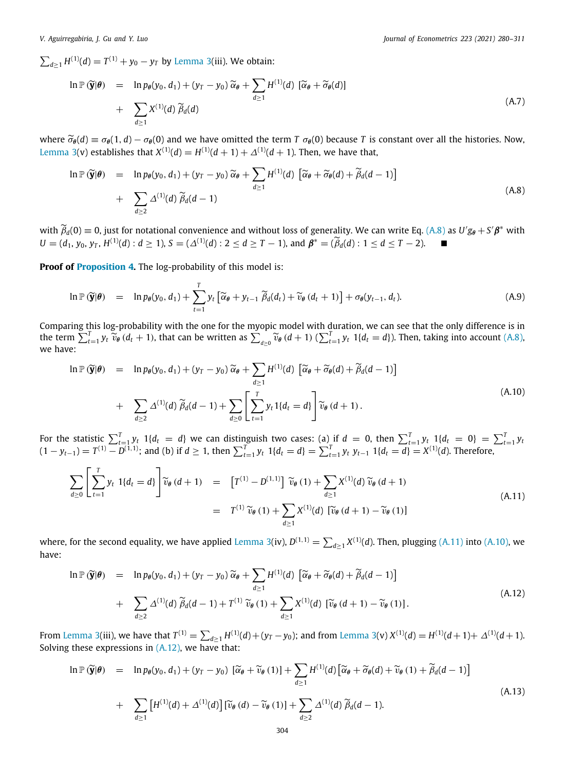$\sum_{d\geq 1} H^{(1)}(d) = T^{(1)} + y_0 - y_T$  by [Lemma](#page-23-0) [3\(](#page-23-0)iii). We obtain:

$$
\ln \mathbb{P}(\widetilde{\mathbf{y}}|\theta) = \ln p_{\theta}(y_0, d_1) + (y_T - y_0) \widetilde{\alpha}_{\theta} + \sum_{d \ge 1} H^{(1)}(d) [\widetilde{\alpha}_{\theta} + \widetilde{\sigma}_{\theta}(d)]
$$
  
+ 
$$
\sum_{d \ge 1} X^{(1)}(d) \widetilde{\beta}_d(d)
$$
 (A.7)

where  $\tilde{\sigma}_{\theta}(d) \equiv \sigma_{\theta}(1, d) - \sigma_{\theta}(0)$  and we have omitted the term *T*  $\sigma_{\theta}(0)$  because *T* is constant over all the histories. Now, [Lemma](#page-23-0) [3](#page-23-0)(v) establishes that  $X^{(1)}(d) = H^{(1)}(d+1) + \Delta^{(1)}(d+1)$ . Then, we have that,

<span id="page-24-0"></span>
$$
\ln \mathbb{P}(\widetilde{\mathbf{y}}|\boldsymbol{\theta}) = \ln p_{\boldsymbol{\theta}}(y_0, d_1) + (y_T - y_0) \widetilde{\alpha}_{\boldsymbol{\theta}} + \sum_{d \ge 1} H^{(1)}(d) \left[ \widetilde{\alpha}_{\boldsymbol{\theta}} + \widetilde{\sigma}_{\boldsymbol{\theta}}(d) + \widetilde{\beta}_d(d-1) \right] + \sum_{d \ge 2} \Delta^{(1)}(d) \widetilde{\beta}_d(d-1)
$$
\n(A.8)

with  $\widetilde{\beta}_d(0) \equiv 0$ , just for notational convenience and without loss of generality. We can write Eq. ([A.8](#page-24-0)) as  $U'g_\theta + S'\beta^*$  with *U* = (*d*<sub>1</sub>, *y*<sub>0</sub>, *y*<sub>*T*</sub>, *H*<sup>(1)</sup>(*d*) : *d* ≥ 1), *S* = ( $\Delta$ <sup>(1)</sup>(*d*) : 2 ≤ *d* ≥ *T* − 1), and  $\beta$ <sup>\*</sup> = ( $\tilde{\beta}_d$ (*d*) : 1 ≤ *d* ≤ *T* − 2). ■

**Proof of [Proposition](#page-10-0) [4.](#page-10-0)** The log-probability of this model is:

$$
\ln \mathbb{P}(\widetilde{\mathbf{y}}|\boldsymbol{\theta}) = \ln p_{\boldsymbol{\theta}}(y_0, d_1) + \sum_{t=1}^{T} y_t \left[ \widetilde{\alpha}_{\boldsymbol{\theta}} + y_{t-1} \widetilde{\beta}_d(d_t) + \widetilde{v}_{\boldsymbol{\theta}}(d_t + 1) \right] + \sigma_{\boldsymbol{\theta}}(y_{t-1}, d_t). \tag{A.9}
$$

Comparing this log-probability with the one for the myopic model with duration, we can see that the only difference is in the term  $\sum_{t=1}^{T} y_t \ \widetilde{v}_{\theta} (d_t + 1)$ , that can be written as  $\sum_{d \geq 0} \widetilde{v}_{\theta} (d + 1)$  ( $\sum_{t=1}^{T} y_t 1\{d_t = d\}$ ). Then, taking into account ([A.8\)](#page-24-0), we have:

<span id="page-24-2"></span>
$$
\ln \mathbb{P}(\widetilde{\mathbf{y}}|\boldsymbol{\theta}) = \ln p_{\boldsymbol{\theta}}(y_0, d_1) + (y_T - y_0) \widetilde{\alpha}_{\boldsymbol{\theta}} + \sum_{d \ge 1} H^{(1)}(d) \left[ \widetilde{\alpha}_{\boldsymbol{\theta}} + \widetilde{\sigma}_{\boldsymbol{\theta}}(d) + \widetilde{\beta}_d(d-1) \right] + \sum_{d \ge 2} \Delta^{(1)}(d) \widetilde{\beta}_d(d-1) + \sum_{d \ge 0} \left[ \sum_{t=1}^T y_t 1\{d_t = d\} \right] \widetilde{v}_{\boldsymbol{\theta}}(d+1).
$$
 (A.10)

For the statistic  $\sum_{t=1}^{T} y_t$  1{ $d_t = d$ } we can distinguish two cases: (a) if  $d = 0$ , then  $\sum_{t=1}^{T} y_t$  1{ $d_t = 0$ } =  $\sum_{t=1}^{T} y_t$  $(1-y_{t-1})=T^{(1)}-D^{(1,1)}$ ; and (b) if  $d\geq 1$ , then  $\sum_{t=1}^{T} y_t 1\{d_t=d\}=\sum_{t=1}^{T} y_t y_{t-1} 1\{d_t=d\}=X^{(1)}(d)$ . Therefore,

<span id="page-24-1"></span>
$$
\sum_{d\geq 0} \left[ \sum_{t=1}^{T} y_t \ 1\{d_t = d\} \right] \widetilde{v}_{\theta}(d+1) = \left[ T^{(1)} - D^{(1,1)} \right] \widetilde{v}_{\theta}(1) + \sum_{d\geq 1} X^{(1)}(d) \widetilde{v}_{\theta}(d+1)
$$
\n
$$
= T^{(1)} \widetilde{v}_{\theta}(1) + \sum_{d\geq 1} X^{(1)}(d) \left[ \widetilde{v}_{\theta}(d+1) - \widetilde{v}_{\theta}(1) \right]
$$
\n(A.11)

where, for the second equality, we have applied [Lemma](#page-23-0) [3](#page-23-0)(iv),  $D^{(1,1)}=\sum_{d\geq 1}X^{(1)}(d)$ . Then, plugging [\(A.11](#page-24-1)) into ([A.10\)](#page-24-2), we have:

<span id="page-24-3"></span>
$$
\ln \mathbb{P}(\widetilde{\mathbf{y}}|\boldsymbol{\theta}) = \ln p_{\boldsymbol{\theta}}(y_0, d_1) + (y_T - y_0) \widetilde{\alpha}_{\boldsymbol{\theta}} + \sum_{d \ge 1} H^{(1)}(d) \left[ \widetilde{\alpha}_{\boldsymbol{\theta}} + \widetilde{\sigma}_{\boldsymbol{\theta}}(d) + \widetilde{\beta}_d(d-1) \right] + \sum_{d \ge 2} \Delta^{(1)}(d) \widetilde{\beta}_d(d-1) + T^{(1)} \widetilde{\nu}_{\boldsymbol{\theta}}(1) + \sum_{d \ge 1} X^{(1)}(d) \left[ \widetilde{\nu}_{\boldsymbol{\theta}}(d+1) - \widetilde{\nu}_{\boldsymbol{\theta}}(1) \right].
$$
\n(A.12)

From [Lemma](#page-23-0) [3](#page-23-0)(iii), we have that  $T^{(1)} = \sum_{d\geq 1} H^{(1)}(d) + (y_T-y_0)$ ; and from Lemma [3\(](#page-23-0)v)  $X^{(1)}(d) = H^{(1)}(d+1) + \Delta^{(1)}(d+1)$ . Solving these expressions in  $(A.12)$  $(A.12)$ , we have that:

$$
\ln \mathbb{P}(\widetilde{\mathbf{y}}|\theta) = \ln p_{\theta}(y_0, d_1) + (y_T - y_0) \left[ \widetilde{\alpha}_{\theta} + \widetilde{v}_{\theta}(1) \right] + \sum_{d \ge 1} H^{(1)}(d) \left[ \widetilde{\alpha}_{\theta} + \widetilde{\sigma}_{\theta}(d) + \widetilde{v}_{\theta}(1) + \widetilde{\beta}_d(d-1) \right]
$$
  
+ 
$$
\sum_{d \ge 1} \left[ H^{(1)}(d) + \Delta^{(1)}(d) \right] \left[ \widetilde{v}_{\theta}(d) - \widetilde{v}_{\theta}(1) \right] + \sum_{d \ge 2} \Delta^{(1)}(d) \widetilde{\beta}_d(d-1).
$$
 (A.13)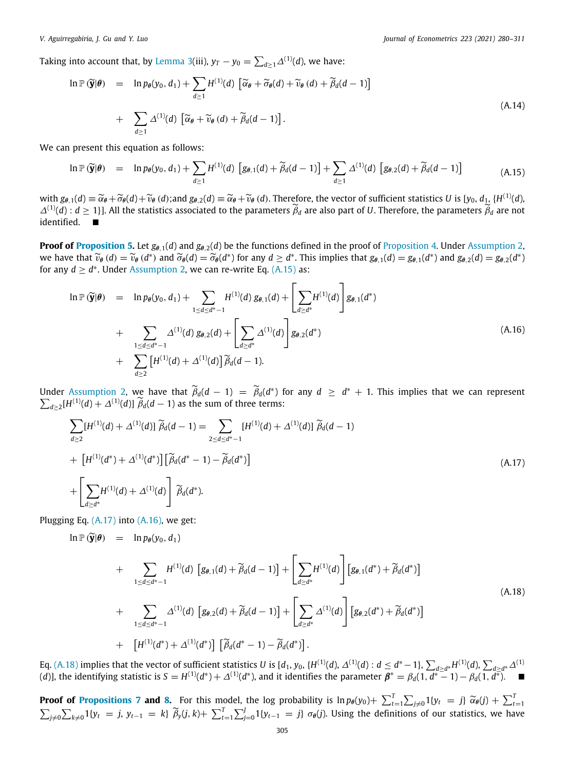Taking into account that, by [Lemma](#page-23-0) [3\(](#page-23-0)iii),  $y_T - y_0 = \sum_{d\geq 1}\Delta^{(1)}(d)$ , we have:

$$
\ln \mathbb{P}(\widetilde{\mathbf{y}}|\boldsymbol{\theta}) = \ln p_{\boldsymbol{\theta}}(y_0, d_1) + \sum_{d \ge 1} H^{(1)}(d) \left[ \widetilde{\alpha}_{\boldsymbol{\theta}} + \widetilde{\sigma}_{\boldsymbol{\theta}}(d) + \widetilde{\nu}_{\boldsymbol{\theta}}(d) + \widetilde{\beta}_d(d-1) \right] + \sum_{d \ge 1} \Delta^{(1)}(d) \left[ \widetilde{\alpha}_{\boldsymbol{\theta}} + \widetilde{\nu}_{\boldsymbol{\theta}}(d) + \widetilde{\beta}_d(d-1) \right].
$$
\n(A.14)

We can present this equation as follows:

<span id="page-25-0"></span>
$$
\ln \mathbb{P}(\widetilde{\mathbf{y}}|\boldsymbol{\theta}) = \ln p_{\boldsymbol{\theta}}(y_0, d_1) + \sum_{d \ge 1} H^{(1)}(d) \left[ g_{\boldsymbol{\theta},1}(d) + \widetilde{\beta}_d(d-1) \right] + \sum_{d \ge 1} \Delta^{(1)}(d) \left[ g_{\boldsymbol{\theta},2}(d) + \widetilde{\beta}_d(d-1) \right]
$$
(A.15)

with  $g_{\theta,1}(d) \equiv \widetilde{\alpha}_{\theta} + \widetilde{\sigma}_{\theta}(d) + \widetilde{\nu}_{\theta}(d)$ ;and  $g_{\theta,2}(d) \equiv \widetilde{\alpha}_{\theta} + \widetilde{\nu}_{\theta}(d)$ . Therefore, the vector of sufficient statistics *U* is  $[y_0, d_1, \{H^{(1)}(d), d_1, d_2, d_3\}$ ,  $H^{(1)}(d)$ ,  $A \ge 1$  and the statist  $\Delta^{(1)}(d)$  :  $d \geq 1$ }]. All the statistics associated to the parameters  $\widetilde{\beta}_d$  are also part of *U*. Therefore, the parameters  $\widetilde{\beta}_d$  are not identified. ■

**Proof of [Proposition](#page-10-0) [5.](#page-10-1)** Let  $g_{\theta,1}(d)$  and  $g_{\theta,2}(d)$  be the functions defined in the proof of Proposition [4.](#page-10-0) Under [Assumption](#page-3-4) [2,](#page-3-4) we have that  $\widetilde{v}_{\theta}(d) = \widetilde{v}_{\theta}(d^*)$  and  $\widetilde{\sigma}_{\theta}(d) = \widetilde{\sigma}_{\theta}(d^*)$  for any  $d \geq d^*$ . This implies that  $g_{\theta,1}(d) = g_{\theta,1}(d^*)$  and  $g_{\theta,2}(d) = g_{\theta,2}(d^*)$ <br>for any  $d > d^*$ . Under Assumption 2, we can re-write Eq. (A for any  $d \geq d^*$ . Under [Assumption](#page-3-4) [2](#page-3-4), we can re-write Eq.  $(A.15)$  $(A.15)$  as:

<span id="page-25-2"></span>
$$
\ln \mathbb{P}(\widetilde{\mathbf{y}}|\boldsymbol{\theta}) = \ln p_{\boldsymbol{\theta}}(y_0, d_1) + \sum_{1 \leq d \leq d^* - 1} H^{(1)}(d) g_{\boldsymbol{\theta},1}(d) + \left[ \sum_{d \geq d^*} H^{(1)}(d) \right] g_{\boldsymbol{\theta},1}(d^*)
$$
  
+ 
$$
\sum_{1 \leq d \leq d^* - 1} \Delta^{(1)}(d) g_{\boldsymbol{\theta},2}(d) + \left[ \sum_{d \geq d^*} \Delta^{(1)}(d) \right] g_{\boldsymbol{\theta},2}(d^*)
$$
  
+ 
$$
\sum_{d \geq 2} \left[ H^{(1)}(d) + \Delta^{(1)}(d) \right] \widetilde{\beta}_d(d-1).
$$
 (A.16)

Under [Assumption](#page-3-4) [2](#page-3-4), we have that  $\widetilde{\beta}_d(d-1) = \widetilde{\beta}_d(d^*)$  for any  $d \geq d^* + 1$ . This implies that we can represent  $\sum_{d\geq 2} [H^{(1)}(d)+\Delta^{(1)}(d)] \stackrel{\sim}{\beta}_d(d-1)$  as the sum of three terms:

<span id="page-25-1"></span>
$$
\sum_{d\geq 2} [H^{(1)}(d) + \Delta^{(1)}(d)] \widetilde{\beta}_d(d-1) = \sum_{2 \leq d \leq d^* - 1} [H^{(1)}(d) + \Delta^{(1)}(d)] \widetilde{\beta}_d(d-1)
$$
  
+ 
$$
[H^{(1)}(d^*) + \Delta^{(1)}(d^*)] [\widetilde{\beta}_d(d^* - 1) - \widetilde{\beta}_d(d^*)]
$$
  
+ 
$$
\left[ \sum_{d\geq d^*} H^{(1)}(d) + \Delta^{(1)}(d) \right] \widetilde{\beta}_d(d^*).
$$
 (A.17)

Plugging Eq. ([A.17\)](#page-25-1) into ([A.16\)](#page-25-2), we get:

<span id="page-25-3"></span>
$$
\ln \mathbb{P}(\widetilde{\mathbf{y}}|\theta) = \ln p_{\theta}(y_0, d_1)
$$
  
+ 
$$
\sum_{1 \leq d \leq d^* - 1} H^{(1)}(d) \left[ g_{\theta,1}(d) + \widetilde{\beta}_d(d-1) \right] + \left[ \sum_{d \geq d^*} H^{(1)}(d) \right] \left[ g_{\theta,1}(d^*) + \widetilde{\beta}_d(d^*) \right]
$$
  
+ 
$$
\sum_{1 \leq d \leq d^* - 1} \Delta^{(1)}(d) \left[ g_{\theta,2}(d) + \widetilde{\beta}_d(d-1) \right] + \left[ \sum_{d \geq d^*} \Delta^{(1)}(d) \right] \left[ g_{\theta,2}(d^*) + \widetilde{\beta}_d(d^*) \right]
$$
  
+ 
$$
\left[ H^{(1)}(d^*) + \Delta^{(1)}(d^*) \right] \left[ \widetilde{\beta}_d(d^* - 1) - \widetilde{\beta}_d(d^*) \right].
$$
 (A.18)

Eq. [\(A.18](#page-25-3)) implies that the vector of sufficient statistics  $U$  is  $[d_1,y_0,$   $\{H^{(1)}(d),$   $\Delta^{(1)}(d):$   $d\leq d^*-1\},$   $\sum_{d\geq d^*}H^{(1)}(d),$   $\sum_{d\geq d^*}\Delta^{(1)}$ (*d*)], the identifying statistic is  $S = H^{(1)}(d^*) + \Delta^{(1)}(d^*)$ , and it identifies the parameter  $\beta^* = \beta_d(1, \overline{d^*} - 1) - \beta_d(1, \overline{d^*})$ . ■

**Proof of [Propositions](#page-12-0) [7](#page-12-0) and [8](#page-13-2).** For this model, the log probability is  $\ln p_{\theta}(y_0) + \sum_{t=1}^T \sum_{j\neq 0} 1\{y_t = j\} \widetilde{\alpha}_{\theta}(j) + \sum_{t=1}^T \sum_{j\neq 0} 1\{y_t = j, y_{t-1} = k\} \widetilde{\beta}_y(j, k) + \sum_{t=1}^T \sum_{j=0}^J 1\{y_{t-1} = j\} \sigma_{\theta}(j)$ .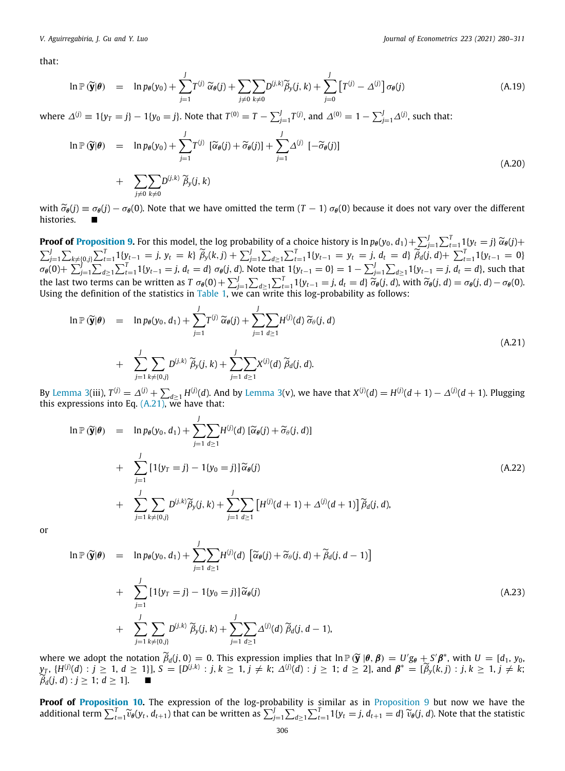that:

$$
\ln \mathbb{P}(\widetilde{\mathbf{y}}|\boldsymbol{\theta}) = \ln p_{\boldsymbol{\theta}}(\mathbf{y}_0) + \sum_{j=1}^{J} T^{(j)} \widetilde{\alpha}_{\boldsymbol{\theta}}(j) + \sum_{j \neq 0} \sum_{k \neq 0} D^{(j,k)} \widetilde{\beta}_{\mathbf{y}}(j,k) + \sum_{j=0}^{J} \left[ T^{(j)} - \Delta^{(j)} \right] \sigma_{\boldsymbol{\theta}}(j)
$$
(A.19)

where  $\Delta^{(j)} \equiv 1\{y_T = j\} - 1\{y_0 = j\}$ . Note that  $T^{(0)} = T - \sum_{j=1}^J T^{(j)}$ , and  $\Delta^{(0)} = 1 - \sum_{j=1}^J \Delta^{(j)}$ , such that:

$$
\ln \mathbb{P}(\widetilde{\mathbf{y}}|\boldsymbol{\theta}) = \ln p_{\boldsymbol{\theta}}(y_0) + \sum_{j=1}^{J} T^{(j)} [\widetilde{\alpha}_{\boldsymbol{\theta}}(j) + \widetilde{\sigma}_{\boldsymbol{\theta}}(j)] + \sum_{j=1}^{J} \Delta^{(j)} [-\widetilde{\sigma}_{\boldsymbol{\theta}}(j)]
$$
  
+ 
$$
\sum_{j \neq 0} \sum_{k \neq 0} D^{(j,k)} \widetilde{\beta}_{y}(j,k)
$$
(A.20)

with  $\tilde{\sigma}_{\theta}(j) \equiv \sigma_{\theta}(j) - \sigma_{\theta}(0)$ . Note that we have omitted the term  $(T-1) \sigma_{\theta}(0)$  because it does not vary over the different histories.

**Proof of [Proposition](#page-13-0) [9.](#page-13-0)** For this model, the log probability of a choice history is  $\ln p_{\theta}(y_0, d_1) + \sum_{j=1}^{J} \sum_{t=1}^{T} 1\{y_t = j\} \widetilde{\alpha}_{\theta}(j) + \sum_{j=1}^{J} \sum_{k\neq \{0,j\}} \sum_{t=1}^{T} 1\{y_{t-1} = j, y_t = k\} \widetilde{\beta}_y(k,j) + \sum_{j=1}^{J} \sum$  $\sigma_{\theta}(0)+\sum_{j=1}^{J}\sum_{d\geq 1}\sum_{t=1}^{T}1\{y_{t-1}=j,\,d_t=d\}$   $\sigma_{\theta}(j,d)$ . Note that  $1\{y_{t-1}=0\}=1-\sum_{j=1}^{J}\sum_{d\geq 1}1\{y_{t-1}=j,\,d_t=d\},$  such that the last two terms can be written as  $T \sigma_{\theta}(0) + \sum_{j=1}^{J} \sum_{d \geq 1} \sum_{t=1}^{T} 1\{y_{t-1} = j, d_t = d\} \widetilde{\sigma}_{\theta}(j, d)$  $T \sigma_{\theta}(0) + \sum_{j=1}^{J} \sum_{d \geq 1} \sum_{t=1}^{T} 1\{y_{t-1} = j, d_t = d\} \widetilde{\sigma}_{\theta}(j, d)$  $T \sigma_{\theta}(0) + \sum_{j=1}^{J} \sum_{d \geq 1} \sum_{t=1}^{T} 1\{y_{t-1} = j, d_t = d\} \widetilde{\sigma}_{\theta}(j, d)$ , with  $\widetilde{\sigma}_{\theta}(j, d) = \sigma_{\theta}(j, d) - \sigma_{\theta}(0)$ .<br>Using the definition of the statistics in [Table](#page-7-0) 1, we can write

<span id="page-26-0"></span>
$$
\ln \mathbb{P}(\widetilde{\mathbf{y}}|\boldsymbol{\theta}) = \ln p_{\boldsymbol{\theta}}(\mathbf{y}_0, d_1) + \sum_{j=1}^J T^{(j)} \widetilde{\alpha}_{\boldsymbol{\theta}}(j) + \sum_{j=1}^J \sum_{d \ge 1} H^{(j)}(d) \widetilde{\sigma}_{\boldsymbol{\theta}}(j, d)
$$
  
+ 
$$
\sum_{j=1}^J \sum_{k \ne \{0, j\}} D^{(j,k)} \widetilde{\beta}_y(j, k) + \sum_{j=1}^J \sum_{d \ge 1} X^{(j)}(d) \widetilde{\beta}_d(j, d).
$$
 (A.21)

By [Lemma](#page-23-0) [3](#page-23-0)(iii),  $T^{(j)}=\varDelta^{(j)}+\sum_{d\geq 1}H^{(j)}(d)$ . And by Lemma 3(v), we have that  $X^{(j)}(d)=H^{(j)}(d+1)-\varDelta^{(j)}(d+1)$ . Plugging this expressions into Eq. ([A.21\)](#page-26-0), we have that:

$$
\ln \mathbb{P}(\widetilde{\mathbf{y}}|\theta) = \ln p_{\theta}(y_0, d_1) + \sum_{j=1}^{J} \sum_{d \ge 1} H^{(j)}(d) \left[ \widetilde{\alpha}_{\theta}(j) + \widetilde{\sigma}_{\theta}(j, d) \right] + \sum_{j=1}^{J} \left[ 1\{y_T = j\} - 1\{y_0 = j\} \right] \widetilde{\alpha}_{\theta}(j) + \sum_{j=1}^{J} \sum_{k \ne (0, j)} D^{(j,k)} \widetilde{\beta}_{y}(j, k) + \sum_{j=1}^{J} \sum_{d \ge 1} \left[ H^{(j)}(d+1) + \Delta^{(j)}(d+1) \right] \widetilde{\beta}_{d}(j, d),
$$
\n(A.22)

or

<span id="page-26-1"></span>
$$
\ln \mathbb{P}(\widetilde{\mathbf{y}}|\boldsymbol{\theta}) = \ln p_{\theta}(y_0, d_1) + \sum_{j=1}^{J} \sum_{d \ge 1} H^{(j)}(d) \left[ \widetilde{\alpha}_{\theta}(j) + \widetilde{\sigma}_{\theta}(j, d) + \widetilde{\beta}_{d}(j, d-1) \right]
$$
  
+ 
$$
\sum_{j=1}^{J} \left[ 1\{y_T = j\} - 1\{y_0 = j\} \right] \widetilde{\alpha}_{\theta}(j)
$$
  
+ 
$$
\sum_{j=1}^{J} \sum_{k \ne \{0, j\}} D^{(j,k)} \widetilde{\beta}_{y}(j, k) + \sum_{j=1}^{J} \sum_{d \ge 1} \Delta^{(j)}(d) \widetilde{\beta}_{d}(j, d-1),
$$
 (A.23)

where we adopt the notation  $\widetilde{\beta}_d(j, 0) = 0$ . This expression implies that  $\ln \mathbb{P}(\widetilde{\mathbf{y}} \mid \theta, \beta) = U'g_{\theta} + S'\beta^*$ , with  $U = [d_1, y_0, y_0 + H(j)/d) \cdot i > 1$ ,  $d > 1$ ,  $j \neq k$ ,  $\widetilde{\beta}(\ell, j) \cdot i > 1$ ,  $j \neq k$ ,  $j \neq k$ ,  $j \neq k$ ,  $y_T$ ,  $\{H^{(j)}(d) : j \ge 1, d \ge 1\}$ ,  $S = [D^{(j,k)} : j, k \ge 1, j \ne k; \Delta^{(j)}(d) : j \ge 1; d \ge 2]$ , and  $\beta^* = [\widetilde{\beta}_y(k,j) : j, k \ge 1, j \ne k; \widetilde{\beta}_y(k,j) : j, k \ge 1, j \ne k; \widetilde{\beta}_y(k,j) : j, k \ge 1, j \ne k; \widetilde{\beta}_y(k,j) : j, k \ge 1, j \ne k; \widetilde{\beta}_y(k,j) : j, k \ge 1, j \ne k; \widet$  $\widetilde{\beta}_d(i, d) : j \geq 1; d \geq 1$ .

**Proof of [Proposition](#page-14-0) [10.](#page-14-0)** The expression of the log-probability is similar as in [Proposition](#page-13-0) [9](#page-13-0) but now we have the additional term  $\sum_{t=1}^T \widetilde{v}_\theta(y_t, d_{t+1})$  that can be written as  $\sum_{j=1}^J\sum_{d\geq 1}\sum_{t=1}^T 1\{y_t = j, d_{t+1} = d\} \widetilde{v}_\theta(j, d)$ . Note that the statistic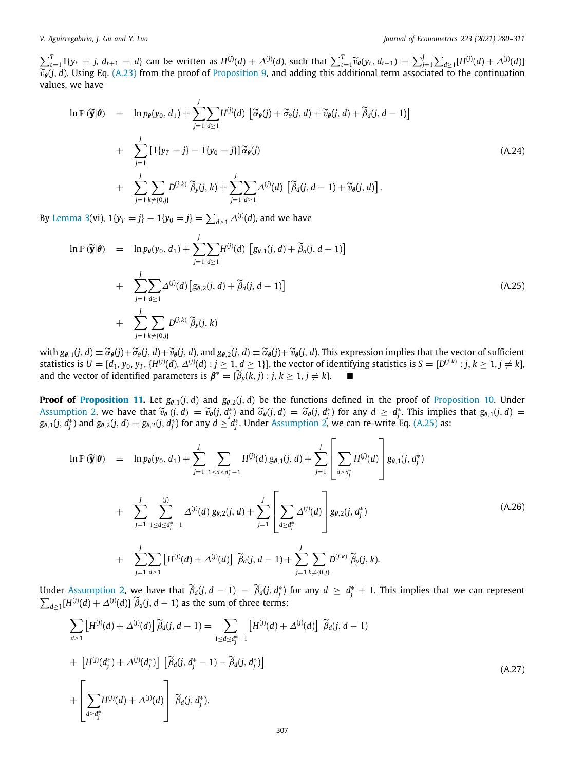$\sum_{t=1}^{T} 1\{y_t = j, d_{t+1} = d\}$  can be written as  $H^{(j)}(d) + \Delta^{(j)}(d)$ , such that  $\sum_{t=1}^{T} \widetilde{v}_{\theta}(y_t, d_{t+1}) = \sum_{t=1}^{J} \sum_{d \ge 1} [H^{(j)}(d) + \Delta^{(j)}(d)]$  $\widetilde{v}_{\theta}(j, d)$ . Using Eq. [\(A.23](#page-26-1)) from the proof of [Proposition](#page-13-0) [9,](#page-13-0) and adding this additional term associated to the continuation values we have values, we have

$$
\ln \mathbb{P}(\widetilde{\mathbf{y}}|\boldsymbol{\theta}) = \ln p_{\theta}(y_0, d_1) + \sum_{j=1}^{J} \sum_{d \ge 1} H^{(j)}(d) \left[ \widetilde{\alpha}_{\theta}(j) + \widetilde{\sigma}_{\theta}(j, d) + \widetilde{\nu}_{\theta}(j, d) + \widetilde{\beta}_{d}(j, d-1) \right]
$$
  
+ 
$$
\sum_{j=1}^{J} \left[ 1\{y_T = j\} - 1\{y_0 = j\} \right] \widetilde{\alpha}_{\theta}(j)
$$
  
+ 
$$
\sum_{j=1}^{J} \sum_{k \ne \{0, j\}} D^{(j,k)} \widetilde{\beta}_{y}(j, k) + \sum_{j=1}^{J} \sum_{d \ge 1} \Delta^{(j)}(d) \left[ \widetilde{\beta}_{d}(j, d-1) + \widetilde{\nu}_{\theta}(j, d) \right].
$$
 (A.24)

By [Lemma](#page-23-0) [3](#page-23-0)(vi),  $1\{y_T = j\} - 1\{y_0 = j\} = \sum_{d \ge 1} \Delta^{(j)}(d)$ , and we have

<span id="page-27-0"></span>
$$
\ln \mathbb{P}(\widetilde{\mathbf{y}}|\theta) = \ln p_{\theta}(y_0, d_1) + \sum_{j=1}^{J} \sum_{d \ge 1} H^{(j)}(d) \left[ g_{\theta,1}(j, d) + \widetilde{\beta}_d(j, d-1) \right] + \sum_{j=1}^{J} \sum_{d \ge 1} \Delta^{(j)}(d) \left[ g_{\theta,2}(j, d) + \widetilde{\beta}_d(j, d-1) \right] + \sum_{j=1}^{J} \sum_{k \ne \{0, j\}} D^{(j,k)} \widetilde{\beta}_y(j, k)
$$
\n(A.25)

with  $g_{\theta,1}(j,d) \equiv \widetilde{\alpha}_{\theta}(j) + \widetilde{\sigma}_{\theta}(j,d) + \widetilde{\nu}_{\theta}(j,d)$ , and  $g_{\theta,2}(j,d) \equiv \widetilde{\alpha}_{\theta}(j) + \widetilde{\nu}_{\theta}(j,d)$ . This expression implies that the vector of sufficient statistics is  $U=[d_1,y_0,y_T,\{H^{(j)}(d),\Delta^{(j)}(d):j\geq1,d\geq1\}],$  the vector of identifying statistics is  $S=[D^{(j,k)}:j,k\geq1,j\neq k]$ , and the vector of identified parameters is  $\beta^* = [\widetilde{\beta}_y(k,j) : j, k \ge 1, j \ne k].$ 

**Proof of [Proposition](#page-14-0) [11](#page-15-1).** Let  $g_{\theta,1}(j, d)$  and  $g_{\theta,2}(j, d)$  be the functions defined in the proof of Proposition [10](#page-14-0). Under [Assumption](#page-3-4) [2](#page-3-4), we have that  $\widetilde{v}_{\theta}(j, d) = \widetilde{v}_{\theta}(j, d^*)$  and  $\widetilde{\sigma}_{\theta}(j, d) = \widetilde{\sigma}_{\theta}(j, d^*)$  for any  $d \ge d^*$ . This implies that  $g_{\theta,1}(j, d) = g_{\theta,2}(i, d^*)$  for any  $d > d^*$ . Under Assumption 2, we can re-write Eq. (A 2  $g_{\theta,1}(j,\hat{d}_j^*)$  and  $g_{\theta,2}(j,d)=g_{\theta,2}(j,\hat{d}_j^*)$  for any  $d\geq d_j^*$ . Under [Assumption](#page-3-4) [2,](#page-3-4) we can re-write Eq. ([A.25\)](#page-27-0) as:

<span id="page-27-2"></span>
$$
\ln \mathbb{P}(\widetilde{\mathbf{y}}|\boldsymbol{\theta}) = \ln p_{\theta}(y_0, d_1) + \sum_{j=1}^{J} \sum_{1 \leq d \leq d_j^* - 1} H^{(j)}(d) g_{\theta,1}(j, d) + \sum_{j=1}^{J} \left[ \sum_{d \geq d_j^*} H^{(j)}(d) \right] g_{\theta,1}(j, d_j^*)
$$
  
+ 
$$
\sum_{j=1}^{J} \sum_{1 \leq d \leq d_j^* - 1}^{(j)} \Delta^{(j)}(d) g_{\theta,2}(j, d) + \sum_{j=1}^{J} \left[ \sum_{d \geq d_j^*} \Delta^{(j)}(d) \right] g_{\theta,2}(j, d_j^*)
$$
  
+ 
$$
\sum_{j=1}^{J} \sum_{d \geq 1} \left[ H^{(j)}(d) + \Delta^{(j)}(d) \right] \widetilde{\beta}_d(j, d - 1) + \sum_{j=1}^{J} \sum_{k \neq \{0, j\}} D^{(j,k)} \widetilde{\beta}_y(j, k).
$$
 (A.26)

Under [Assumption](#page-3-4) [2](#page-3-4), we have that  $\widetilde{\beta}_d(j, d - 1) = \widetilde{\beta}_d(j, d_j^*)$  for any  $d ≥ d_j^* + 1$ . This implies that we can represent  $\sum_{d\geq 1} [H^{(j)}(d) + \Delta^{(j)}(d)] \widetilde{\beta}_d(j, d-1)$  as the sum of three terms:

<span id="page-27-1"></span>
$$
\sum_{d\geq 1} \left[ H^{(j)}(d) + \Delta^{(j)}(d) \right] \widetilde{\beta}_d(j, d-1) = \sum_{1 \leq d \leq d_j^* - 1} \left[ H^{(j)}(d) + \Delta^{(j)}(d) \right] \widetilde{\beta}_d(j, d-1)
$$
  
+ 
$$
\left[ H^{(j)}(d_j^*) + \Delta^{(j)}(d_j^*) \right] \left[ \widetilde{\beta}_d(j, d_j^* - 1) - \widetilde{\beta}_d(j, d_j^*) \right]
$$
  
+ 
$$
\left[ \sum_{d \geq d_j^*} H^{(j)}(d) + \Delta^{(j)}(d) \right] \widetilde{\beta}_d(j, d_j^*).
$$
 (A.27)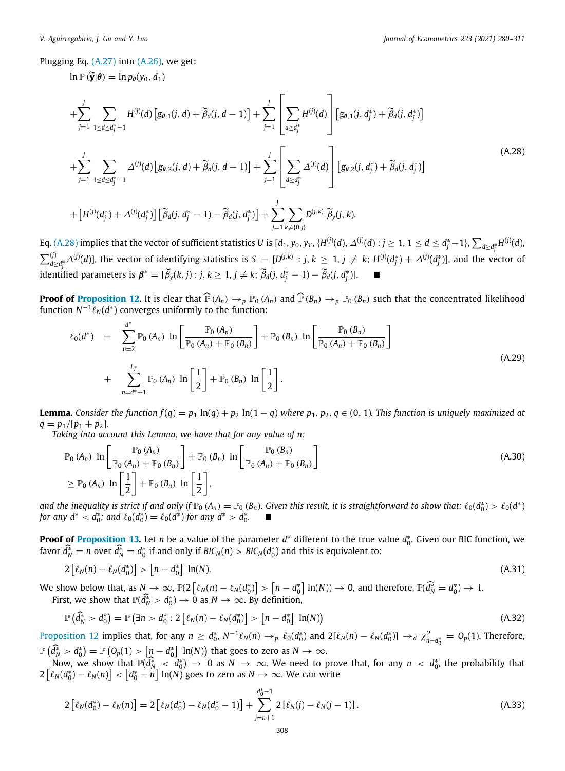Plugging Eq. ([A.27\)](#page-27-1) into ([A.26\)](#page-27-2), we get:

 $\ln \mathbb{P}(\widetilde{\mathbf{y}}|\boldsymbol{\theta}) = \ln p_{\boldsymbol{\theta}}(\gamma_0, d_1)$ 

<span id="page-28-0"></span>
$$
+\sum_{j=1}^{J} \sum_{1 \leq d \leq d_j^* - 1} H^{(j)}(d) \left[ g_{\theta,1}(j,d) + \widetilde{\beta}_d(j,d-1) \right] + \sum_{j=1}^{J} \left[ \sum_{d \geq d_j^*} H^{(j)}(d) \right] \left[ g_{\theta,1}(j,d_j^*) + \widetilde{\beta}_d(j,d_j^*) \right]
$$
  
+ 
$$
\sum_{j=1}^{J} \sum_{1 \leq d \leq d_j^* - 1} \Delta^{(j)}(d) \left[ g_{\theta,2}(j,d) + \widetilde{\beta}_d(j,d-1) \right] + \sum_{j=1}^{J} \left[ \sum_{d \geq d_j^*} \Delta^{(j)}(d) \right] \left[ g_{\theta,2}(j,d_j^*) + \widetilde{\beta}_d(j,d_j^*) \right]
$$
(A.28)

$$
+ [H^{(j)}(d_j^*) + \Delta^{(j)}(d_j^*)] [\widetilde{\beta}_d(j, d_j^* - 1) - \widetilde{\beta}_d(j, d_j^*)] + \sum_{j=1}^j \sum_{k \neq \{0, j\}} D^{(j,k)} \widetilde{\beta}_y(j, k).
$$

Eq. ([A.28\)](#page-28-0) implies that the vector of sufficient statistics  $U$  is  $[d_1,y_0,y_T,\{H^{(j)}(d),\Delta^{(j)}(d):j\geq1,$   $1\leq d\leq d_j^*-1\},$   $\sum_{d\geq d_j^*}H^{(j)}(d)$ ,  $\sum_{d\geq d_i^*}\Delta^{(j)}(d)$ ], the vector of identifying statistics is  $S=[D^{(j,k)}:j,k\geq 1, j\neq k;$   $H^{(j)}(d_j^*)+\Delta^{(j)}(d_j^*)$ ], and the vector of  $j = \sum_{i=0}^{n} a_i^j$ <br>identified parameters is  $\beta^* = [\widetilde{\beta}_y(k,j) : j, k \ge 1, j \ne k; \widetilde{\beta}_d(j,d_j^* - 1) - \widetilde{\beta}_d(j,d_j^*)].$  ■

**Proof of [Proposition](#page-18-1) [12](#page-18-1).** It is clear that  $\widehat{P}(A_n) \to_p P_0(A_n)$  and  $\widehat{P}(B_n) \to_p P_0(B_n)$  such that the concentrated likelihood function  $N^{-1}\ell_N(d^*)$  converges uniformly to the function:

$$
\ell_0(d^*) = \sum_{n=2}^{d^*} \mathbb{P}_0(A_n) \ln \left[ \frac{\mathbb{P}_0(A_n)}{\mathbb{P}_0(A_n) + \mathbb{P}_0(B_n)} \right] + \mathbb{P}_0(B_n) \ln \left[ \frac{\mathbb{P}_0(B_n)}{\mathbb{P}_0(A_n) + \mathbb{P}_0(B_n)} \right]
$$
  
+ 
$$
\sum_{n=d^*+1}^{L_T} \mathbb{P}_0(A_n) \ln \left[ \frac{1}{2} \right] + \mathbb{P}_0(B_n) \ln \left[ \frac{1}{2} \right].
$$
 (A.29)

**Lemma.** Consider the function  $f(q) = p_1 \ln(q) + p_2 \ln(1-q)$  where  $p_1, p_2, q \in (0, 1)$ . This function is uniquely maximized at  $q = p_1/[p_1 + p_2]$ .

*Taking into account this Lemma, we have that for any value of n:*

$$
\mathbb{P}_0(A_n) \ln \left[ \frac{\mathbb{P}_0(A_n)}{\mathbb{P}_0(A_n) + \mathbb{P}_0(B_n)} \right] + \mathbb{P}_0(B_n) \ln \left[ \frac{\mathbb{P}_0(B_n)}{\mathbb{P}_0(A_n) + \mathbb{P}_0(B_n)} \right]
$$
\n
$$
\geq \mathbb{P}_0(A_n) \ln \left[ \frac{1}{2} \right] + \mathbb{P}_0(B_n) \ln \left[ \frac{1}{2} \right],
$$
\n(A.30)

and the inequality is strict if and only if  $\mathbb{P}_0(A_n) = \mathbb{P}_0(B_n)$ . Given this result, it is straightforward to show that:  $\ell_0(d_0^*) > \ell_0(d^*)$ *for any d<sup>∗</sup> <*  $d_0^*$ *; and*  $\ell_0(d_0^*) = \ell_0(d^*)$  *for any d<sup>∗</sup> >*  $d_0^*$ *.* 

**Proof of [Proposition](#page-18-2) [13.](#page-18-2)** Let *n* be a value of the parameter *d*<sup>∗</sup> different to the true value *d*<sub>0</sub><sup>\*</sup>. Given our BIC function, we favor  $\widehat{d_N^*} = n$  over  $\widehat{d_N^*} = d_0^*$  if and only if  $BIC_N(n) > BIC_N(d_0^*)$  and this is equivalent to:

$$
2\left[\ell_N(n)-\ell_N(d_0^*)\right] > \left[n-d_0^*\right] \ln(N). \tag{A.31}
$$

We show below that, as  $N \to \infty$ ,  $\mathbb{P}(2\left[\ell_N(n) - \ell_N(d_0^*)\right] > \left[n - d_0^*\right] \ln(N)) \to 0$ , and therefore,  $\mathbb{P}(\widehat{d}_N^* = d_0^*) \to 1$ . First, we show that  $\mathbb{P}(\widehat{d}_{N}^{*} > d_0^*) \to 0$  as  $N \to \infty$ . By definition,

$$
\mathbb{P}\left(\widehat{d}_N^* > d_0^*\right) = \mathbb{P}\left(\exists n > d_0^*: 2\left[\ell_N(n) - \ell_N(d_0^*)\right] > \left[n - d_0^*\right] \ln(N)\right) \tag{A.32}
$$

[Proposition](#page-18-1) [12](#page-18-1) implies that, for any  $n \geq d_0^*$ ,  $N^{-1}\ell_N(n) \to_p \ell_0(d_0^*)$  and  $2[\ell_N(n) - \ell_N(d_0^*)] \to_d \chi^2_{n-d_0^*} = O_p(1)$ . Therefore,  $\mathbb{P}(\widehat{d}_N^* > d_0^*) = \mathbb{P}(\mathbb{O}_p(1) > [n - d_0^*] \ln(N))$  that goes to zero as  $N \to \infty$ .

 $\frac{d_N}{d_N} > a_0 - \frac{n}{\pi} \left( \frac{b_N}{\pi} \right) \rightarrow 0$  as  $N \rightarrow \infty$ . We need to prove that, for any  $n < d_0^*$ , the probability that  $\frac{d(N)}{d_N} \rightarrow 0$  as  $N \rightarrow \infty$ . We need to prove that, for any  $n < d_0^*$ , the probability that  $2\left[\ell_{N}(d_{0}^{*})-\ell_{N}(n)\right]<\left[d_{0}^{*}-n\right]\ln(N)$  goes to zero as  $N\rightarrow\infty.$  We can write

$$
2\left[\ell_N(d_0^*)-\ell_N(n)\right]=2\left[\ell_N(d_0^*)-\ell_N(d_0^*-1)\right]+\sum_{j=n+1}^{d_0^*-1}2\left[\ell_N(j)-\ell_N(j-1)\right].\tag{A.33}
$$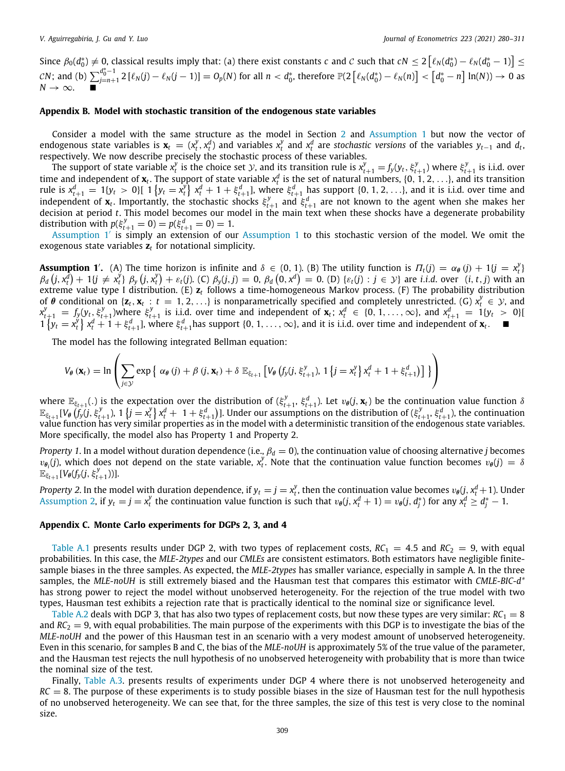Since  $\beta_0(d_0^*)\neq 0$ , classical results imply that: (a) there exist constants *c* and *C* such that  $cN\leq 2\left[\ell_N(d_0^*)-\ell_N(d_0^*-1)\right]\leq 2$ *CN*; and (b)  $\sum_{i=n+1}^{d_0^* - 1}$  $\frac{a_0-1}{b_0-1}$  2 [ $\ell_N(j)-\ell_N(j-1)]=O_p(N)$  for all  $n < d_0^*$ , therefore  $\mathbb{P}(2\left[\ell_N(d_0^*)-\ell_N(n)\right]< \left[d_0^*-n\right]\ln(N))\to 0$  as  $N \rightarrow \infty$ . ■

## **Appendix B. Model with stochastic transition of the endogenous state variables**

Consider a model with the same structure as the model in Section [2](#page-2-2) and [Assumption](#page-3-2) [1](#page-3-2) but now the vector of endogenous state variables is  $\mathbf{x}_t = (x_t^y, x_t^d)$  and variables  $x_t^y$  and  $x_t^d$  are stochastic versions of the variables  $y_{t-1}$  and  $d_t$ , respectively. We now describe precisely the stochastic process of these variables.

The support of state variable  $x_t^y$  is the choice set y, and its transition rule is  $x_{t+1}^y=f_y(y_t,\xi_{t+1}^y)$  where  $\xi_{t+1}^y$  is i.i.d. over time and independent of  $x_t$ . The support of state variable  $x_t^d$  is the set of natural numbers, {0, 1, 2, . . .}, and its transition rule is  $x_{t+1}^d = 1\{y_t > 0\}$  [  $1\{y_t = x_t^y\}$   $x_t^d + 1 + \xi_{t+1}^d$ ], where  $\xi_{t+1}^d$  has support  $\{0, 1, 2, ...\}$ , and it is i.i.d. over time and independent of  $x_t$ . Importantly, the stochastic shocks  $\xi_{t+1}^y$  and  $\xi_{t+1}^d$  are not known to the agent when she makes her decision at period *t*. This model becomes our model in the main text when these shocks have a degenerate probability distribution with  $p(\xi_{t+1}^y = 0) = p(\xi_{t+1}^d = 0) = 1$ .

[Assumption](#page-3-2) [1](#page-3-2)' is simply an extension of our Assumption 1 to this stochastic version of the model. We omit the exogenous state variables **z***<sup>t</sup>* for notational simplicity.

<span id="page-29-0"></span>**Assumption 1'.** (A) The time horizon is infinite and  $\delta \in (0, 1)$ . (B) The utility function is  $\Pi_t(j) = \alpha_{\theta}(j) + 1\{j = x_t^y\}$  $\beta_d (j, x_t^d) + 1 \{j \neq x_t^j\} \beta_y (j, x_t^y) + \varepsilon_t(j)$ . (C)  $\beta_y(j, j) = 0$ ,  $\beta_d (0, x^d) = 0$ . (D)  $\{\varepsilon_t(j) : j \in \mathcal{Y}\}\$ are *i.i.d.* over  $(i, t, j)$  with an extreme value type I distribution. (E) **z***<sup>t</sup>* follows a time-homogeneous Markov process. (F) The probability distribution of  $\theta$  conditional on { $\mathbf{z}_t$ ,  $\mathbf{x}_t$  :  $t = 1, 2, \ldots$ } is nonparametrically specified and completely unrestricted. (G)  $x_t^y \in \mathcal{Y}$ , and  $x_{t+1}^y = f_y(y_t, \xi_{t+1}^y)$  where  $\xi_{t+1}^y$  is i.i.d. over time and independent of  $\mathbf{x}_t$ ;  $x_t^d \in \{0, 1, \ldots, \infty\}$ , and  $x_{t+1}^d = 1\{y_t > 0\}$  $1\{y_t = x_t^{\tilde{y}}\}\ x_t^d + 1 + \xi_{t+1}^d$ , where  $\xi_{t+1}^d$  has support  $\{0, 1, ..., \infty\}$ , and it is i.i.d. over time and independent of  $\mathbf{x}_t$ .

The model has the following integrated Bellman equation:

$$
V_{\theta}(\mathbf{x}_{t}) = \ln \left( \sum_{j \in \mathcal{Y}} \exp \left\{ \alpha_{\theta}(j) + \beta(j, \mathbf{x}_{t}) + \delta \mathbb{E}_{\xi_{t+1}} \left[ V_{\theta}(f_{y}(j, \xi_{t+1}^{y}), 1 \left\{ j = x_{t}^{y} \right\} x_{t}^{d} + 1 + \xi_{t+1}^{d} \right) \right] \right\}
$$

where  $\mathbb{E}_{\xi_{t+1}}(.)$  is the expectation over the distribution of  $(\xi_{t+1}^y, \xi_{t+1}^d)$ . Let  $v_\theta(j, \mathbf{x}_t)$  be the continuation value function  $\delta$  $\mathbb{E}_{\xi_{t+1}}[V_{\theta}(\tilde{f}_y(j,\xi_{t+1}^y),1\left\{j=x_t^y\right\}x_t^d+1+\xi_{t+1}^d)].$  Under our assumptions on the distribution of  $(\xi_{t+1}^y,\xi_{t+1}^d)$ , the continuation value function has very similar properties as in the model with a deterministic transition of the endogenous state variables. More specifically, the model also has Property 1 and Property 2.

*Property 1.* In a model without duration dependence (i.e.,  $\beta_d=0$ ), the continuation value of choosing alternative *j* becomes  $v_{\theta_i}(j)$ , which does not depend on the state variable,  $x_t^y$ . Note that the continuation value function becomes  $v_{\theta}(j) = \delta$  $\mathbb{E}_{\xi_{t+1}}[V_{\theta}(f_{y}(j, \xi_{t+1}^{y}))].$ 

*Property 2.* In the model with duration dependence, if  $y_t = j = x_t^y$ , then the continuation value becomes  $v_\theta(j, x_t^d + 1)$ . Under [Assumption](#page-3-4) [2,](#page-3-4) if  $y_t = j = x_t^y$  the continuation value function is such that  $v_\theta(j, x_t^d + 1) = v_\theta(j, d_j^*)$  for any  $x_t^d \ge d_j^* - 1$ .

#### **Appendix C. Monte Carlo experiments for DGPs 2, 3, and 4**

[Table](#page-30-10) [A.1](#page-30-10) presents results under DGP 2, with two types of replacement costs,  $RC_1 = 4.5$  and  $RC_2 = 9$ , with equal probabilities. In this case, the *MLE-2types* and our *CMLEs* are consistent estimators. Both estimators have negligible finitesample biases in the three samples. As expected, the *MLE-2types* has smaller variance, especially in sample A. In the three samples, the *MLE-noUH* is still extremely biased and the Hausman test that compares this estimator with *CMLE-BIC-d\** has strong power to reject the model without unobserved heterogeneity. For the rejection of the true model with two types, Hausman test exhibits a rejection rate that is practically identical to the nominal size or significance level.

[Table](#page-30-11) [A.2](#page-30-11) deals with DGP 3, that has also two types of replacement costs, but now these types are very similar:  $RC<sub>1</sub> = 8$ and  $RC_2 = 9$ , with equal probabilities. The main purpose of the experiments with this DGP is to investigate the bias of the *MLE-noUH* and the power of this Hausman test in an scenario with a very modest amount of unobserved heterogeneity. Even in this scenario, for samples B and C, the bias of the *MLE-noUH* is approximately 5% of the true value of the parameter, and the Hausman test rejects the null hypothesis of no unobserved heterogeneity with probability that is more than twice the nominal size of the test.

Finally, [Table](#page-30-12) [A.3](#page-30-12). presents results of experiments under DGP 4 where there is not unobserved heterogeneity and  $RC = 8$ . The purpose of these experiments is to study possible biases in the size of Hausman test for the null hypothesis of no unobserved heterogeneity. We can see that, for the three samples, the size of this test is very close to the nominal size.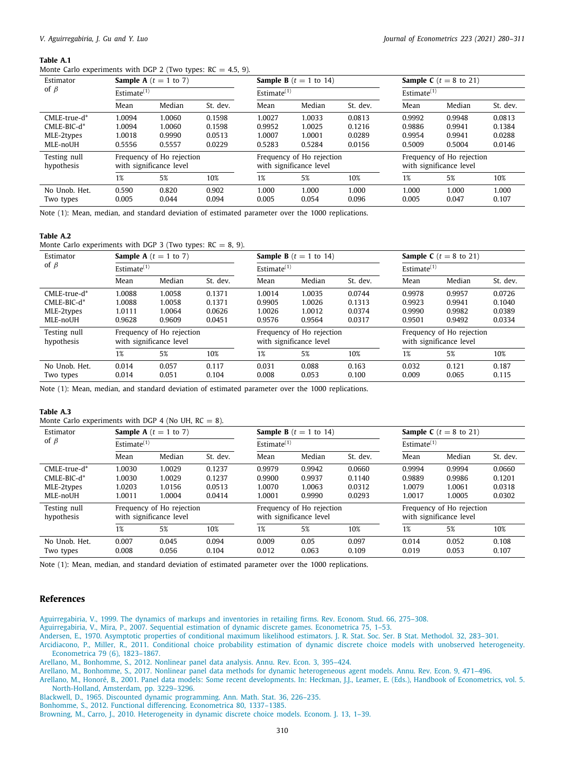### **Table A.1**

<span id="page-30-10"></span>Monte Carlo experiments with DGP 2 (Two types:  $RC = 4.5, 9$ ).

| Estimator                  |                                                      | <b>Sample A</b> $(t = 1$ to 7) |          |                                                      | <b>Sample B</b> $(t = 1$ to 14) |          | <b>Sample C</b> ( $t = 8$ to 21) |                                                      |          |
|----------------------------|------------------------------------------------------|--------------------------------|----------|------------------------------------------------------|---------------------------------|----------|----------------------------------|------------------------------------------------------|----------|
| of $\beta$                 | Estimate $(1)$                                       |                                |          | Estimate $(1)$                                       |                                 |          | Estimate $(1)$                   |                                                      |          |
|                            | Mean                                                 | Median                         | St. dev. | Mean                                                 | Median                          | St. dev. | Mean                             | Median                                               | St. dev. |
| CMLE-true-d*               | 1.0094                                               | 1.0060                         | 0.1598   | 1.0027                                               | 1.0033                          | 0.0813   | 0.9992                           | 0.9948                                               | 0.0813   |
| $CMLE-BIC-d*$              | 1.0094                                               | 1.0060                         | 0.1598   | 0.9952                                               | 1.0025                          | 0.1216   | 0.9886                           | 0.9941                                               | 0.1384   |
| MLE-2types                 | 1.0018                                               | 0.9990                         | 0.0513   | 1.0007                                               | 1.0001                          | 0.0289   | 0.9954                           | 0.9941                                               | 0.0288   |
| MLE-noUH                   | 0.5556                                               | 0.5557                         | 0.0229   | 0.5283                                               | 0.5284                          | 0.0156   | 0.5009                           | 0.5004                                               | 0.0146   |
| Testing null<br>hypothesis | Frequency of Ho rejection<br>with significance level |                                |          | Frequency of Ho rejection<br>with significance level |                                 |          |                                  | Frequency of Ho rejection<br>with significance level |          |
|                            | 1%                                                   | 5%                             | 10%      | 1%                                                   | 5%                              | 10%      | 1%                               | 5%                                                   | 10%      |
| No Unob. Het.              | 0.590                                                | 0.820                          | 0.902    | 1.000                                                | 1.000                           | 1.000    | 1.000                            | 1.000                                                | 1.000    |
| Two types                  | 0.005                                                | 0.044                          | 0.094    | 0.005                                                | 0.054                           | 0.096    | 0.005                            | 0.047                                                | 0.107    |

Note (1): Mean, median, and standard deviation of estimated parameter over the 1000 replications.

#### **Table A.2**

<span id="page-30-11"></span>Monte Carlo experiments with DGP 3 (Two types:  $RC = 8, 9$ ).

| Estimator                  | <b>Sample A</b> $(t = 1$ to 7)<br>Estimate $(1)$ |                                                      |          |                                                      | <b>Sample B</b> $(t = 1$ to 14) |                                                      | <b>Sample C</b> ( $t = 8$ to 21) |        |          |
|----------------------------|--------------------------------------------------|------------------------------------------------------|----------|------------------------------------------------------|---------------------------------|------------------------------------------------------|----------------------------------|--------|----------|
| of $\beta$                 |                                                  |                                                      |          | Estimate $(1)$                                       |                                 |                                                      | Estimate $(1)$                   |        |          |
|                            | Mean                                             | Median                                               | St. dev. | Mean                                                 | Median                          | St. dev.                                             | Mean                             | Median | St. dev. |
| $CMLE$ -true-d $*$         | 1.0088                                           | 1.0058                                               | 0.1371   | 1.0014                                               | 1.0035                          | 0.0744                                               | 0.9978                           | 0.9957 | 0.0726   |
| CMLE-BIC-d*                | 1.0088                                           | 1.0058                                               | 0.1371   | 0.9905                                               | 1.0026                          | 0.1313                                               | 0.9923                           | 0.9941 | 0.1040   |
| MLE-2types                 | 1.0111                                           | 1.0064                                               | 0.0626   | 1.0026                                               | 1.0012                          | 0.0374                                               | 0.9990                           | 0.9982 | 0.0389   |
| MLE-noUH                   | 0.9628                                           | 0.9609                                               | 0.0451   | 0.9576                                               | 0.9564                          | 0.0317                                               | 0.9501                           | 0.9492 | 0.0334   |
| Testing null<br>hypothesis |                                                  | Frequency of Ho rejection<br>with significance level |          | Frequency of Ho rejection<br>with significance level |                                 | Frequency of Ho rejection<br>with significance level |                                  |        |          |
|                            | 1%                                               | 5%                                                   | 10%      | 1%                                                   | 5%                              | 10%                                                  | 1%                               | 5%     | 10%      |
| No Unob. Het.              | 0.014                                            | 0.057                                                | 0.117    | 0.031                                                | 0.088                           | 0.163                                                | 0.032                            | 0.121  | 0.187    |
| Two types                  | 0.014                                            | 0.051                                                | 0.104    | 0.008                                                | 0.053                           | 0.100                                                | 0.009                            | 0.065  | 0.115    |

Note (1): Mean, median, and standard deviation of estimated parameter over the 1000 replications.

#### **Table A.3**

<span id="page-30-12"></span>Monte Carlo experiments with DGP 4 (No UH,  $RC = 8$ ).

| Estimator<br>of $\beta$    | <b>Sample A</b> $(t = 1$ to 7)<br>Estimate $(1)$     |                |                | <b>Sample B</b> $(t = 1$ to 14)<br>Estimate $(1)$    |               |                | <b>Sample C</b> ( $t = 8$ to 21)<br>Estimate $(1)$   |                |                |
|----------------------------|------------------------------------------------------|----------------|----------------|------------------------------------------------------|---------------|----------------|------------------------------------------------------|----------------|----------------|
|                            |                                                      |                |                |                                                      |               |                |                                                      |                |                |
| $CMLE$ -true-d $*$         | 1.0030                                               | 1.0029         | 0.1237         | 0.9979                                               | 0.9942        | 0.0660         | 0.9994                                               | 0.9994         | 0.0660         |
| CMLE-BIC-d*                | 1.0030                                               | 1.0029         | 0.1237         | 0.9900                                               | 0.9937        | 0.1140         | 0.9889                                               | 0.9986         | 0.1201         |
| MLE-2types                 | 1.0203                                               | 1.0156         | 0.0513         | 1.0070                                               | 1.0063        | 0.0312         | 1.0079                                               | 1.0061         | 0.0318         |
| MLE-noUH                   | 1.0011                                               | 1.0004         | 0.0414         | 1.0001                                               | 0.9990        | 0.0293         | 1.0017                                               | 1.0005         | 0.0302         |
| Testing null<br>hypothesis | Frequency of Ho rejection<br>with significance level |                |                | Frequency of Ho rejection<br>with significance level |               |                | Frequency of Ho rejection<br>with significance level |                |                |
|                            | 1%                                                   | 5%             | 10%            | 1%                                                   | 5%            | 10%            | 1%                                                   | 5%             | 10%            |
| No Unob. Het.<br>Two types | 0.007<br>0.008                                       | 0.045<br>0.056 | 0.094<br>0.104 | 0.009<br>0.012                                       | 0.05<br>0.063 | 0.097<br>0.109 | 0.014<br>0.019                                       | 0.052<br>0.053 | 0.108<br>0.107 |

Note (1): Mean, median, and standard deviation of estimated parameter over the 1000 replications.

## **References**

<span id="page-30-8"></span>[Aguirregabiria, V., 1999. The dynamics of markups and inventories in retailing firms. Rev. Econom. Stud. 66, 275–308.](http://refhub.elsevier.com/S0304-4076(20)30328-6/sb1)

<span id="page-30-1"></span>[Aguirregabiria, V., Mira, P., 2007. Sequential estimation of dynamic discrete games. Econometrica 75, 1–53.](http://refhub.elsevier.com/S0304-4076(20)30328-6/sb2)

<span id="page-30-0"></span>[Andersen, E., 1970. Asymptotic properties of conditional maximum likelihood estimators. J. R. Stat. Soc. Ser. B Stat. Methodol. 32, 283–301.](http://refhub.elsevier.com/S0304-4076(20)30328-6/sb3)

<span id="page-30-2"></span>[Arcidiacono, P., Miller, R., 2011. Conditional choice probability estimation of dynamic discrete choice models with unobserved heterogeneity.](http://refhub.elsevier.com/S0304-4076(20)30328-6/sb4) [Econometrica 79 \(6\), 1823–1867.](http://refhub.elsevier.com/S0304-4076(20)30328-6/sb4)

<span id="page-30-4"></span>[Arellano, M., Bonhomme, S., 2012. Nonlinear panel data analysis. Annu. Rev. Econ. 3, 395–424.](http://refhub.elsevier.com/S0304-4076(20)30328-6/sb5)

<span id="page-30-5"></span>[Arellano, M., Bonhomme, S., 2017. Nonlinear panel data methods for dynamic heterogeneous agent models. Annu. Rev. Econ. 9, 471–496.](http://refhub.elsevier.com/S0304-4076(20)30328-6/sb6)

<span id="page-30-3"></span>[Arellano, M., Honoré, B., 2001. Panel data models: Some recent developments. In: Heckman, J.J., Leamer, E. \(Eds.\), Handbook of Econometrics, vol. 5.](http://refhub.elsevier.com/S0304-4076(20)30328-6/sb7) [North-Holland, Amsterdam, pp. 3229–3296.](http://refhub.elsevier.com/S0304-4076(20)30328-6/sb7)

<span id="page-30-9"></span>[Blackwell, D., 1965. Discounted dynamic programming. Ann. Math. Stat. 36, 226–235.](http://refhub.elsevier.com/S0304-4076(20)30328-6/sb8)

<span id="page-30-7"></span>[Bonhomme, S., 2012. Functional differencing. Econometrica 80, 1337–1385.](http://refhub.elsevier.com/S0304-4076(20)30328-6/sb9)

<span id="page-30-6"></span>[Browning, M., Carro, J., 2010. Heterogeneity in dynamic discrete choice models. Econom. J. 13, 1–39.](http://refhub.elsevier.com/S0304-4076(20)30328-6/sb10)